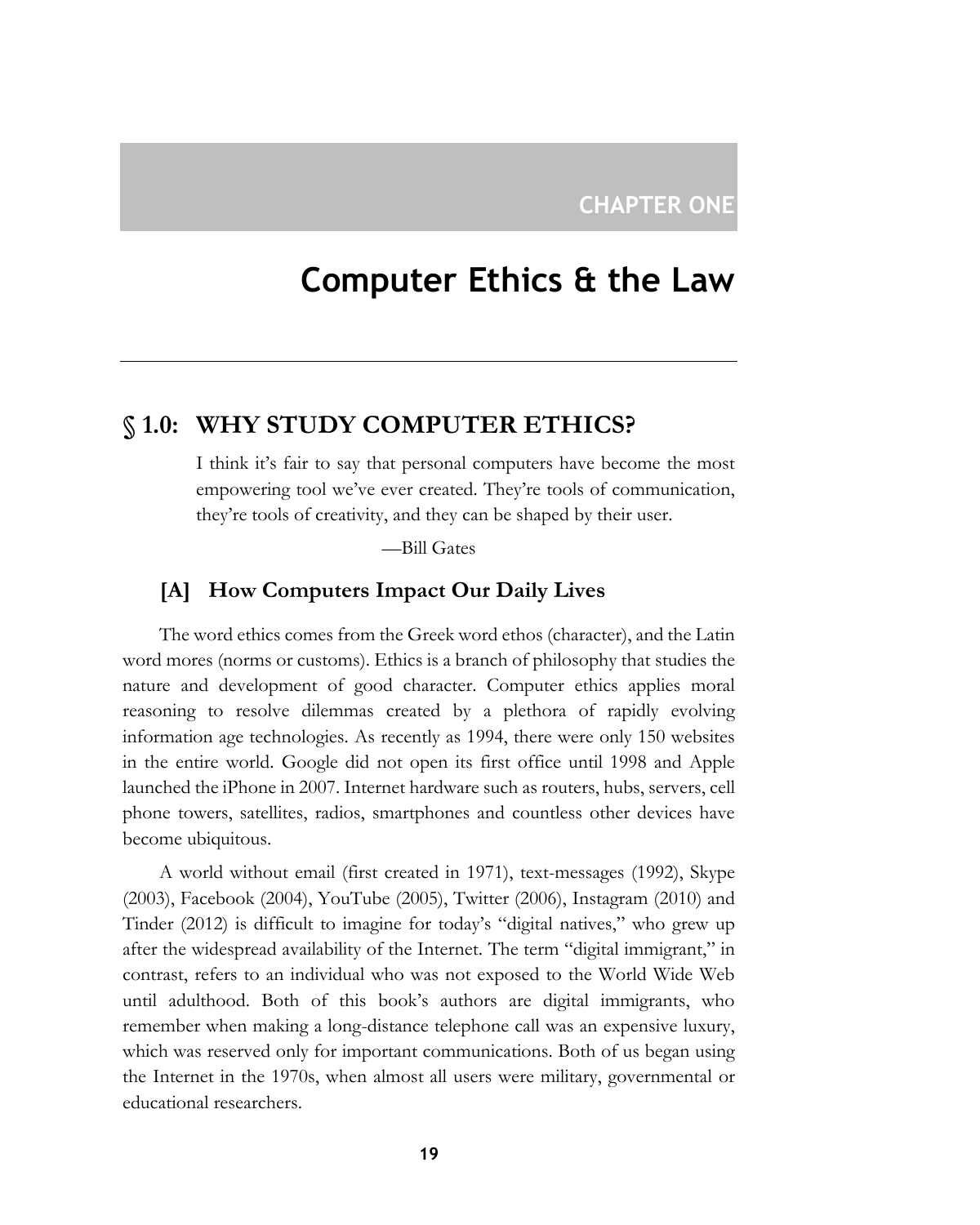# **Computer Ethics & the Law**

## **§ 1.0: WHY STUDY COMPUTER ETHICS?**

I think it's fair to say that personal computers have become the most empowering tool we've ever created. They're tools of communication, they're tools of creativity, and they can be shaped by their user.

—Bill Gates

## **[A] How Computers Impact Our Daily Lives**

The word ethics comes from the Greek word ethos (character), and the Latin word mores (norms or customs). Ethics is a branch of philosophy that studies the nature and development of good character. Computer ethics applies moral reasoning to resolve dilemmas created by a plethora of rapidly evolving information age technologies. As recently as 1994, there were only 150 websites in the entire world. Google did not open its first office until 1998 and Apple launched the iPhone in 2007. Internet hardware such as routers, hubs, servers, cell phone towers, satellites, radios, smartphones and countless other devices have become ubiquitous.

A world without email (first created in 1971), text-messages (1992), Skype (2003), Facebook (2004), YouTube (2005), Twitter (2006), Instagram (2010) and Tinder (2012) is difficult to imagine for today's "digital natives," who grew up after the widespread availability of the Internet. The term "digital immigrant," in contrast, refers to an individual who was not exposed to the World Wide Web until adulthood. Both of this book's authors are digital immigrants, who remember when making a long-distance telephone call was an expensive luxury, which was reserved only for important communications. Both of us began using the Internet in the 1970s, when almost all users were military, governmental or educational researchers.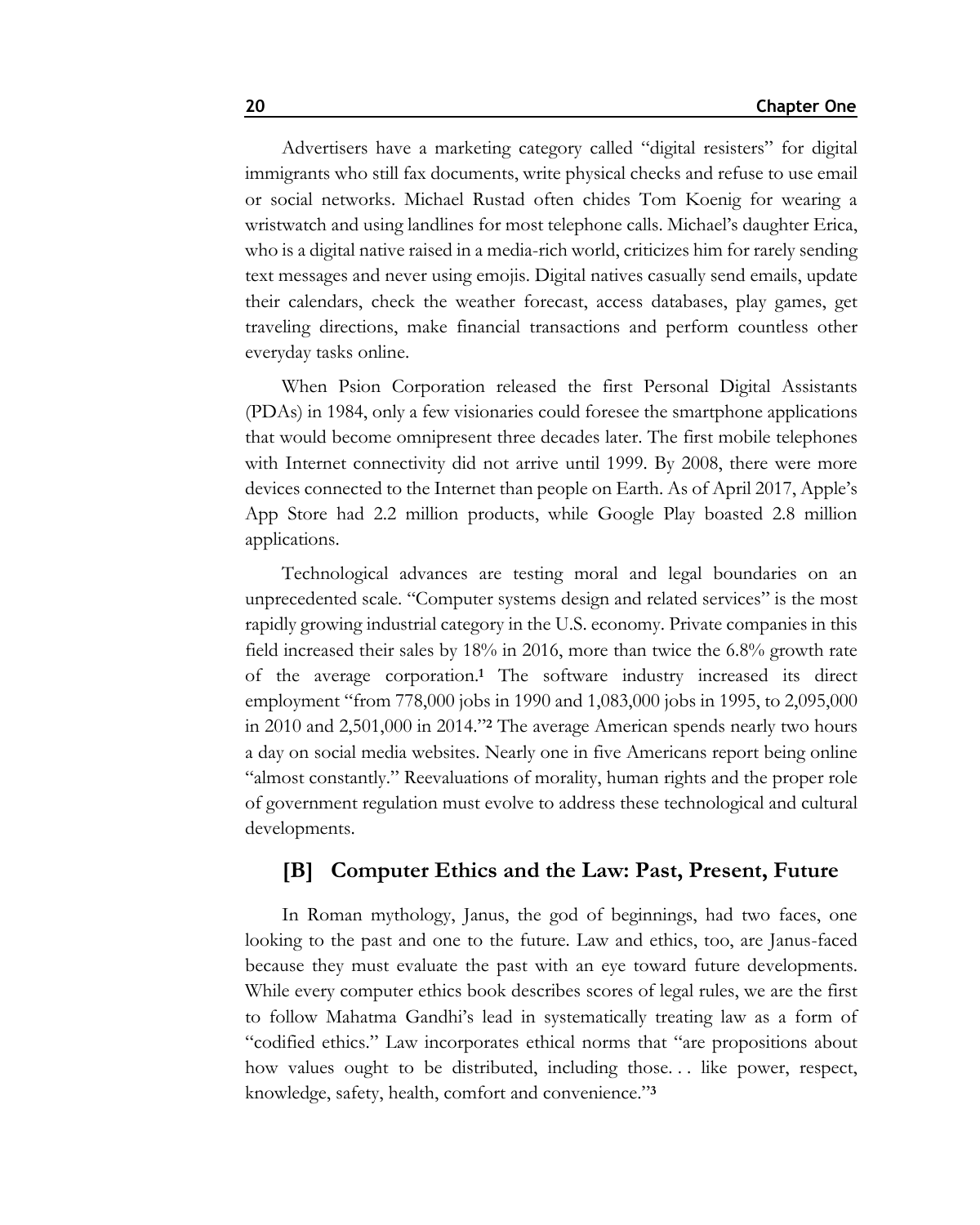Advertisers have a marketing category called "digital resisters" for digital immigrants who still fax documents, write physical checks and refuse to use email or social networks. Michael Rustad often chides Tom Koenig for wearing a wristwatch and using landlines for most telephone calls. Michael's daughter Erica, who is a digital native raised in a media-rich world, criticizes him for rarely sending text messages and never using emojis. Digital natives casually send emails, update their calendars, check the weather forecast, access databases, play games, get traveling directions, make financial transactions and perform countless other everyday tasks online.

When Psion Corporation released the first Personal Digital Assistants (PDAs) in 1984, only a few visionaries could foresee the smartphone applications that would become omnipresent three decades later. The first mobile telephones with Internet connectivity did not arrive until 1999. By 2008, there were more devices connected to the Internet than people on Earth. As of April 2017, Apple's App Store had 2.2 million products, while Google Play boasted 2.8 million applications.

Technological advances are testing moral and legal boundaries on an unprecedented scale. "Computer systems design and related services" is the most rapidly growing industrial category in the U.S. economy. Private companies in this field increased their sales by 18% in 2016, more than twice the 6.8% growth rate of the average corporation.**<sup>1</sup>** The software industry increased its direct employment "from 778,000 jobs in 1990 and 1,083,000 jobs in 1995, to 2,095,000 in 2010 and 2,501,000 in 2014."**<sup>2</sup>** The average American spends nearly two hours a day on social media websites. Nearly one in five Americans report being online "almost constantly." Reevaluations of morality, human rights and the proper role of government regulation must evolve to address these technological and cultural developments.

### **[B] Computer Ethics and the Law: Past, Present, Future**

In Roman mythology, Janus, the god of beginnings, had two faces, one looking to the past and one to the future. Law and ethics, too, are Janus-faced because they must evaluate the past with an eye toward future developments. While every computer ethics book describes scores of legal rules, we are the first to follow Mahatma Gandhi's lead in systematically treating law as a form of "codified ethics." Law incorporates ethical norms that "are propositions about how values ought to be distributed, including those... like power, respect, knowledge, safety, health, comfort and convenience."**3**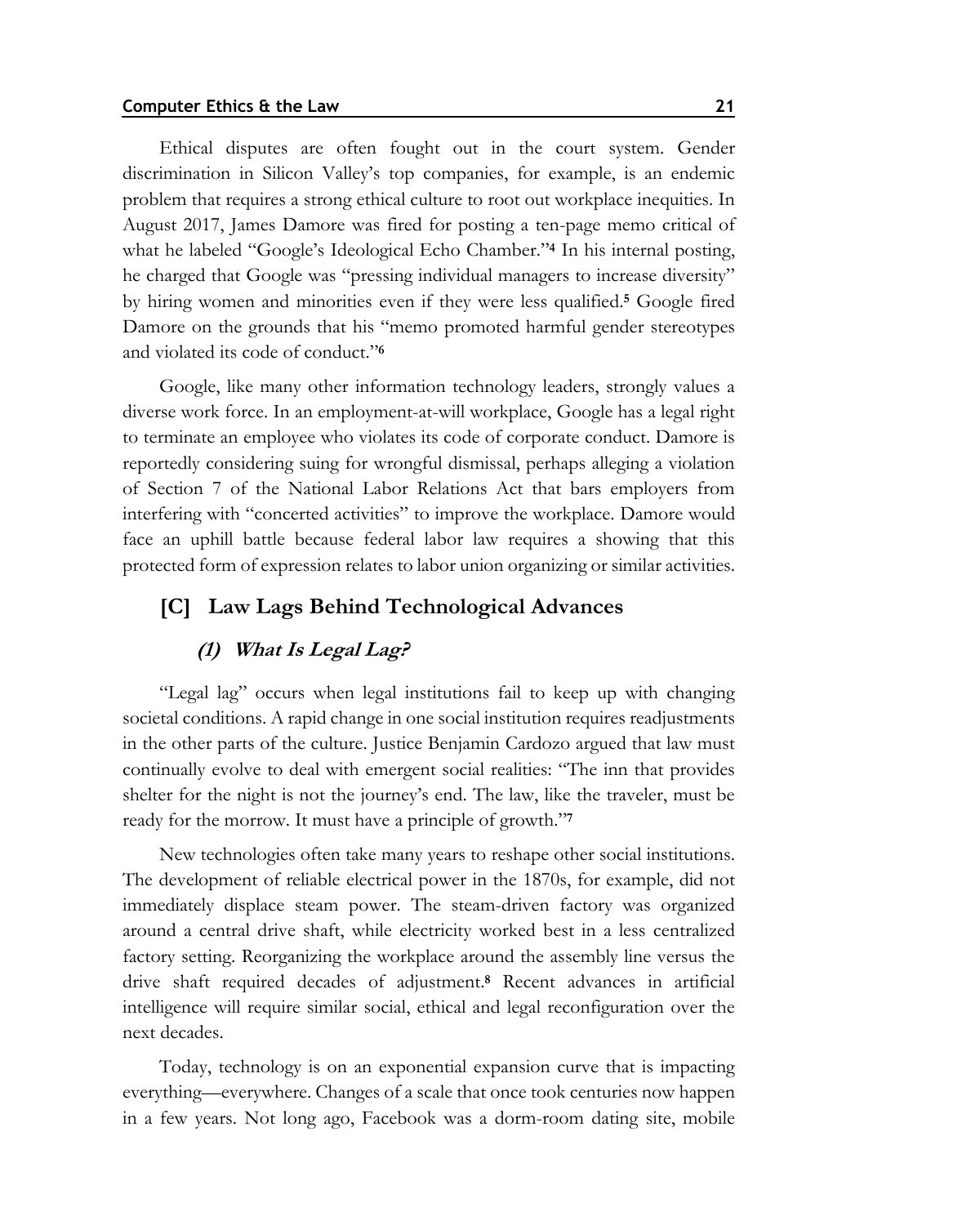Ethical disputes are often fought out in the court system. Gender discrimination in Silicon Valley's top companies, for example, is an endemic problem that requires a strong ethical culture to root out workplace inequities. In August 2017, James Damore was fired for posting a ten-page memo critical of what he labeled "Google's Ideological Echo Chamber."**<sup>4</sup>** In his internal posting, he charged that Google was "pressing individual managers to increase diversity" by hiring women and minorities even if they were less qualified.**<sup>5</sup>** Google fired Damore on the grounds that his "memo promoted harmful gender stereotypes and violated its code of conduct."**<sup>6</sup>**

Google, like many other information technology leaders, strongly values a diverse work force. In an employment-at-will workplace, Google has a legal right to terminate an employee who violates its code of corporate conduct. Damore is reportedly considering suing for wrongful dismissal, perhaps alleging a violation of Section 7 of the National Labor Relations Act that bars employers from interfering with "concerted activities" to improve the workplace. Damore would face an uphill battle because federal labor law requires a showing that this protected form of expression relates to labor union organizing or similar activities.

## **[C] Law Lags Behind Technological Advances**

## **(1) What Is Legal Lag?**

"Legal lag" occurs when legal institutions fail to keep up with changing societal conditions. A rapid change in one social institution requires readjustments in the other parts of the culture. Justice Benjamin Cardozo argued that law must continually evolve to deal with emergent social realities: "The inn that provides shelter for the night is not the journey's end. The law, like the traveler, must be ready for the morrow. It must have a principle of growth."**<sup>7</sup>**

New technologies often take many years to reshape other social institutions. The development of reliable electrical power in the 1870s, for example, did not immediately displace steam power. The steam-driven factory was organized around a central drive shaft, while electricity worked best in a less centralized factory setting. Reorganizing the workplace around the assembly line versus the drive shaft required decades of adjustment.**<sup>8</sup>** Recent advances in artificial intelligence will require similar social, ethical and legal reconfiguration over the next decades.

Today, technology is on an exponential expansion curve that is impacting everything—everywhere. Changes of a scale that once took centuries now happen in a few years. Not long ago, Facebook was a dorm-room dating site, mobile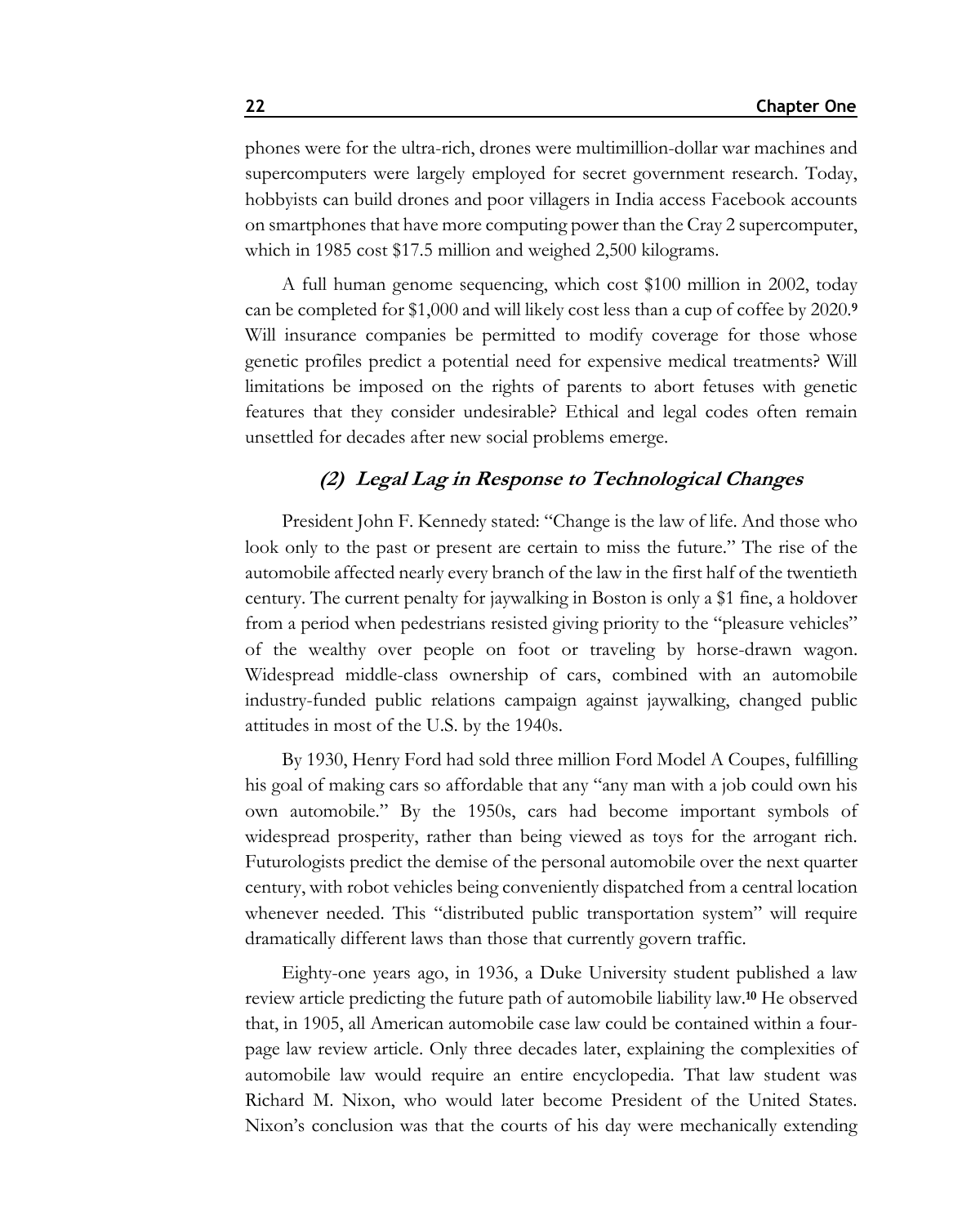phones were for the ultra-rich, drones were multimillion-dollar war machines and supercomputers were largely employed for secret government research. Today, hobbyists can build drones and poor villagers in India access Facebook accounts on smartphones that have more computing power than the Cray 2 supercomputer, which in 1985 cost \$17.5 million and weighed 2,500 kilograms.

A full human genome sequencing, which cost \$100 million in 2002, today can be completed for \$1,000 and will likely cost less than a cup of coffee by 2020.**<sup>9</sup>** Will insurance companies be permitted to modify coverage for those whose genetic profiles predict a potential need for expensive medical treatments? Will limitations be imposed on the rights of parents to abort fetuses with genetic features that they consider undesirable? Ethical and legal codes often remain unsettled for decades after new social problems emerge.

## **(2) Legal Lag in Response to Technological Changes**

President John F. Kennedy stated: "Change is the law of life. And those who look only to the past or present are certain to miss the future." The rise of the automobile affected nearly every branch of the law in the first half of the twentieth century. The current penalty for jaywalking in Boston is only a \$1 fine, a holdover from a period when pedestrians resisted giving priority to the "pleasure vehicles" of the wealthy over people on foot or traveling by horse-drawn wagon. Widespread middle-class ownership of cars, combined with an automobile industry-funded public relations campaign against jaywalking, changed public attitudes in most of the U.S. by the 1940s.

By 1930, Henry Ford had sold three million Ford Model A Coupes, fulfilling his goal of making cars so affordable that any "any man with a job could own his own automobile." By the 1950s, cars had become important symbols of widespread prosperity, rather than being viewed as toys for the arrogant rich. Futurologists predict the demise of the personal automobile over the next quarter century, with robot vehicles being conveniently dispatched from a central location whenever needed. This "distributed public transportation system" will require dramatically different laws than those that currently govern traffic.

Eighty-one years ago, in 1936, a Duke University student published a law review article predicting the future path of automobile liability law.**<sup>10</sup>** He observed that, in 1905, all American automobile case law could be contained within a fourpage law review article. Only three decades later, explaining the complexities of automobile law would require an entire encyclopedia. That law student was Richard M. Nixon, who would later become President of the United States. Nixon's conclusion was that the courts of his day were mechanically extending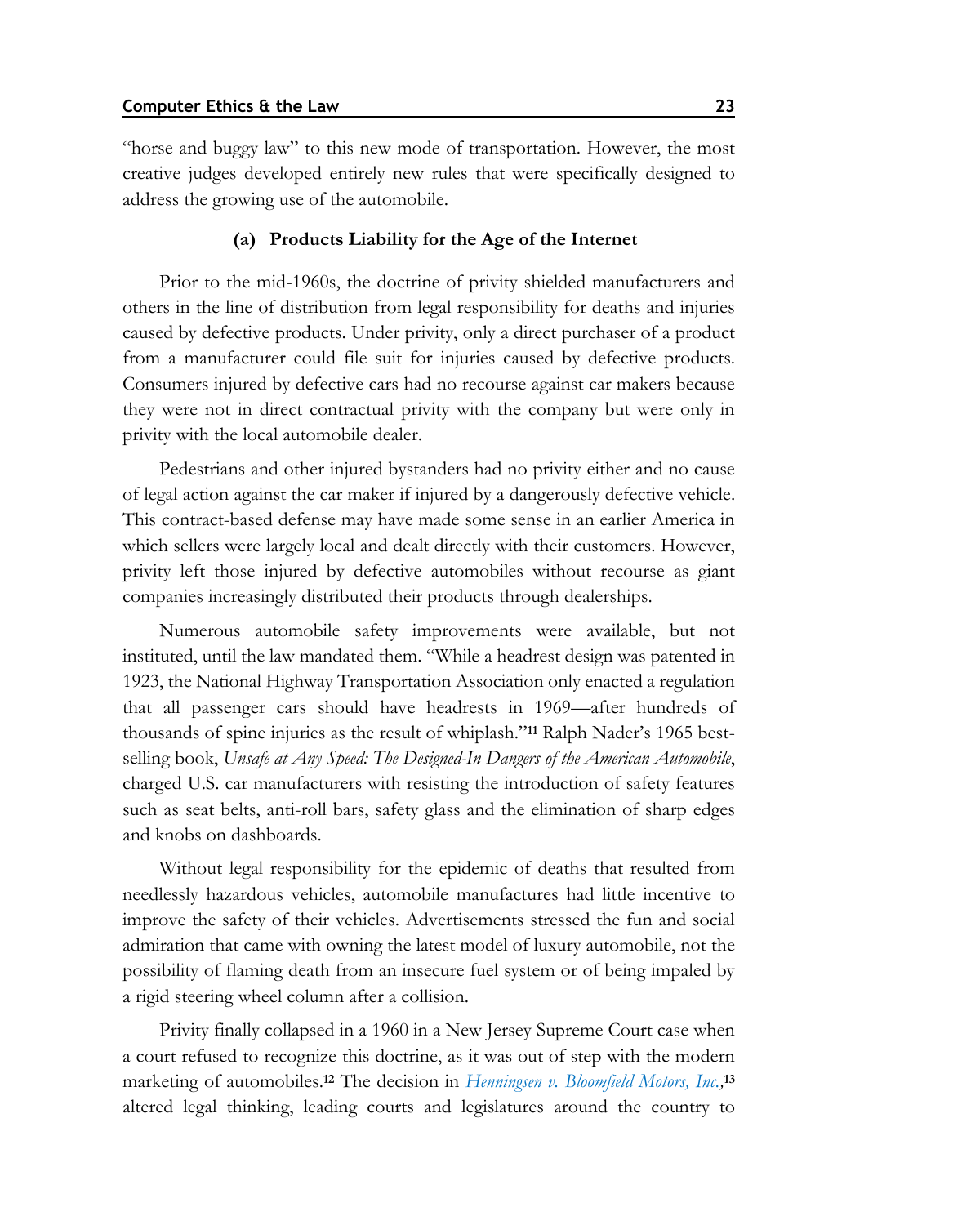"horse and buggy law" to this new mode of transportation. However, the most creative judges developed entirely new rules that were specifically designed to address the growing use of the automobile.

#### **(a) Products Liability for the Age of the Internet**

Prior to the mid-1960s, the doctrine of privity shielded manufacturers and others in the line of distribution from legal responsibility for deaths and injuries caused by defective products. Under privity, only a direct purchaser of a product from a manufacturer could file suit for injuries caused by defective products. Consumers injured by defective cars had no recourse against car makers because they were not in direct contractual privity with the company but were only in privity with the local automobile dealer.

Pedestrians and other injured bystanders had no privity either and no cause of legal action against the car maker if injured by a dangerously defective vehicle. This contract-based defense may have made some sense in an earlier America in which sellers were largely local and dealt directly with their customers. However, privity left those injured by defective automobiles without recourse as giant companies increasingly distributed their products through dealerships.

Numerous automobile safety improvements were available, but not instituted, until the law mandated them. "While a headrest design was patented in 1923, the National Highway Transportation Association only enacted a regulation that all passenger cars should have headrests in 1969—after hundreds of thousands of spine injuries as the result of whiplash."**<sup>11</sup>** Ralph Nader's 1965 bestselling book, *Unsafe at Any Speed: The Designed-In Dangers of the American Automobile*, charged U.S. car manufacturers with resisting the introduction of safety features such as seat belts, anti-roll bars, safety glass and the elimination of sharp edges and knobs on dashboards.

Without legal responsibility for the epidemic of deaths that resulted from needlessly hazardous vehicles, automobile manufactures had little incentive to improve the safety of their vehicles. Advertisements stressed the fun and social admiration that came with owning the latest model of luxury automobile, not the possibility of flaming death from an insecure fuel system or of being impaled by a rigid steering wheel column after a collision.

Privity finally collapsed in a 1960 in a New Jersey Supreme Court case when a court refused to recognize this doctrine, as it was out of step with the modern marketing of automobiles.**<sup>12</sup>** The decision in *[Henningsen v. Bloomfield Motors, Inc.,](https://www.westlaw.com/Document/Ib6b722d833db11d98b61a35269fc5f88/View/FullText.html?transitionType=Default&contextData=(sc.Default)&VR=3.0&RS=da3.0)* **13** altered legal thinking, leading courts and legislatures around the country to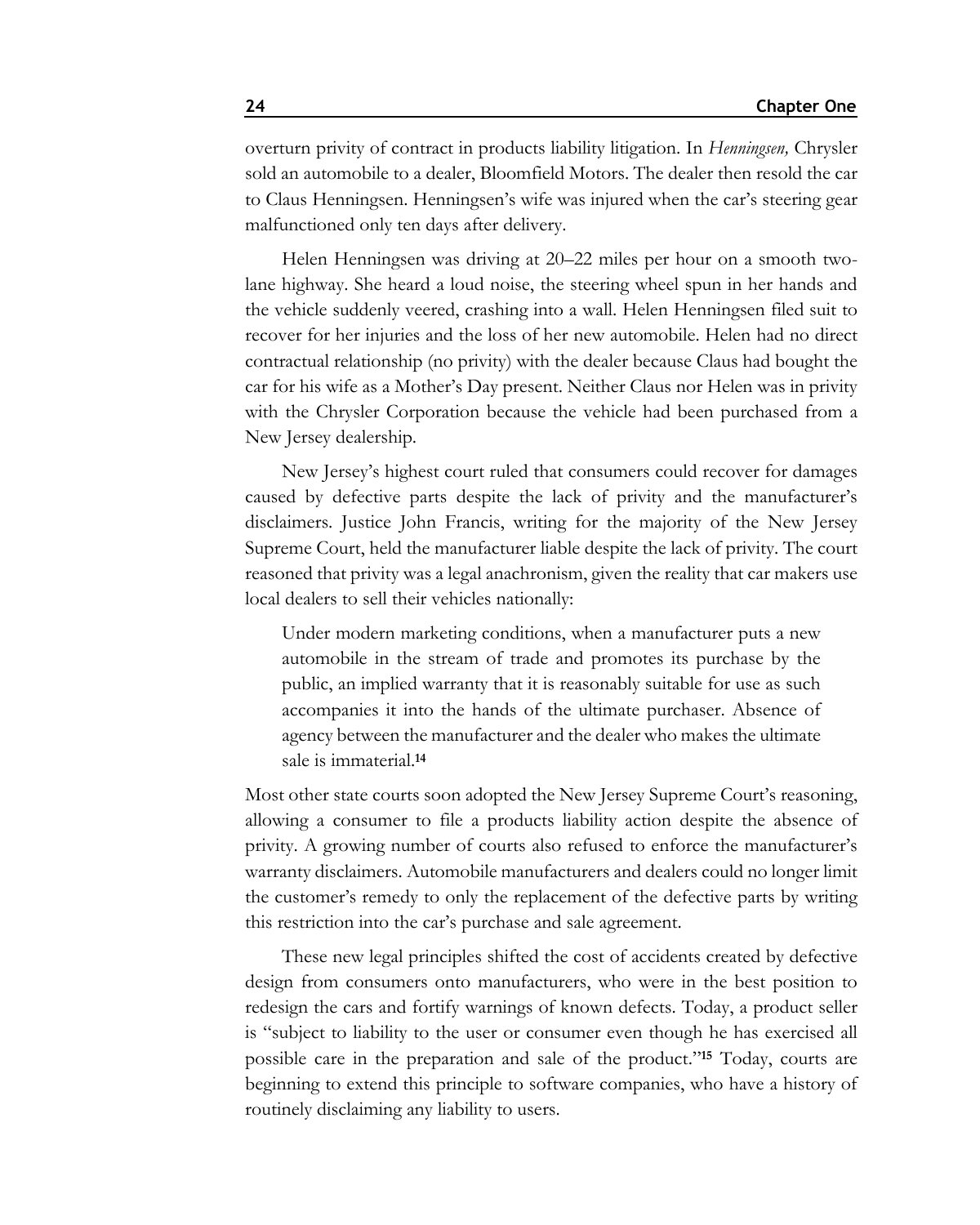overturn privity of contract in products liability litigation. In *Henningsen,* Chrysler sold an automobile to a dealer, Bloomfield Motors. The dealer then resold the car to Claus Henningsen. Henningsen's wife was injured when the car's steering gear malfunctioned only ten days after delivery.

Helen Henningsen was driving at 20–22 miles per hour on a smooth twolane highway. She heard a loud noise, the steering wheel spun in her hands and the vehicle suddenly veered, crashing into a wall. Helen Henningsen filed suit to recover for her injuries and the loss of her new automobile. Helen had no direct contractual relationship (no privity) with the dealer because Claus had bought the car for his wife as a Mother's Day present. Neither Claus nor Helen was in privity with the Chrysler Corporation because the vehicle had been purchased from a New Jersey dealership.

New Jersey's highest court ruled that consumers could recover for damages caused by defective parts despite the lack of privity and the manufacturer's disclaimers. Justice John Francis, writing for the majority of the New Jersey Supreme Court, held the manufacturer liable despite the lack of privity. The court reasoned that privity was a legal anachronism, given the reality that car makers use local dealers to sell their vehicles nationally:

Under modern marketing conditions, when a manufacturer puts a new automobile in the stream of trade and promotes its purchase by the public, an implied warranty that it is reasonably suitable for use as such accompanies it into the hands of the ultimate purchaser. Absence of agency between the manufacturer and the dealer who makes the ultimate sale is immaterial.**<sup>14</sup>**

Most other state courts soon adopted the New Jersey Supreme Court's reasoning, allowing a consumer to file a products liability action despite the absence of privity. A growing number of courts also refused to enforce the manufacturer's warranty disclaimers. Automobile manufacturers and dealers could no longer limit the customer's remedy to only the replacement of the defective parts by writing this restriction into the car's purchase and sale agreement.

These new legal principles shifted the cost of accidents created by defective design from consumers onto manufacturers, who were in the best position to redesign the cars and fortify warnings of known defects. Today, a product seller is "subject to liability to the user or consumer even though he has exercised all possible care in the preparation and sale of the product."**<sup>15</sup>** Today, courts are beginning to extend this principle to software companies, who have a history of routinely disclaiming any liability to users.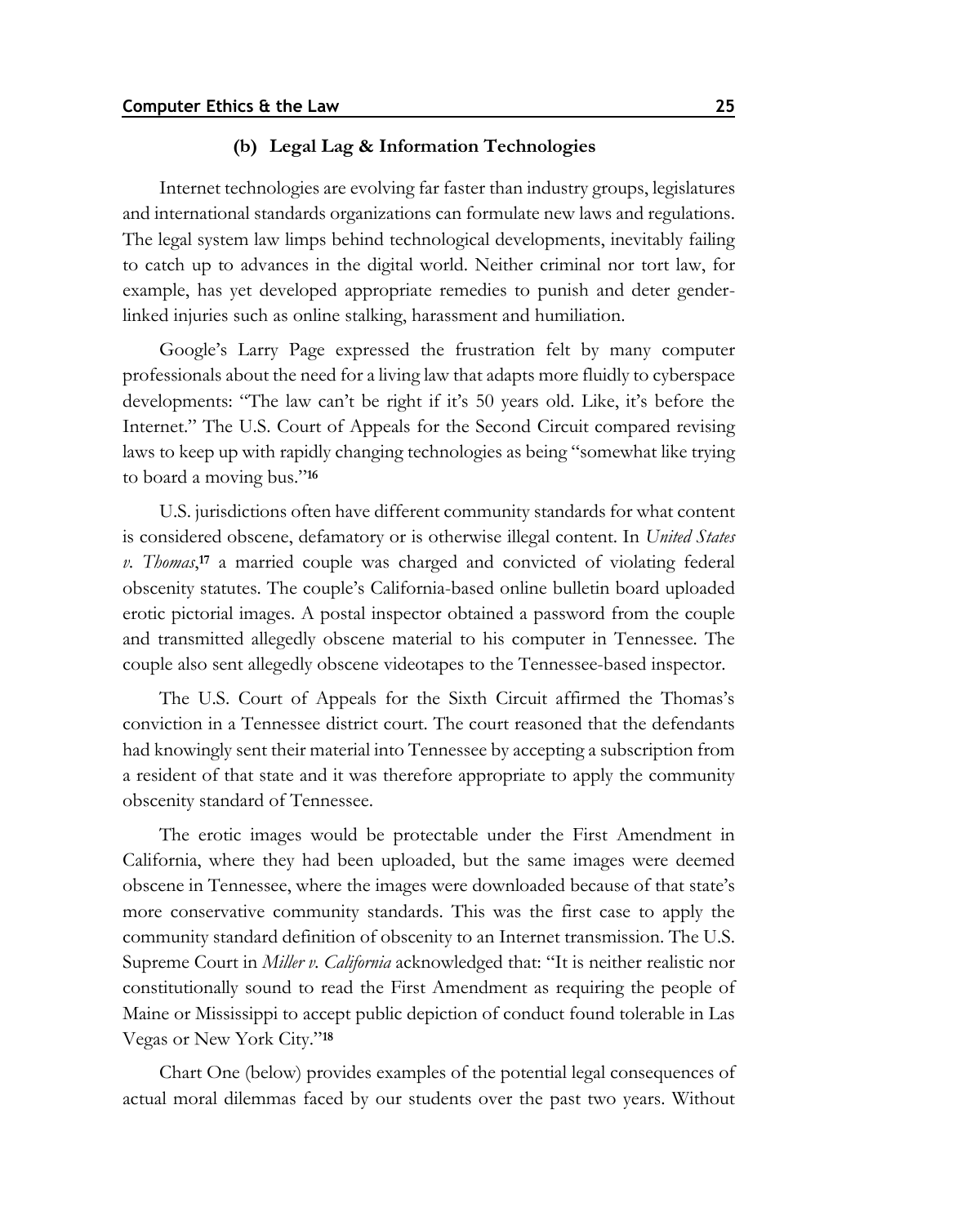#### **(b) Legal Lag & Information Technologies**

Internet technologies are evolving far faster than industry groups, legislatures and international standards organizations can formulate new laws and regulations. The legal system law limps behind technological developments, inevitably failing to catch up to advances in the digital world. Neither criminal nor tort law, for example, has yet developed appropriate remedies to punish and deter genderlinked injuries such as online stalking, harassment and humiliation.

Google's Larry Page expressed the frustration felt by many computer professionals about the need for a living law that adapts more fluidly to cyberspace developments: "The law can't be right if it's 50 years old. Like, it's before the Internet." The U.S. Court of Appeals for the Second Circuit compared revising laws to keep up with rapidly changing technologies as being "somewhat like trying to board a moving bus."**<sup>16</sup>**

U.S. jurisdictions often have different community standards for what content is considered obscene, defamatory or is otherwise illegal content. In *United States v. Thomas*, **<sup>17</sup>** a married couple was charged and convicted of violating federal obscenity statutes. The couple's California-based online bulletin board uploaded erotic pictorial images. A postal inspector obtained a password from the couple and transmitted allegedly obscene material to his computer in Tennessee. The couple also sent allegedly obscene videotapes to the Tennessee-based inspector.

The U.S. Court of Appeals for the Sixth Circuit affirmed the Thomas's conviction in a Tennessee district court. The court reasoned that the defendants had knowingly sent their material into Tennessee by accepting a subscription from a resident of that state and it was therefore appropriate to apply the community obscenity standard of Tennessee.

The erotic images would be protectable under the First Amendment in California, where they had been uploaded, but the same images were deemed obscene in Tennessee, where the images were downloaded because of that state's more conservative community standards. This was the first case to apply the community standard definition of obscenity to an Internet transmission. The U.S. Supreme Court in *Miller v. California* acknowledged that: "It is neither realistic nor constitutionally sound to read the First Amendment as requiring the people of Maine or Mississippi to accept public depiction of conduct found tolerable in Las Vegas or New York City."**<sup>18</sup>**

Chart One (below) provides examples of the potential legal consequences of actual moral dilemmas faced by our students over the past two years. Without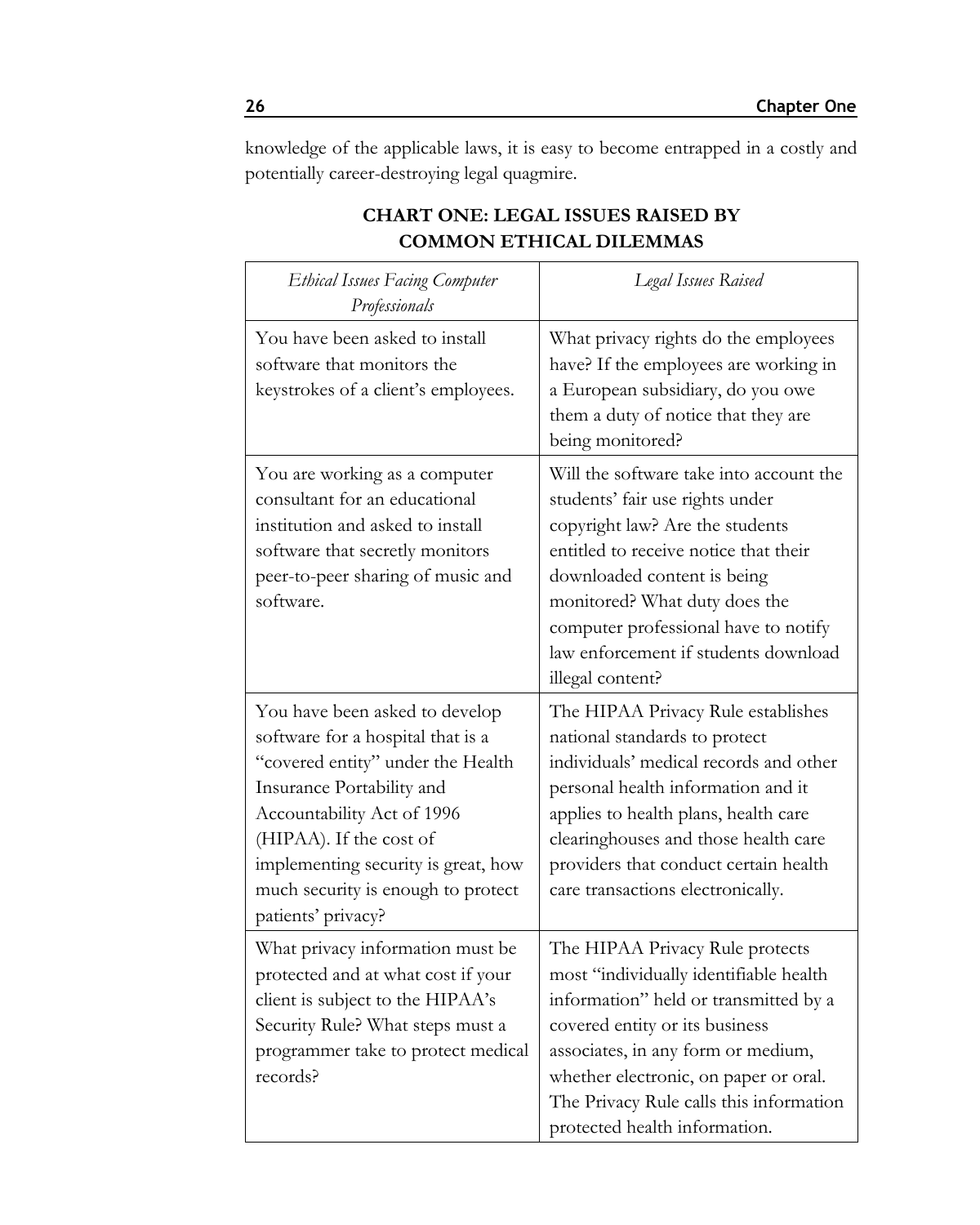knowledge of the applicable laws, it is easy to become entrapped in a costly and potentially career-destroying legal quagmire.

| <b>Ethical Issues Facing Computer</b><br>Professionals                                                                                                                                                                                                                                            | Legal Issues Raised                                                                                                                                                                                                                                                                                                        |
|---------------------------------------------------------------------------------------------------------------------------------------------------------------------------------------------------------------------------------------------------------------------------------------------------|----------------------------------------------------------------------------------------------------------------------------------------------------------------------------------------------------------------------------------------------------------------------------------------------------------------------------|
| You have been asked to install<br>software that monitors the<br>keystrokes of a client's employees.                                                                                                                                                                                               | What privacy rights do the employees<br>have? If the employees are working in<br>a European subsidiary, do you owe<br>them a duty of notice that they are<br>being monitored?                                                                                                                                              |
| You are working as a computer<br>consultant for an educational<br>institution and asked to install<br>software that secretly monitors<br>peer-to-peer sharing of music and<br>software.                                                                                                           | Will the software take into account the<br>students' fair use rights under<br>copyright law? Are the students<br>entitled to receive notice that their<br>downloaded content is being<br>monitored? What duty does the<br>computer professional have to notify<br>law enforcement if students download<br>illegal content? |
| You have been asked to develop<br>software for a hospital that is a<br>"covered entity" under the Health<br>Insurance Portability and<br>Accountability Act of 1996<br>(HIPAA). If the cost of<br>implementing security is great, how<br>much security is enough to protect<br>patients' privacy? | The HIPAA Privacy Rule establishes<br>national standards to protect<br>individuals' medical records and other<br>personal health information and it<br>applies to health plans, health care<br>clearinghouses and those health care<br>providers that conduct certain health<br>care transactions electronically.          |
| What privacy information must be<br>protected and at what cost if your<br>client is subject to the HIPAA's<br>Security Rule? What steps must a<br>programmer take to protect medical<br>records?                                                                                                  | The HIPAA Privacy Rule protects<br>most "individually identifiable health<br>information" held or transmitted by a<br>covered entity or its business<br>associates, in any form or medium,<br>whether electronic, on paper or oral.<br>The Privacy Rule calls this information<br>protected health information.            |

## **CHART ONE: LEGAL ISSUES RAISED BY COMMON ETHICAL DILEMMAS**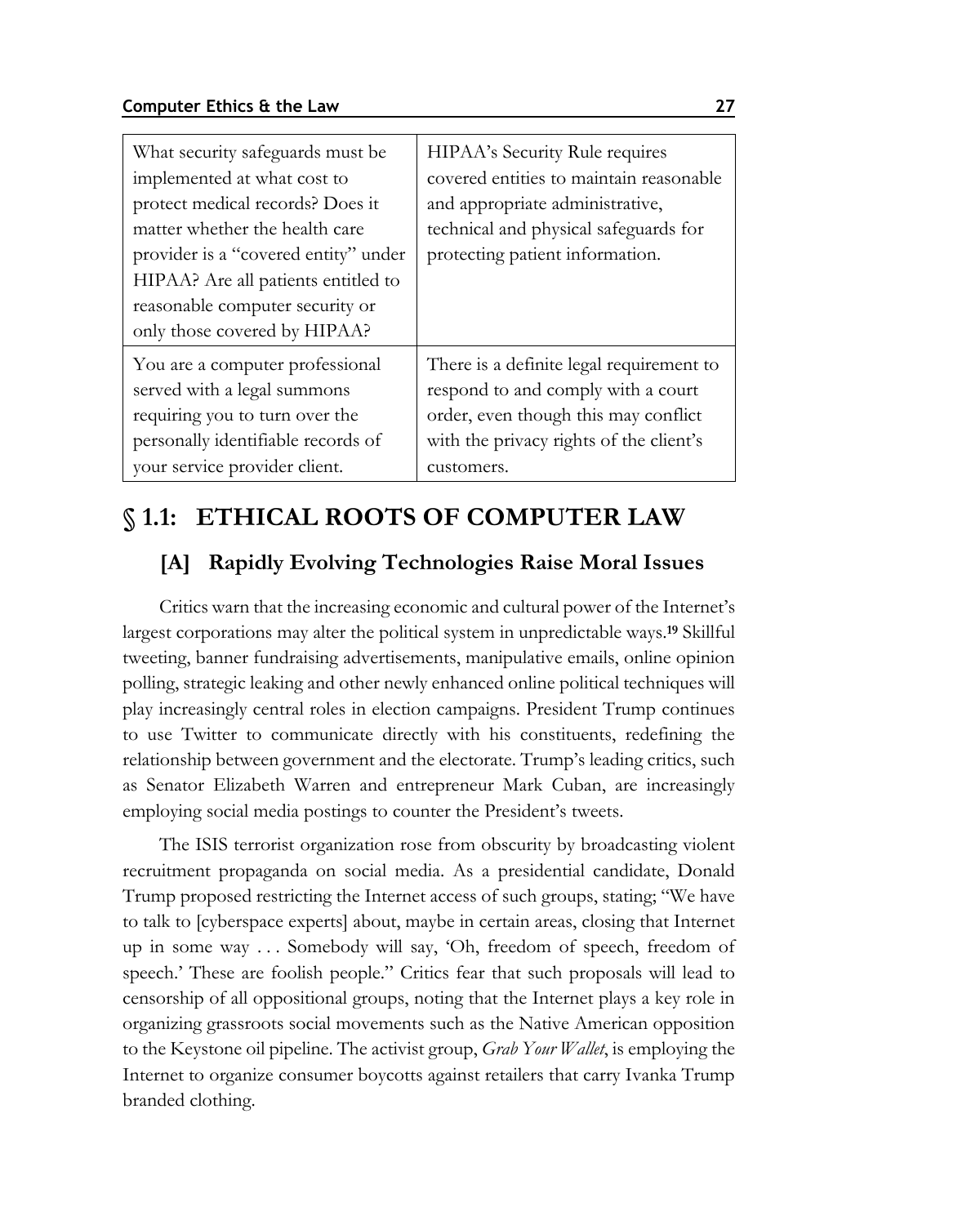| What security safeguards must be<br>implemented at what cost to<br>protect medical records? Does it<br>matter whether the health care<br>provider is a "covered entity" under<br>HIPAA? Are all patients entitled to<br>reasonable computer security or<br>only those covered by HIPAA? | HIPAA's Security Rule requires<br>covered entities to maintain reasonable<br>and appropriate administrative,<br>technical and physical safeguards for<br>protecting patient information. |
|-----------------------------------------------------------------------------------------------------------------------------------------------------------------------------------------------------------------------------------------------------------------------------------------|------------------------------------------------------------------------------------------------------------------------------------------------------------------------------------------|
| You are a computer professional                                                                                                                                                                                                                                                         | There is a definite legal requirement to                                                                                                                                                 |
| served with a legal summons                                                                                                                                                                                                                                                             | respond to and comply with a court                                                                                                                                                       |
| requiring you to turn over the                                                                                                                                                                                                                                                          | order, even though this may conflict                                                                                                                                                     |
| personally identifiable records of                                                                                                                                                                                                                                                      | with the privacy rights of the client's                                                                                                                                                  |
| your service provider client.                                                                                                                                                                                                                                                           | customers.                                                                                                                                                                               |

## **§ 1.1: ETHICAL ROOTS OF COMPUTER LAW**

## **[A] Rapidly Evolving Technologies Raise Moral Issues**

Critics warn that the increasing economic and cultural power of the Internet's largest corporations may alter the political system in unpredictable ways.**<sup>19</sup>** Skillful tweeting, banner fundraising advertisements, manipulative emails, online opinion polling, strategic leaking and other newly enhanced online political techniques will play increasingly central roles in election campaigns. President Trump continues to use Twitter to communicate directly with his constituents, redefining the relationship between government and the electorate. Trump's leading critics, such as Senator Elizabeth Warren and entrepreneur Mark Cuban, are increasingly employing social media postings to counter the President's tweets.

The ISIS terrorist organization rose from obscurity by broadcasting violent recruitment propaganda on social media. As a presidential candidate, Donald Trump proposed restricting the Internet access of such groups, stating; "We have to talk to [cyberspace experts] about, maybe in certain areas, closing that Internet up in some way . . . Somebody will say, 'Oh, freedom of speech, freedom of speech.' These are foolish people." Critics fear that such proposals will lead to censorship of all oppositional groups, noting that the Internet plays a key role in organizing grassroots social movements such as the Native American opposition to the Keystone oil pipeline. The activist group, *Grab Your Wallet*, is employing the Internet to organize consumer boycotts against retailers that carry Ivanka Trump branded clothing.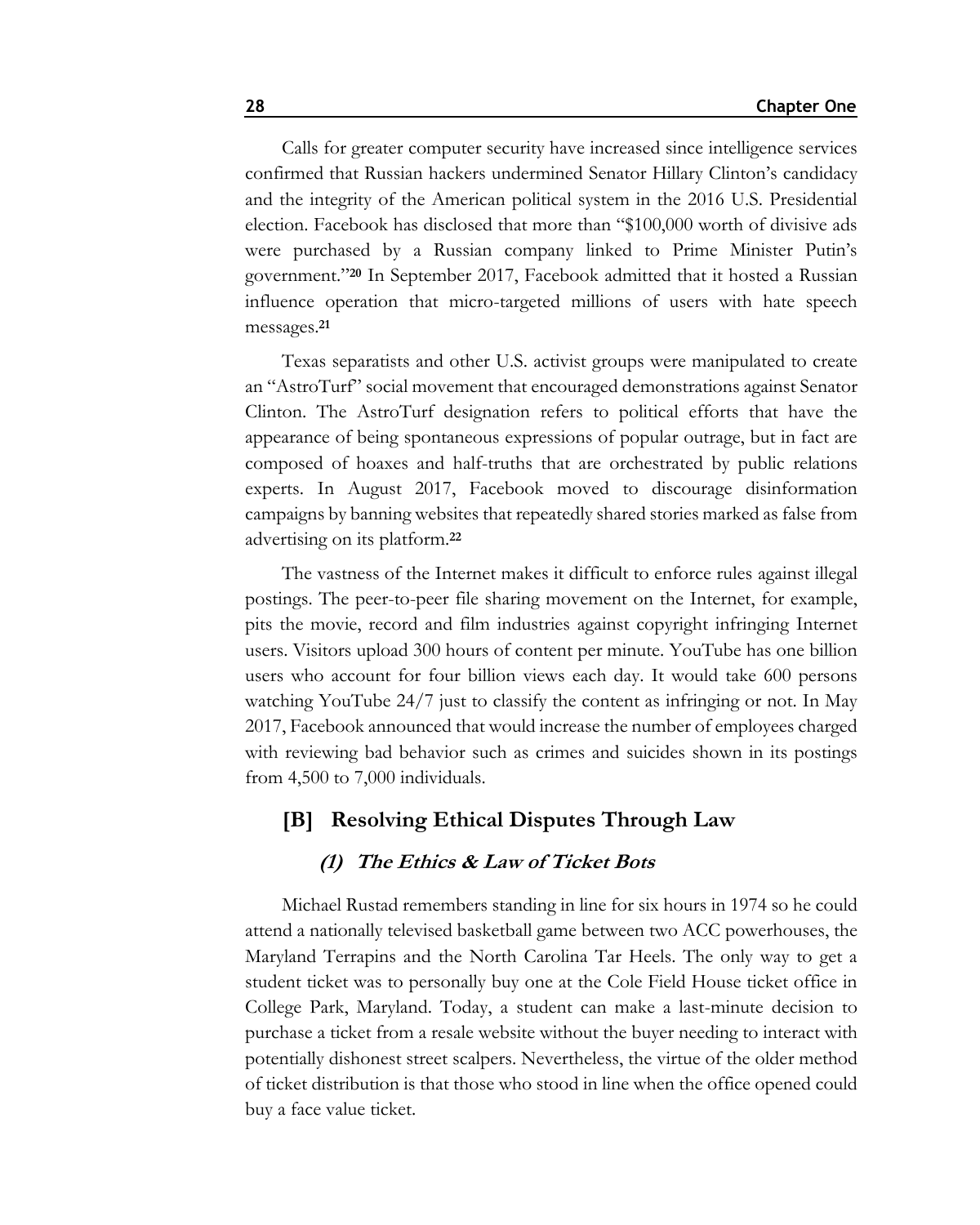Calls for greater computer security have increased since intelligence services confirmed that Russian hackers undermined Senator Hillary Clinton's candidacy and the integrity of the American political system in the 2016 U.S. Presidential election. Facebook has disclosed that more than "\$100,000 worth of divisive ads were purchased by a Russian company linked to Prime Minister Putin's government."**<sup>20</sup>** In September 2017, Facebook admitted that it hosted a Russian influence operation that micro-targeted millions of users with hate speech messages.**<sup>21</sup>**

Texas separatists and other U.S. activist groups were manipulated to create an "AstroTurf" social movement that encouraged demonstrations against Senator Clinton. The AstroTurf designation refers to political efforts that have the appearance of being spontaneous expressions of popular outrage, but in fact are composed of hoaxes and half-truths that are orchestrated by public relations experts. In August 2017, Facebook moved to discourage disinformation campaigns by banning websites that repeatedly shared stories marked as false from advertising on its platform.**<sup>22</sup>**

The vastness of the Internet makes it difficult to enforce rules against illegal postings. The peer-to-peer file sharing movement on the Internet, for example, pits the movie, record and film industries against copyright infringing Internet users. Visitors upload 300 hours of content per minute. YouTube has one billion users who account for four billion views each day. It would take 600 persons watching YouTube 24/7 just to classify the content as infringing or not. In May 2017, Facebook announced that would increase the number of employees charged with reviewing bad behavior such as crimes and suicides shown in its postings from 4,500 to 7,000 individuals.

## **[B] Resolving Ethical Disputes Through Law**

### **(1) The Ethics & Law of Ticket Bots**

Michael Rustad remembers standing in line for six hours in 1974 so he could attend a nationally televised basketball game between two ACC powerhouses, the Maryland Terrapins and the North Carolina Tar Heels. The only way to get a student ticket was to personally buy one at the Cole Field House ticket office in College Park, Maryland. Today, a student can make a last-minute decision to purchase a ticket from a resale website without the buyer needing to interact with potentially dishonest street scalpers. Nevertheless, the virtue of the older method of ticket distribution is that those who stood in line when the office opened could buy a face value ticket.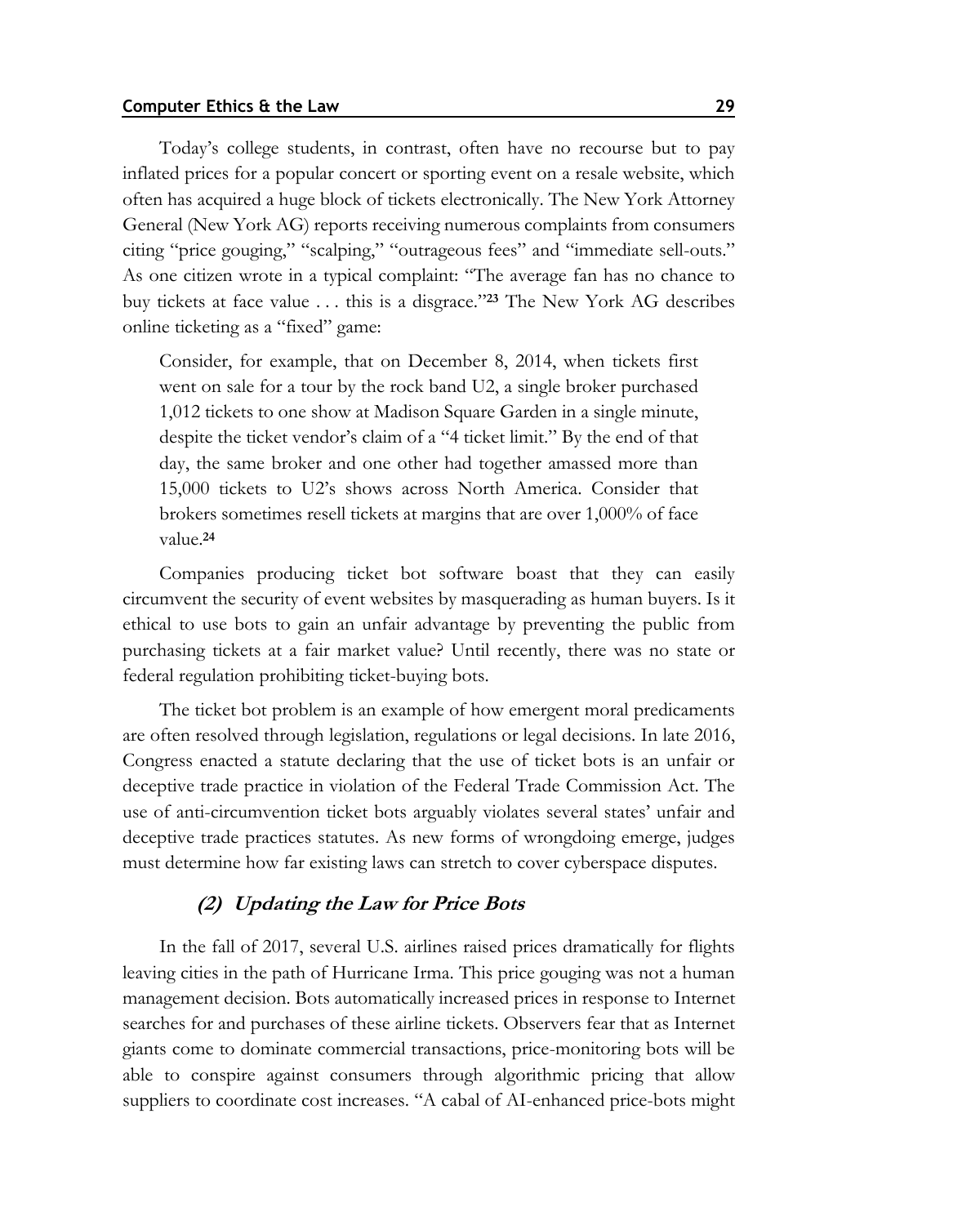Today's college students, in contrast, often have no recourse but to pay inflated prices for a popular concert or sporting event on a resale website, which often has acquired a huge block of tickets electronically. The New York Attorney General (New York AG) reports receiving numerous complaints from consumers citing "price gouging," "scalping," "outrageous fees" and "immediate sell-outs." As one citizen wrote in a typical complaint: "The average fan has no chance to buy tickets at face value . . . this is a disgrace."**<sup>23</sup>** The New York AG describes online ticketing as a "fixed" game:

Consider, for example, that on December 8, 2014, when tickets first went on sale for a tour by the rock band U2, a single broker purchased 1,012 tickets to one show at Madison Square Garden in a single minute, despite the ticket vendor's claim of a "4 ticket limit." By the end of that day, the same broker and one other had together amassed more than 15,000 tickets to U2's shows across North America. Consider that brokers sometimes resell tickets at margins that are over 1,000% of face value.**<sup>24</sup>**

Companies producing ticket bot software boast that they can easily circumvent the security of event websites by masquerading as human buyers. Is it ethical to use bots to gain an unfair advantage by preventing the public from purchasing tickets at a fair market value? Until recently, there was no state or federal regulation prohibiting ticket-buying bots.

The ticket bot problem is an example of how emergent moral predicaments are often resolved through legislation, regulations or legal decisions. In late 2016, Congress enacted a statute declaring that the use of ticket bots is an unfair or deceptive trade practice in violation of the Federal Trade Commission Act. The use of anti-circumvention ticket bots arguably violates several states' unfair and deceptive trade practices statutes. As new forms of wrongdoing emerge, judges must determine how far existing laws can stretch to cover cyberspace disputes.

### **(2) Updating the Law for Price Bots**

In the fall of 2017, several U.S. airlines raised prices dramatically for flights leaving cities in the path of Hurricane Irma. This price gouging was not a human management decision. Bots automatically increased prices in response to Internet searches for and purchases of these airline tickets. Observers fear that as Internet giants come to dominate commercial transactions, price-monitoring bots will be able to conspire against consumers through algorithmic pricing that allow suppliers to coordinate cost increases. "A cabal of AI-enhanced price-bots might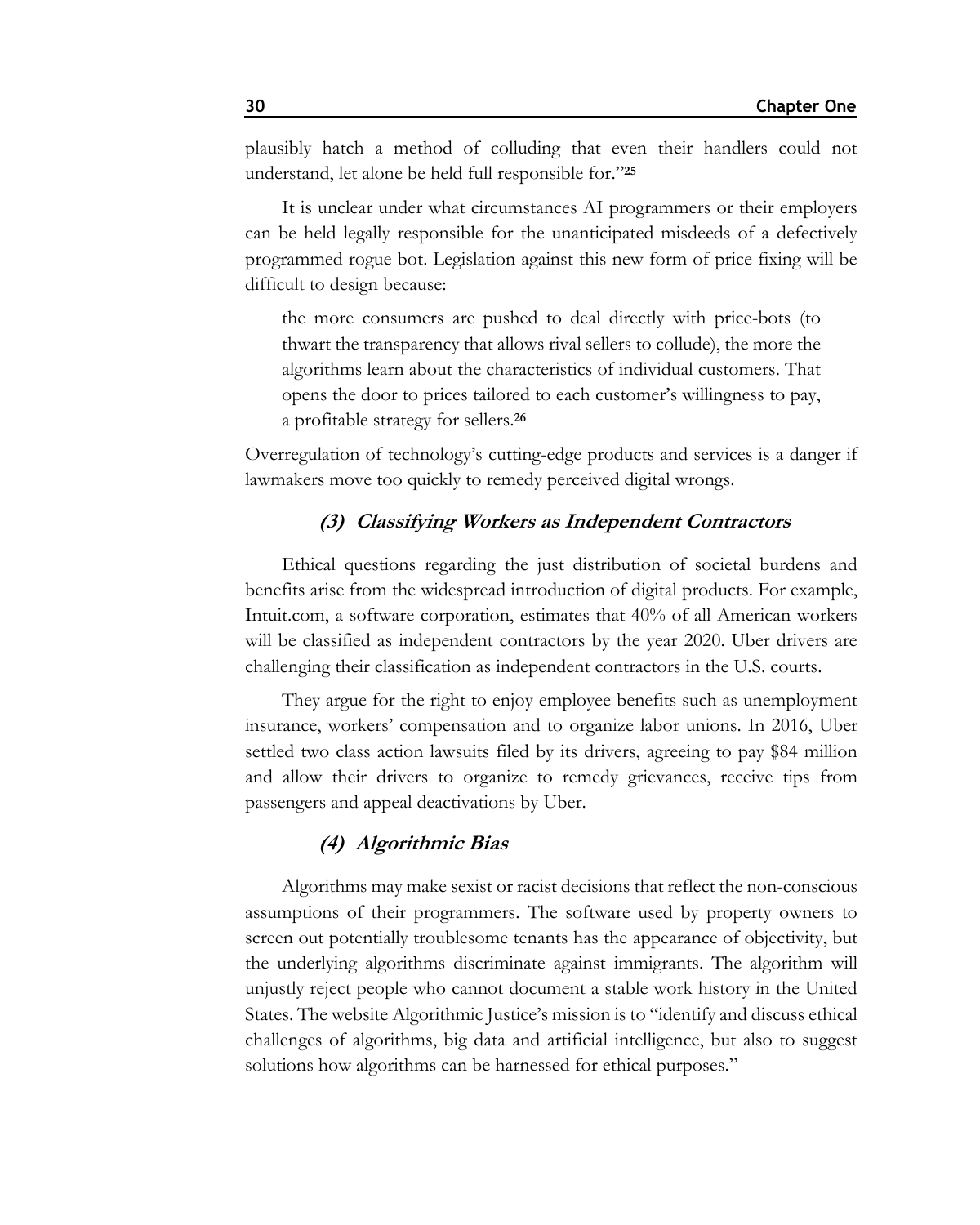plausibly hatch a method of colluding that even their handlers could not understand, let alone be held full responsible for."**<sup>25</sup>**

It is unclear under what circumstances AI programmers or their employers can be held legally responsible for the unanticipated misdeeds of a defectively programmed rogue bot. Legislation against this new form of price fixing will be difficult to design because:

the more consumers are pushed to deal directly with price-bots (to thwart the transparency that allows rival sellers to collude), the more the algorithms learn about the characteristics of individual customers. That opens the door to prices tailored to each customer's willingness to pay, a profitable strategy for sellers.**<sup>26</sup>**

Overregulation of technology's cutting-edge products and services is a danger if lawmakers move too quickly to remedy perceived digital wrongs.

### **(3) Classifying Workers as Independent Contractors**

Ethical questions regarding the just distribution of societal burdens and benefits arise from the widespread introduction of digital products. For example, Intuit.com, a software corporation, estimates that 40% of all American workers will be classified as independent contractors by the year 2020. Uber drivers are challenging their classification as independent contractors in the U.S. courts.

They argue for the right to enjoy employee benefits such as unemployment insurance, workers' compensation and to organize labor unions. In 2016, Uber settled two class action lawsuits filed by its drivers, agreeing to pay \$84 million and allow their drivers to organize to remedy grievances, receive tips from passengers and appeal deactivations by Uber.

### **(4) Algorithmic Bias**

Algorithms may make sexist or racist decisions that reflect the non-conscious assumptions of their programmers. The software used by property owners to screen out potentially troublesome tenants has the appearance of objectivity, but the underlying algorithms discriminate against immigrants. The algorithm will unjustly reject people who cannot document a stable work history in the United States. The website Algorithmic Justice's mission is to "identify and discuss ethical challenges of algorithms, big data and artificial intelligence, but also to suggest solutions how algorithms can be harnessed for ethical purposes."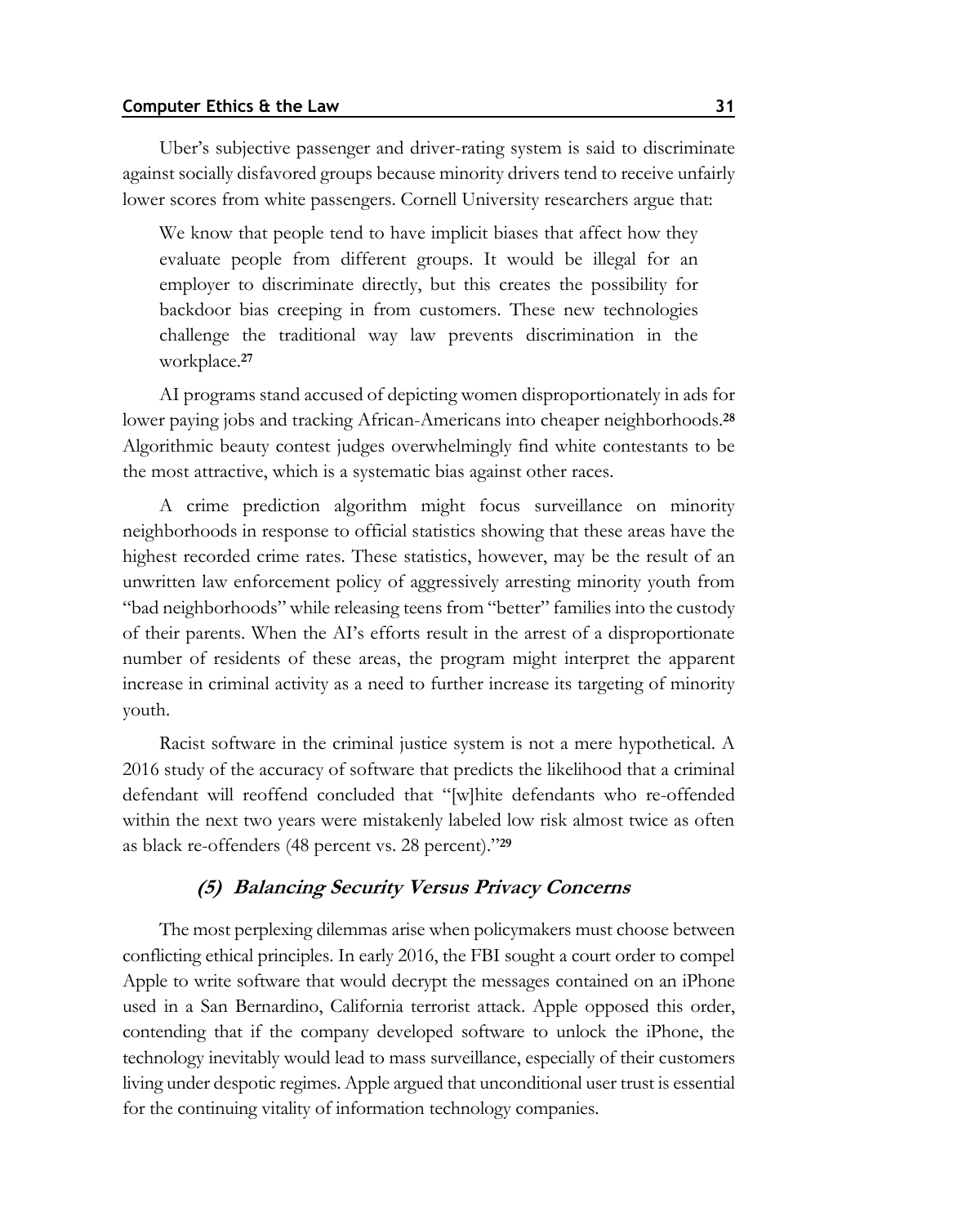Uber's subjective passenger and driver-rating system is said to discriminate against socially disfavored groups because minority drivers tend to receive unfairly lower scores from white passengers. Cornell University researchers argue that:

We know that people tend to have implicit biases that affect how they evaluate people from different groups. It would be illegal for an employer to discriminate directly, but this creates the possibility for backdoor bias creeping in from customers. These new technologies challenge the traditional way law prevents discrimination in the workplace.**<sup>27</sup>**

AI programs stand accused of depicting women disproportionately in ads for lower paying jobs and tracking African-Americans into cheaper neighborhoods.**<sup>28</sup>** Algorithmic beauty contest judges overwhelmingly find white contestants to be the most attractive, which is a systematic bias against other races.

A crime prediction algorithm might focus surveillance on minority neighborhoods in response to official statistics showing that these areas have the highest recorded crime rates. These statistics, however, may be the result of an unwritten law enforcement policy of aggressively arresting minority youth from "bad neighborhoods" while releasing teens from "better" families into the custody of their parents. When the AI's efforts result in the arrest of a disproportionate number of residents of these areas, the program might interpret the apparent increase in criminal activity as a need to further increase its targeting of minority youth.

Racist software in the criminal justice system is not a mere hypothetical. A 2016 study of the accuracy of software that predicts the likelihood that a criminal defendant will reoffend concluded that "[w]hite defendants who re-offended within the next two years were mistakenly labeled low risk almost twice as often as black re-offenders (48 percent vs. 28 percent)."**<sup>29</sup>**

### **(5) Balancing Security Versus Privacy Concerns**

The most perplexing dilemmas arise when policymakers must choose between conflicting ethical principles. In early 2016, the FBI sought a court order to compel Apple to write software that would decrypt the messages contained on an iPhone used in a San Bernardino, California terrorist attack. Apple opposed this order, contending that if the company developed software to unlock the iPhone, the technology inevitably would lead to mass surveillance, especially of their customers living under despotic regimes. Apple argued that unconditional user trust is essential for the continuing vitality of information technology companies.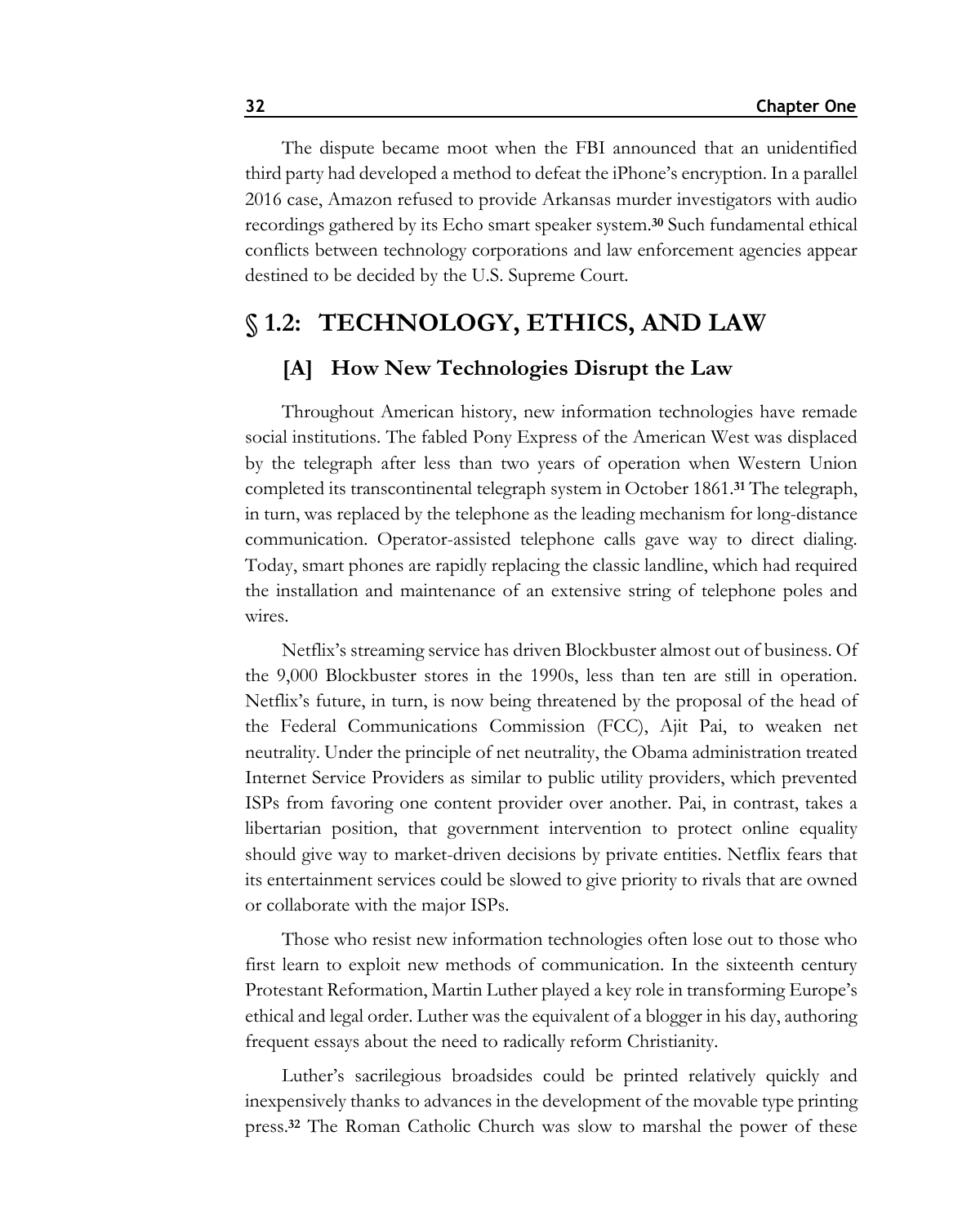The dispute became moot when the FBI announced that an unidentified third party had developed a method to defeat the iPhone's encryption. In a parallel 2016 case, Amazon refused to provide Arkansas murder investigators with audio recordings gathered by its Echo smart speaker system.**<sup>30</sup>** Such fundamental ethical conflicts between technology corporations and law enforcement agencies appear destined to be decided by the U.S. Supreme Court.

## **§ 1.2: TECHNOLOGY, ETHICS, AND LAW**

## **[A] How New Technologies Disrupt the Law**

Throughout American history, new information technologies have remade social institutions. The fabled Pony Express of the American West was displaced by the telegraph after less than two years of operation when Western Union completed its transcontinental telegraph system in October 1861.**<sup>31</sup>** The telegraph, in turn, was replaced by the telephone as the leading mechanism for long-distance communication. Operator-assisted telephone calls gave way to direct dialing. Today, smart phones are rapidly replacing the classic landline, which had required the installation and maintenance of an extensive string of telephone poles and wires.

Netflix's streaming service has driven Blockbuster almost out of business. Of the 9,000 Blockbuster stores in the 1990s, less than ten are still in operation. Netflix's future, in turn, is now being threatened by the proposal of the head of the Federal Communications Commission (FCC), Ajit Pai, to weaken net neutrality. Under the principle of net neutrality, the Obama administration treated Internet Service Providers as similar to public utility providers, which prevented ISPs from favoring one content provider over another. Pai, in contrast, takes a libertarian position, that government intervention to protect online equality should give way to market-driven decisions by private entities. Netflix fears that its entertainment services could be slowed to give priority to rivals that are owned or collaborate with the major ISPs.

Those who resist new information technologies often lose out to those who first learn to exploit new methods of communication. In the sixteenth century Protestant Reformation, Martin Luther played a key role in transforming Europe's ethical and legal order. Luther was the equivalent of a blogger in his day, authoring frequent essays about the need to radically reform Christianity.

Luther's sacrilegious broadsides could be printed relatively quickly and inexpensively thanks to advances in the development of the movable type printing press.**<sup>32</sup>** The Roman Catholic Church was slow to marshal the power of these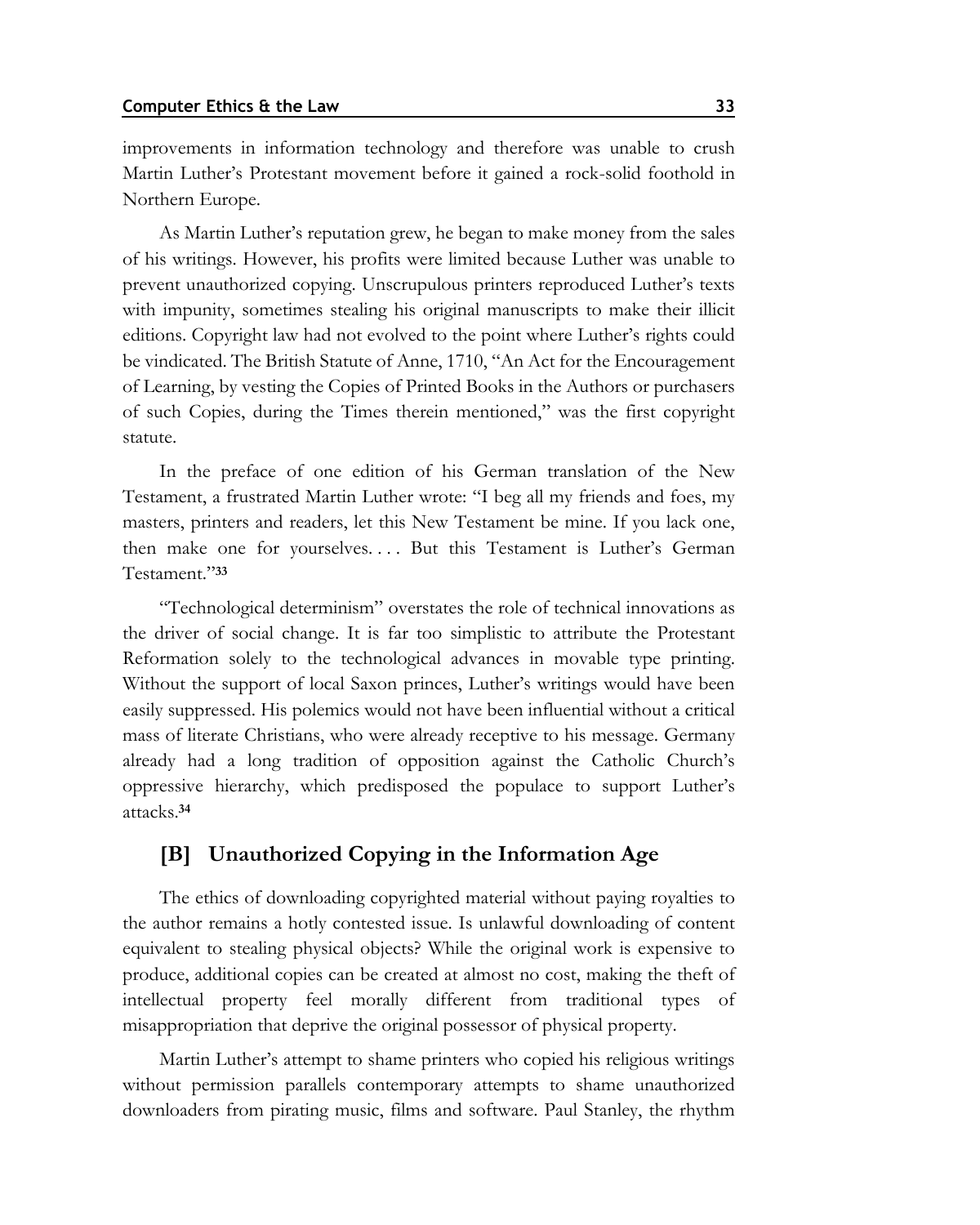improvements in information technology and therefore was unable to crush Martin Luther's Protestant movement before it gained a rock-solid foothold in Northern Europe.

As Martin Luther's reputation grew, he began to make money from the sales of his writings. However, his profits were limited because Luther was unable to prevent unauthorized copying. Unscrupulous printers reproduced Luther's texts with impunity, sometimes stealing his original manuscripts to make their illicit editions. Copyright law had not evolved to the point where Luther's rights could be vindicated. The British Statute of Anne, 1710, "An Act for the Encouragement of Learning, by vesting the Copies of Printed Books in the Authors or purchasers of such Copies, during the Times therein mentioned," was the first copyright statute.

In the preface of one edition of his German translation of the New Testament, a frustrated Martin Luther wrote: "I beg all my friends and foes, my masters, printers and readers, let this New Testament be mine. If you lack one, then make one for yourselves. . . . But this Testament is Luther's German Testament."**<sup>33</sup>**

"Technological determinism" overstates the role of technical innovations as the driver of social change. It is far too simplistic to attribute the Protestant Reformation solely to the technological advances in movable type printing. Without the support of local Saxon princes, Luther's writings would have been easily suppressed. His polemics would not have been influential without a critical mass of literate Christians, who were already receptive to his message. Germany already had a long tradition of opposition against the Catholic Church's oppressive hierarchy, which predisposed the populace to support Luther's attacks.**<sup>34</sup>**

## **[B] Unauthorized Copying in the Information Age**

The ethics of downloading copyrighted material without paying royalties to the author remains a hotly contested issue. Is unlawful downloading of content equivalent to stealing physical objects? While the original work is expensive to produce, additional copies can be created at almost no cost, making the theft of intellectual property feel morally different from traditional types of misappropriation that deprive the original possessor of physical property.

Martin Luther's attempt to shame printers who copied his religious writings without permission parallels contemporary attempts to shame unauthorized downloaders from pirating music, films and software. Paul Stanley, the rhythm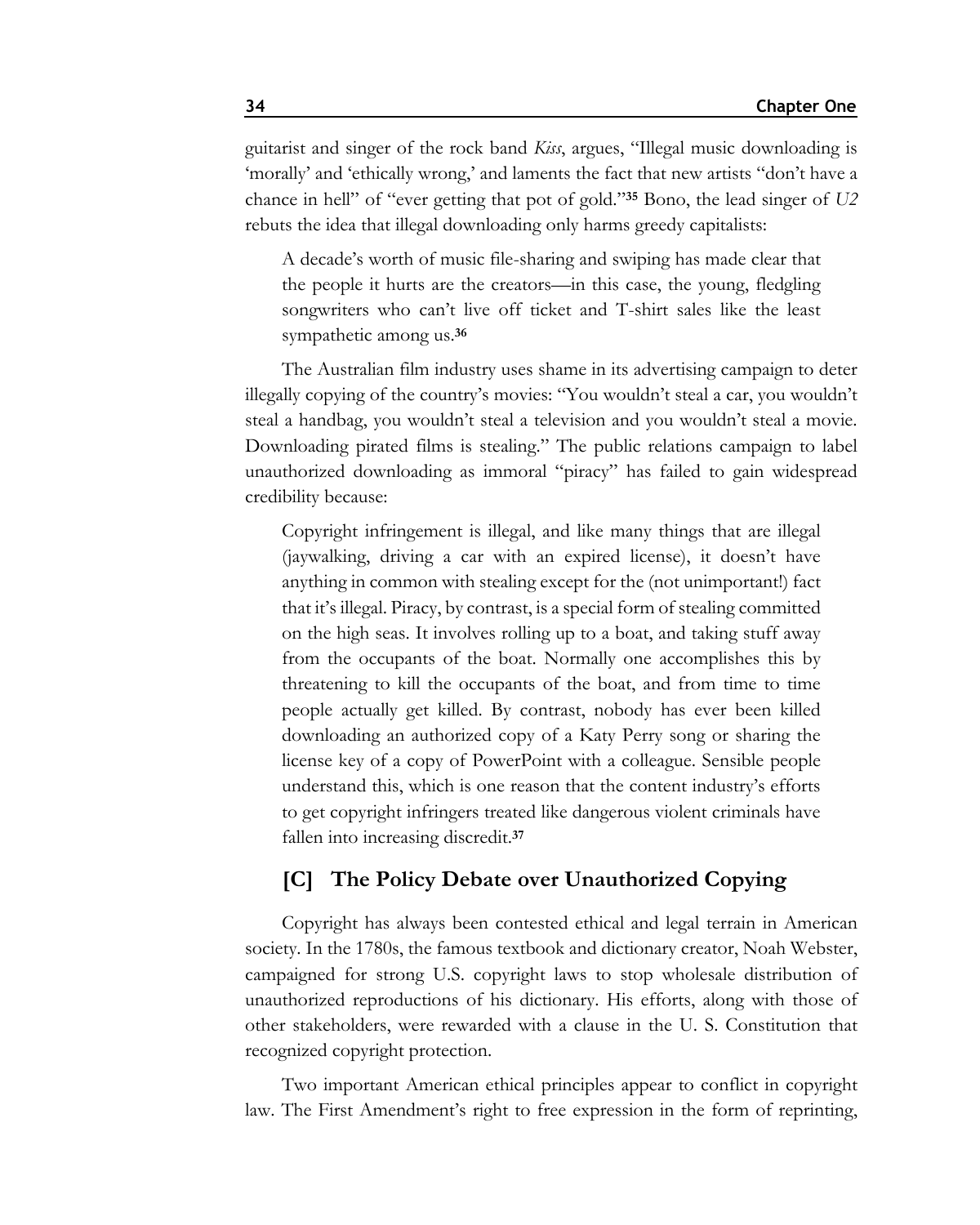guitarist and singer of the rock band *Kiss*, argues, "Illegal music downloading is 'morally' and 'ethically wrong,' and laments the fact that new artists "don't have a chance in hell" of "ever getting that pot of gold."**<sup>35</sup>** Bono, the lead singer of *U2* rebuts the idea that illegal downloading only harms greedy capitalists:

A decade's worth of music file-sharing and swiping has made clear that the people it hurts are the creators—in this case, the young, fledgling songwriters who can't live off ticket and T-shirt sales like the least sympathetic among us.**<sup>36</sup>**

The Australian film industry uses shame in its advertising campaign to deter illegally copying of the country's movies: "You wouldn't steal a car, you wouldn't steal a handbag, you wouldn't steal a television and you wouldn't steal a movie. Downloading pirated films is stealing." The public relations campaign to label unauthorized downloading as immoral "piracy" has failed to gain widespread credibility because:

Copyright infringement is illegal, and like many things that are illegal (jaywalking, driving a car with an expired license), it doesn't have anything in common with stealing except for the (not unimportant!) fact that it's illegal. Piracy, by contrast, is a special form of stealing committed on the high seas. It involves rolling up to a boat, and taking stuff away from the occupants of the boat. Normally one accomplishes this by threatening to kill the occupants of the boat, and from time to time people actually get killed. By contrast, nobody has ever been killed downloading an authorized copy of a Katy Perry song or sharing the license key of a copy of PowerPoint with a colleague. Sensible people understand this, which is one reason that the content industry's efforts to get copyright infringers treated like dangerous violent criminals have fallen into increasing discredit.**<sup>37</sup>**

## **[C] The Policy Debate over Unauthorized Copying**

Copyright has always been contested ethical and legal terrain in American society. In the 1780s, the famous textbook and dictionary creator, Noah Webster, campaigned for strong U.S. copyright laws to stop wholesale distribution of unauthorized reproductions of his dictionary. His efforts, along with those of other stakeholders, were rewarded with a clause in the U. S. Constitution that recognized copyright protection.

Two important American ethical principles appear to conflict in copyright law. The First Amendment's right to free expression in the form of reprinting,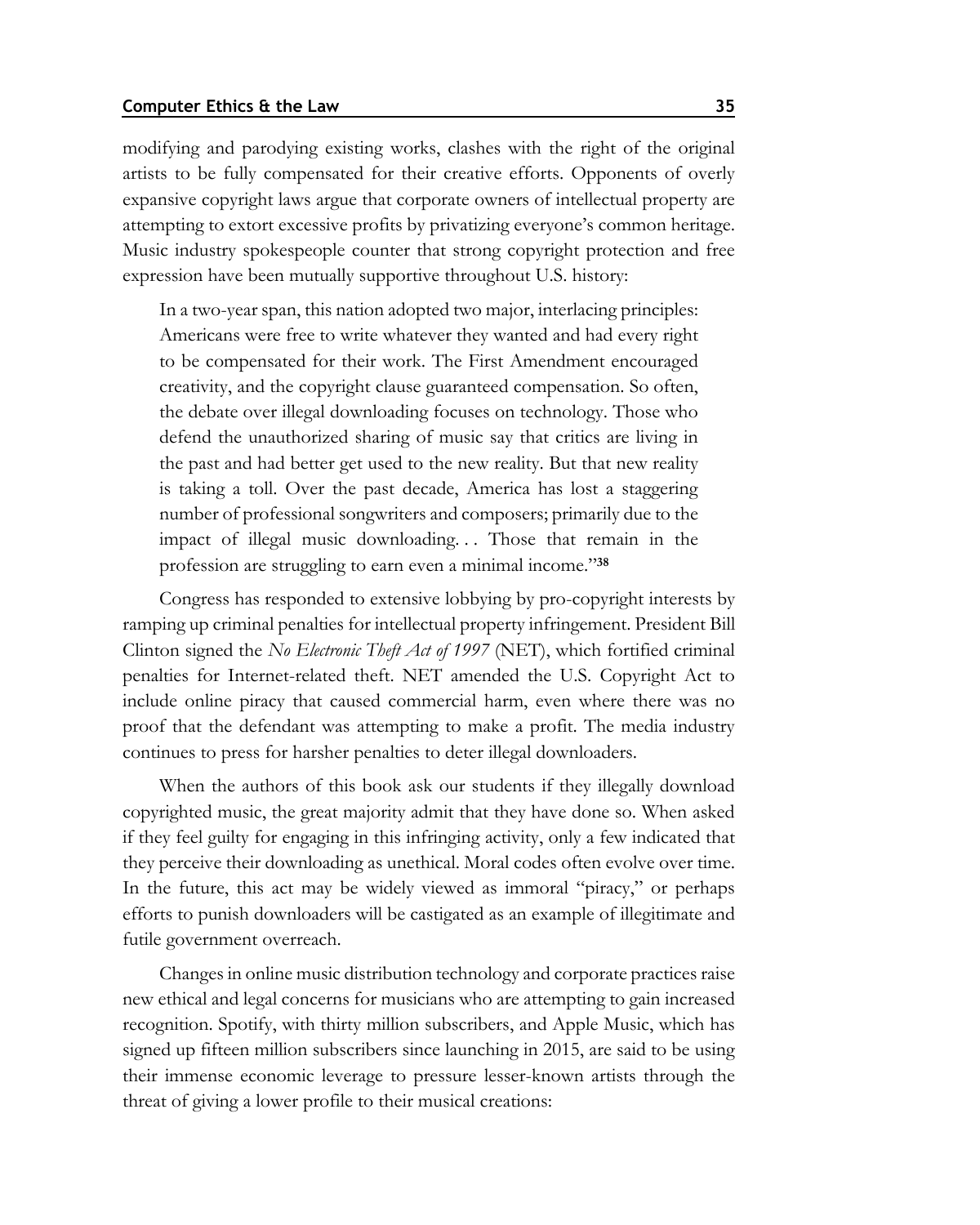#### **Computer Ethics & the Law 35**

modifying and parodying existing works, clashes with the right of the original artists to be fully compensated for their creative efforts. Opponents of overly expansive copyright laws argue that corporate owners of intellectual property are attempting to extort excessive profits by privatizing everyone's common heritage. Music industry spokespeople counter that strong copyright protection and free expression have been mutually supportive throughout U.S. history:

In a two-year span, this nation adopted two major, interlacing principles: Americans were free to write whatever they wanted and had every right to be compensated for their work. The First Amendment encouraged creativity, and the copyright clause guaranteed compensation. So often, the debate over illegal downloading focuses on technology. Those who defend the unauthorized sharing of music say that critics are living in the past and had better get used to the new reality. But that new reality is taking a toll. Over the past decade, America has lost a staggering number of professional songwriters and composers; primarily due to the impact of illegal music downloading. . . Those that remain in the profession are struggling to earn even a minimal income."**<sup>38</sup>**

Congress has responded to extensive lobbying by pro-copyright interests by ramping up criminal penalties for intellectual property infringement. President Bill Clinton signed the *No Electronic Theft Act of 1997* (NET), which fortified criminal penalties for Internet-related theft. NET amended the U.S. Copyright Act to include online piracy that caused commercial harm, even where there was no proof that the defendant was attempting to make a profit. The media industry continues to press for harsher penalties to deter illegal downloaders.

When the authors of this book ask our students if they illegally download copyrighted music, the great majority admit that they have done so. When asked if they feel guilty for engaging in this infringing activity, only a few indicated that they perceive their downloading as unethical. Moral codes often evolve over time. In the future, this act may be widely viewed as immoral "piracy," or perhaps efforts to punish downloaders will be castigated as an example of illegitimate and futile government overreach.

Changes in online music distribution technology and corporate practices raise new ethical and legal concerns for musicians who are attempting to gain increased recognition. Spotify, with thirty million subscribers, and Apple Music, which has signed up fifteen million subscribers since launching in 2015, are said to be using their immense economic leverage to pressure lesser-known artists through the threat of giving a lower profile to their musical creations: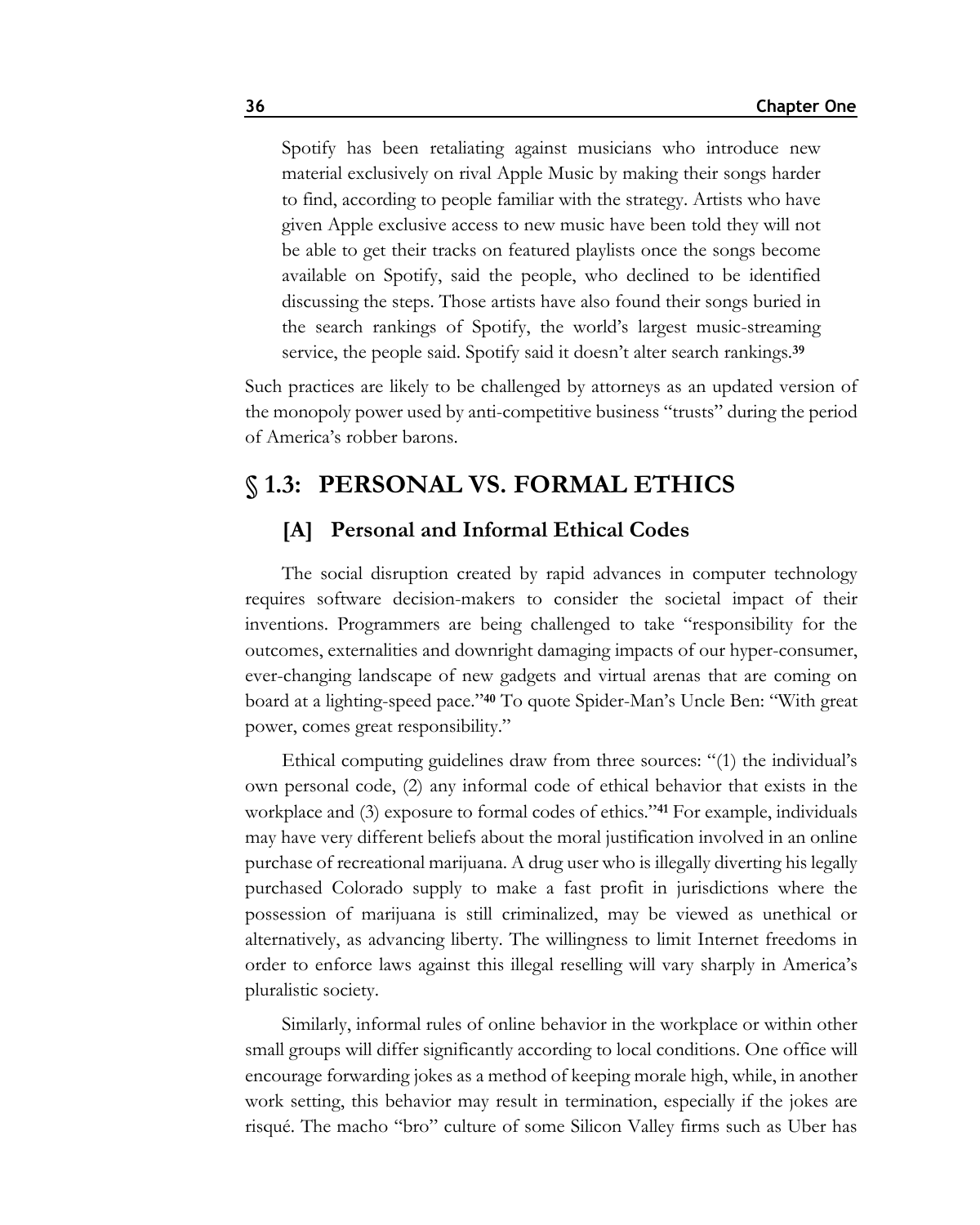Spotify has been retaliating against musicians who introduce new material exclusively on rival Apple Music by making their songs harder to find, according to people familiar with the strategy. Artists who have given Apple exclusive access to new music have been told they will not be able to get their tracks on featured playlists once the songs become available on Spotify, said the people, who declined to be identified discussing the steps. Those artists have also found their songs buried in the search rankings of Spotify, the world's largest music-streaming service, the people said. Spotify said it doesn't alter search rankings.**<sup>39</sup>**

Such practices are likely to be challenged by attorneys as an updated version of the monopoly power used by anti-competitive business "trusts" during the period of America's robber barons.

## **§ 1.3: PERSONAL VS. FORMAL ETHICS**

## **[A] Personal and Informal Ethical Codes**

The social disruption created by rapid advances in computer technology requires software decision-makers to consider the societal impact of their inventions. Programmers are being challenged to take "responsibility for the outcomes, externalities and downright damaging impacts of our hyper-consumer, ever-changing landscape of new gadgets and virtual arenas that are coming on board at a lighting-speed pace."**<sup>40</sup>** To quote Spider-Man's Uncle Ben: "With great power, comes great responsibility."

Ethical computing guidelines draw from three sources: "(1) the individual's own personal code, (2) any informal code of ethical behavior that exists in the workplace and (3) exposure to formal codes of ethics."**<sup>41</sup>** For example, individuals may have very different beliefs about the moral justification involved in an online purchase of recreational marijuana. A drug user who is illegally diverting his legally purchased Colorado supply to make a fast profit in jurisdictions where the possession of marijuana is still criminalized, may be viewed as unethical or alternatively, as advancing liberty. The willingness to limit Internet freedoms in order to enforce laws against this illegal reselling will vary sharply in America's pluralistic society.

Similarly, informal rules of online behavior in the workplace or within other small groups will differ significantly according to local conditions. One office will encourage forwarding jokes as a method of keeping morale high, while, in another work setting, this behavior may result in termination, especially if the jokes are risqué. The macho "bro" culture of some Silicon Valley firms such as Uber has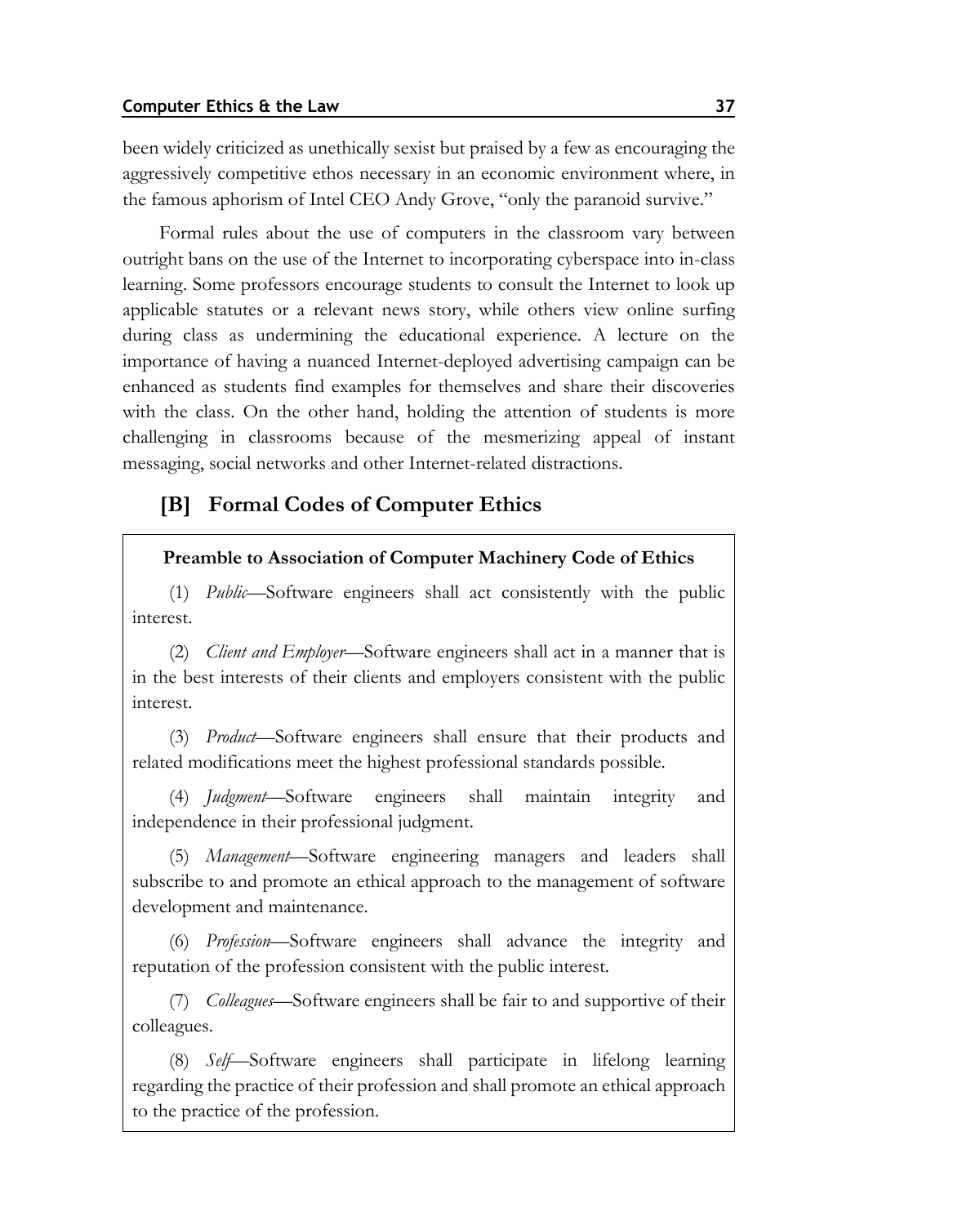been widely criticized as unethically sexist but praised by a few as encouraging the aggressively competitive ethos necessary in an economic environment where, in the famous aphorism of Intel CEO Andy Grove, "only the paranoid survive."

Formal rules about the use of computers in the classroom vary between outright bans on the use of the Internet to incorporating cyberspace into in-class learning. Some professors encourage students to consult the Internet to look up applicable statutes or a relevant news story, while others view online surfing during class as undermining the educational experience. A lecture on the importance of having a nuanced Internet-deployed advertising campaign can be enhanced as students find examples for themselves and share their discoveries with the class. On the other hand, holding the attention of students is more challenging in classrooms because of the mesmerizing appeal of instant messaging, social networks and other Internet-related distractions.

## **[B] Formal Codes of Computer Ethics**

### **Preamble to Association of Computer Machinery Code of Ethics**

(1) *Public*—Software engineers shall act consistently with the public interest.

(2) *Client and Employer*—Software engineers shall act in a manner that is in the best interests of their clients and employers consistent with the public interest.

(3) *Product*—Software engineers shall ensure that their products and related modifications meet the highest professional standards possible.

(4) *Judgment*—Software engineers shall maintain integrity and independence in their professional judgment.

(5) *Management*—Software engineering managers and leaders shall subscribe to and promote an ethical approach to the management of software development and maintenance.

(6) *Profession*—Software engineers shall advance the integrity and reputation of the profession consistent with the public interest.

(7) *Colleagues*—Software engineers shall be fair to and supportive of their colleagues.

(8) *Self*—Software engineers shall participate in lifelong learning regarding the practice of their profession and shall promote an ethical approach to the practice of the profession.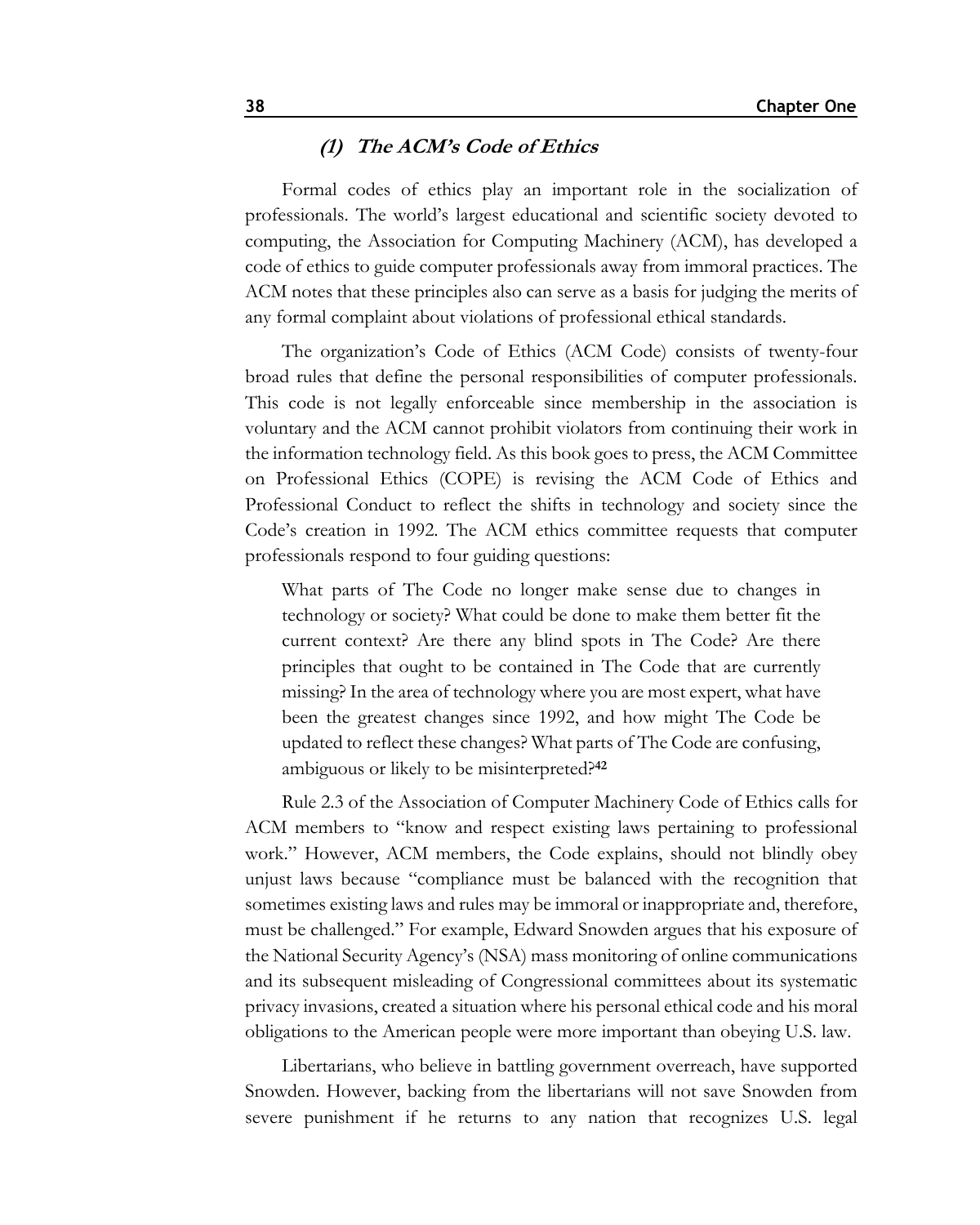### **(1) The ACM's Code of Ethics**

Formal codes of ethics play an important role in the socialization of professionals. The world's largest educational and scientific society devoted to computing, the Association for Computing Machinery (ACM), has developed a code of ethics to guide computer professionals away from immoral practices. The ACM notes that these principles also can serve as a basis for judging the merits of any formal complaint about violations of professional ethical standards.

The organization's Code of Ethics (ACM Code) consists of twenty-four broad rules that define the personal responsibilities of computer professionals. This code is not legally enforceable since membership in the association is voluntary and the ACM cannot prohibit violators from continuing their work in the information technology field. As this book goes to press, the ACM Committee on Professional Ethics (COPE) is revising the ACM Code of Ethics and Professional Conduct to reflect the shifts in technology and society since the Code's creation in 1992. The ACM ethics committee requests that computer professionals respond to four guiding questions:

What parts of The Code no longer make sense due to changes in technology or society? What could be done to make them better fit the current context? Are there any blind spots in The Code? Are there principles that ought to be contained in The Code that are currently missing? In the area of technology where you are most expert, what have been the greatest changes since 1992, and how might The Code be updated to reflect these changes? What parts of The Code are confusing, ambiguous or likely to be misinterpreted?**<sup>42</sup>**

Rule 2.3 of the Association of Computer Machinery Code of Ethics calls for ACM members to "know and respect existing laws pertaining to professional work." However, ACM members, the Code explains, should not blindly obey unjust laws because "compliance must be balanced with the recognition that sometimes existing laws and rules may be immoral or inappropriate and, therefore, must be challenged." For example, Edward Snowden argues that his exposure of the National Security Agency's (NSA) mass monitoring of online communications and its subsequent misleading of Congressional committees about its systematic privacy invasions, created a situation where his personal ethical code and his moral obligations to the American people were more important than obeying U.S. law.

Libertarians, who believe in battling government overreach, have supported Snowden. However, backing from the libertarians will not save Snowden from severe punishment if he returns to any nation that recognizes U.S. legal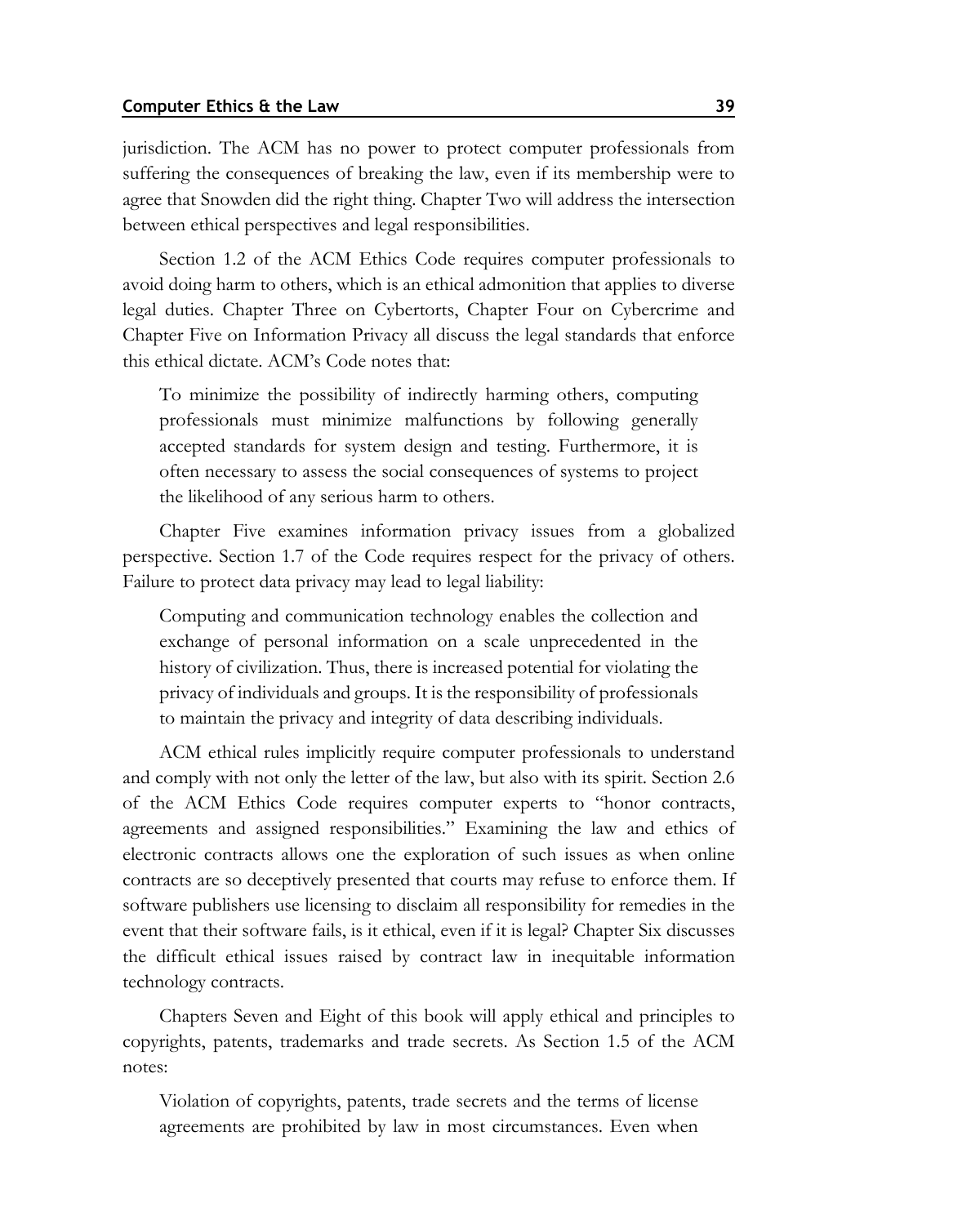jurisdiction. The ACM has no power to protect computer professionals from suffering the consequences of breaking the law, even if its membership were to agree that Snowden did the right thing. Chapter Two will address the intersection between ethical perspectives and legal responsibilities.

Section 1.2 of the ACM Ethics Code requires computer professionals to avoid doing harm to others, which is an ethical admonition that applies to diverse legal duties. Chapter Three on Cybertorts, Chapter Four on Cybercrime and Chapter Five on Information Privacy all discuss the legal standards that enforce this ethical dictate. ACM's Code notes that:

To minimize the possibility of indirectly harming others, computing professionals must minimize malfunctions by following generally accepted standards for system design and testing. Furthermore, it is often necessary to assess the social consequences of systems to project the likelihood of any serious harm to others.

Chapter Five examines information privacy issues from a globalized perspective. Section 1.7 of the Code requires respect for the privacy of others. Failure to protect data privacy may lead to legal liability:

Computing and communication technology enables the collection and exchange of personal information on a scale unprecedented in the history of civilization. Thus, there is increased potential for violating the privacy of individuals and groups. It is the responsibility of professionals to maintain the privacy and integrity of data describing individuals.

ACM ethical rules implicitly require computer professionals to understand and comply with not only the letter of the law, but also with its spirit. Section 2.6 of the ACM Ethics Code requires computer experts to "honor contracts, agreements and assigned responsibilities." Examining the law and ethics of electronic contracts allows one the exploration of such issues as when online contracts are so deceptively presented that courts may refuse to enforce them. If software publishers use licensing to disclaim all responsibility for remedies in the event that their software fails, is it ethical, even if it is legal? Chapter Six discusses the difficult ethical issues raised by contract law in inequitable information technology contracts.

Chapters Seven and Eight of this book will apply ethical and principles to copyrights, patents, trademarks and trade secrets. As Section 1.5 of the ACM notes:

Violation of copyrights, patents, trade secrets and the terms of license agreements are prohibited by law in most circumstances. Even when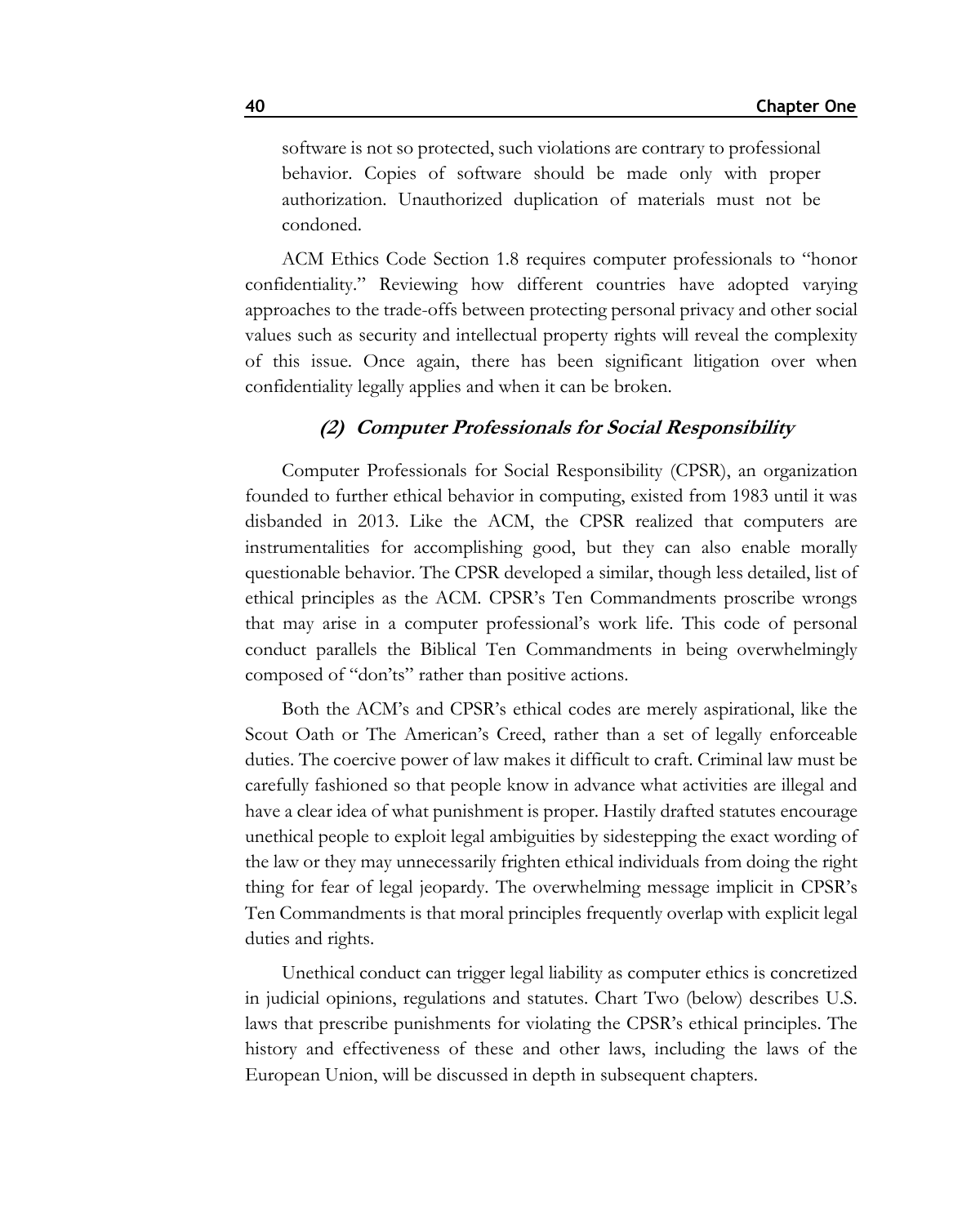software is not so protected, such violations are contrary to professional behavior. Copies of software should be made only with proper authorization. Unauthorized duplication of materials must not be condoned.

ACM Ethics Code Section 1.8 requires computer professionals to "honor confidentiality." Reviewing how different countries have adopted varying approaches to the trade-offs between protecting personal privacy and other social values such as security and intellectual property rights will reveal the complexity of this issue. Once again, there has been significant litigation over when confidentiality legally applies and when it can be broken.

### **(2) Computer Professionals for Social Responsibility**

Computer Professionals for Social Responsibility (CPSR), an organization founded to further ethical behavior in computing, existed from 1983 until it was disbanded in 2013. Like the ACM, the CPSR realized that computers are instrumentalities for accomplishing good, but they can also enable morally questionable behavior. The CPSR developed a similar, though less detailed, list of ethical principles as the ACM. CPSR's Ten Commandments proscribe wrongs that may arise in a computer professional's work life. This code of personal conduct parallels the Biblical Ten Commandments in being overwhelmingly composed of "don'ts" rather than positive actions.

Both the ACM's and CPSR's ethical codes are merely aspirational, like the Scout Oath or The American's Creed, rather than a set of legally enforceable duties. The coercive power of law makes it difficult to craft. Criminal law must be carefully fashioned so that people know in advance what activities are illegal and have a clear idea of what punishment is proper. Hastily drafted statutes encourage unethical people to exploit legal ambiguities by sidestepping the exact wording of the law or they may unnecessarily frighten ethical individuals from doing the right thing for fear of legal jeopardy. The overwhelming message implicit in CPSR's Ten Commandments is that moral principles frequently overlap with explicit legal duties and rights.

Unethical conduct can trigger legal liability as computer ethics is concretized in judicial opinions, regulations and statutes. Chart Two (below) describes U.S. laws that prescribe punishments for violating the CPSR's ethical principles. The history and effectiveness of these and other laws, including the laws of the European Union, will be discussed in depth in subsequent chapters.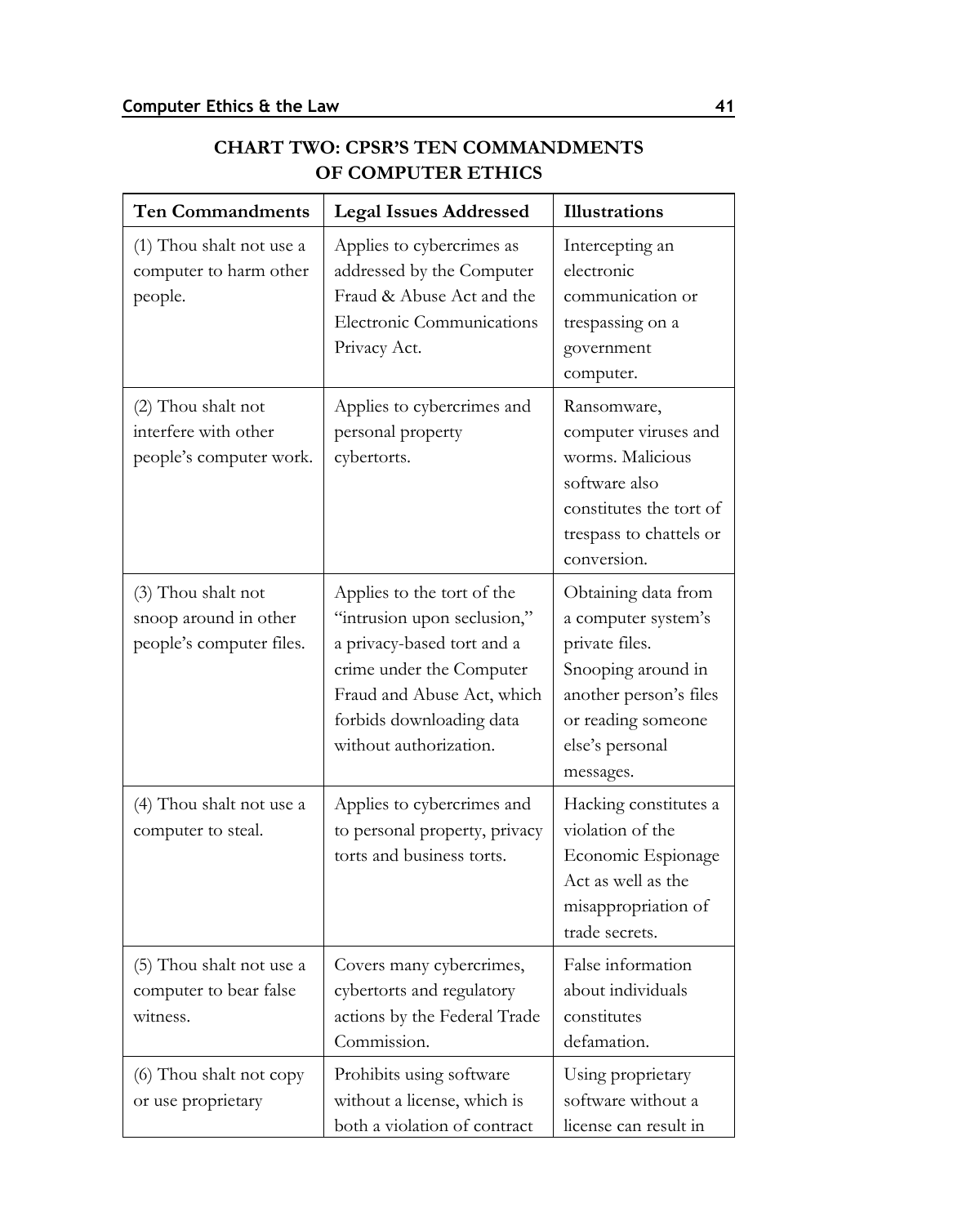ı

| <b>Ten Commandments</b>                                                 | <b>Legal Issues Addressed</b>                                                                                                                                                                           | <b>Illustrations</b>                                                                                                                                               |
|-------------------------------------------------------------------------|---------------------------------------------------------------------------------------------------------------------------------------------------------------------------------------------------------|--------------------------------------------------------------------------------------------------------------------------------------------------------------------|
| (1) Thou shalt not use a<br>computer to harm other<br>people.           | Applies to cybercrimes as<br>addressed by the Computer<br>Fraud & Abuse Act and the<br>Electronic Communications<br>Privacy Act.                                                                        | Intercepting an<br>electronic<br>communication or<br>trespassing on a<br>government<br>computer.                                                                   |
| (2) Thou shalt not<br>interfere with other<br>people's computer work.   | Applies to cybercrimes and<br>personal property<br>cybertorts.                                                                                                                                          | Ransomware,<br>computer viruses and<br>worms. Malicious<br>software also<br>constitutes the tort of<br>trespass to chattels or<br>conversion.                      |
| (3) Thou shalt not<br>snoop around in other<br>people's computer files. | Applies to the tort of the<br>"intrusion upon seclusion,"<br>a privacy-based tort and a<br>crime under the Computer<br>Fraud and Abuse Act, which<br>forbids downloading data<br>without authorization. | Obtaining data from<br>a computer system's<br>private files.<br>Snooping around in<br>another person's files<br>or reading someone<br>else's personal<br>messages. |
| (4) Thou shalt not use a<br>computer to steal.                          | Applies to cybercrimes and<br>to personal property, privacy<br>torts and business torts.                                                                                                                | Hacking constitutes a<br>violation of the<br>Economic Espionage<br>Act as well as the<br>misappropriation of<br>trade secrets.                                     |
| (5) Thou shalt not use a<br>computer to bear false<br>witness.          | Covers many cybercrimes,<br>cybertorts and regulatory<br>actions by the Federal Trade<br>Commission.                                                                                                    | False information<br>about individuals<br>constitutes<br>defamation.                                                                                               |
| (6) Thou shalt not copy<br>or use proprietary                           | Prohibits using software<br>without a license, which is<br>both a violation of contract                                                                                                                 | Using proprietary<br>software without a<br>license can result in                                                                                                   |

## **CHART TWO: CPSR'S TEN COMMANDMENTS OF COMPUTER ETHICS**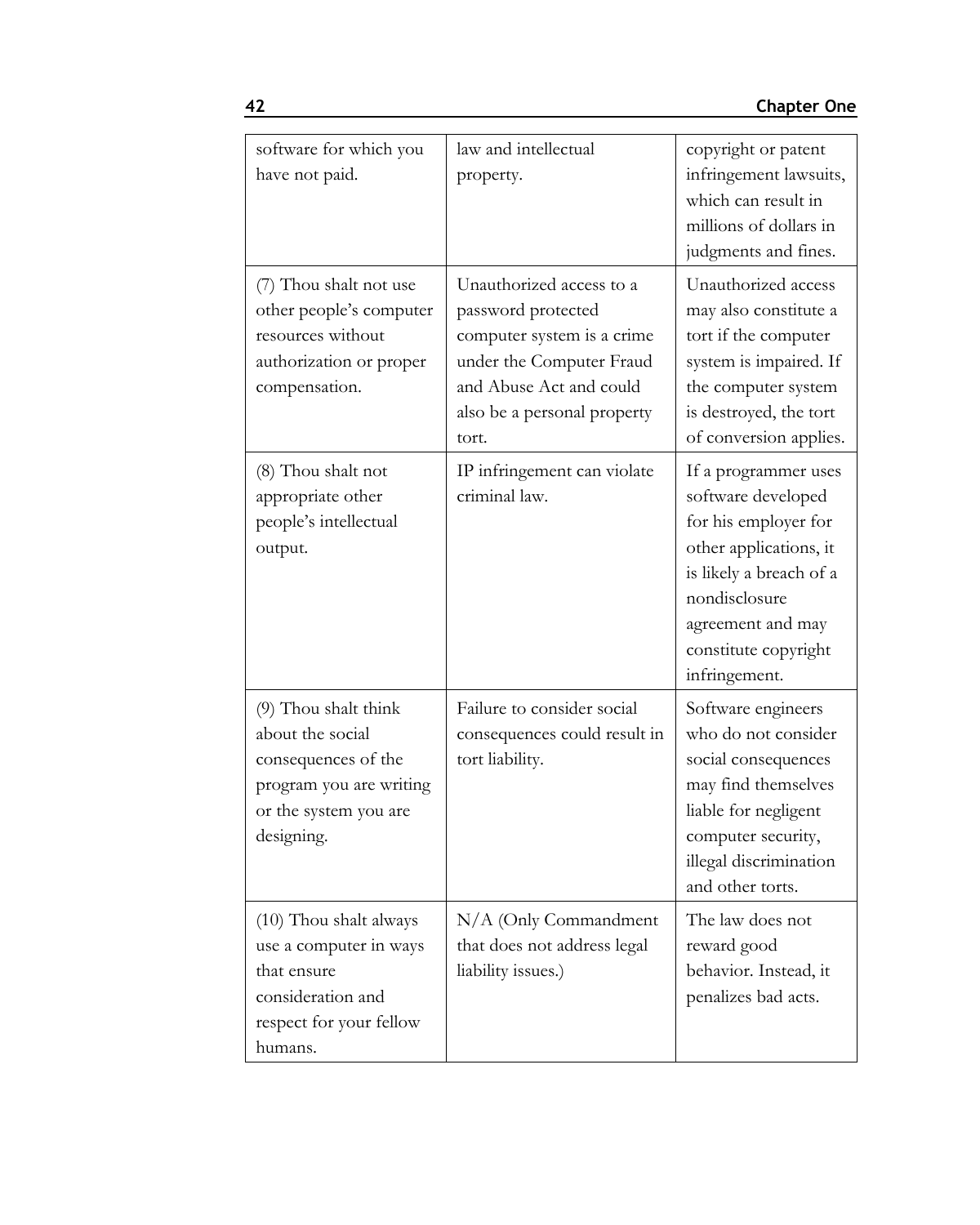| software for which you<br>have not paid.                                                                                          | law and intellectual<br>property.                                                                                                                                           | copyright or patent<br>infringement lawsuits,<br>which can result in<br>millions of dollars in<br>judgments and fines.                                                                                 |
|-----------------------------------------------------------------------------------------------------------------------------------|-----------------------------------------------------------------------------------------------------------------------------------------------------------------------------|--------------------------------------------------------------------------------------------------------------------------------------------------------------------------------------------------------|
| (7) Thou shalt not use<br>other people's computer<br>resources without<br>authorization or proper<br>compensation.                | Unauthorized access to a<br>password protected<br>computer system is a crime<br>under the Computer Fraud<br>and Abuse Act and could<br>also be a personal property<br>tort. | Unauthorized access<br>may also constitute a<br>tort if the computer<br>system is impaired. If<br>the computer system<br>is destroyed, the tort<br>of conversion applies.                              |
| (8) Thou shalt not<br>appropriate other<br>people's intellectual<br>output.                                                       | IP infringement can violate<br>criminal law.                                                                                                                                | If a programmer uses<br>software developed<br>for his employer for<br>other applications, it<br>is likely a breach of a<br>nondisclosure<br>agreement and may<br>constitute copyright<br>infringement. |
| (9) Thou shalt think<br>about the social<br>consequences of the<br>program you are writing<br>or the system you are<br>designing. | Failure to consider social<br>consequences could result in<br>tort liability.                                                                                               | Software engineers<br>who do not consider<br>social consequences<br>may find themselves<br>liable for negligent<br>computer security,<br>illegal discrimination<br>and other torts.                    |
| (10) Thou shalt always<br>use a computer in ways<br>that ensure<br>consideration and<br>respect for your fellow<br>humans.        | N/A (Only Commandment<br>that does not address legal<br>liability issues.)                                                                                                  | The law does not<br>reward good<br>behavior. Instead, it<br>penalizes bad acts.                                                                                                                        |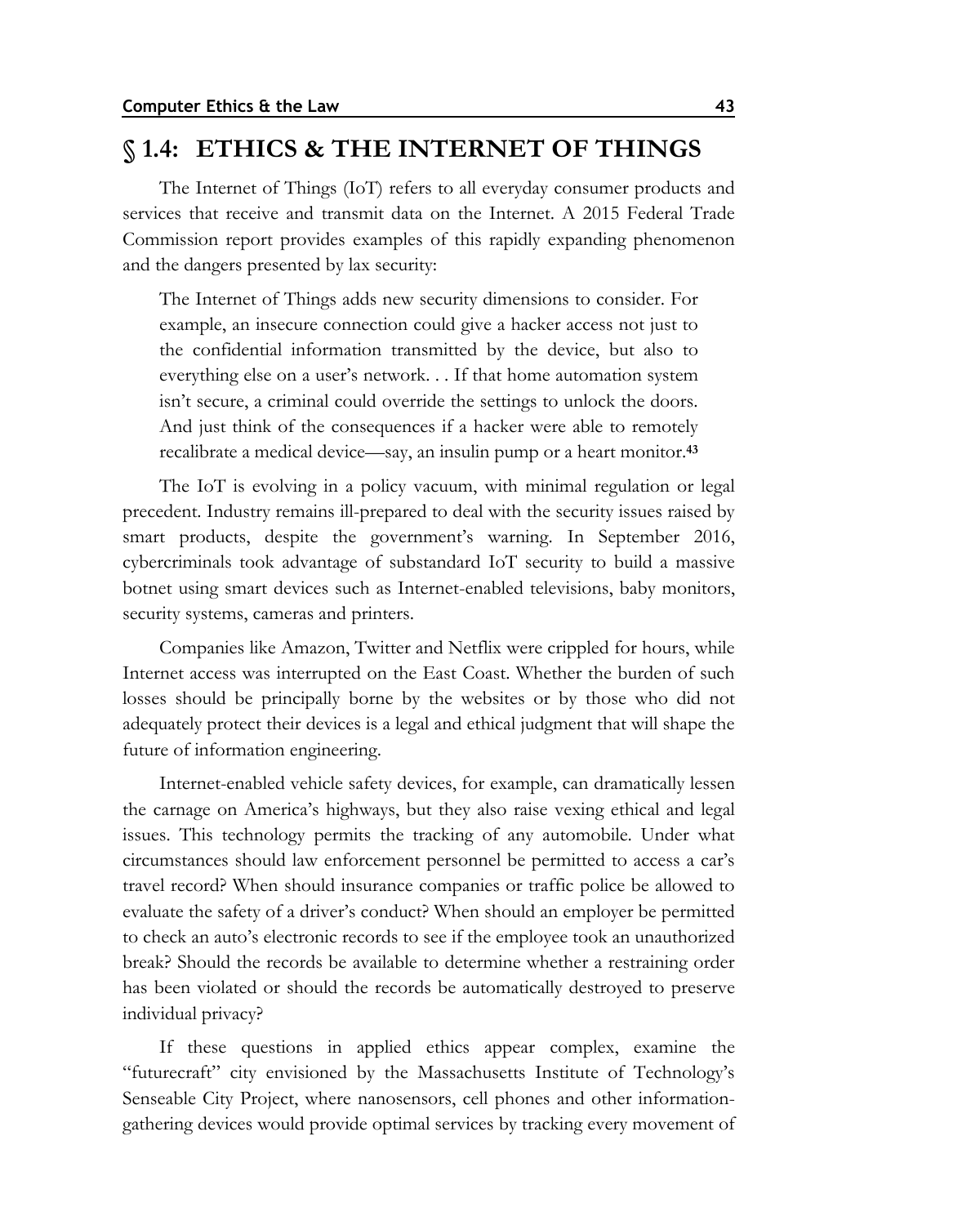## **§ 1.4: ETHICS & THE INTERNET OF THINGS**

The Internet of Things (IoT) refers to all everyday consumer products and services that receive and transmit data on the Internet. A 2015 Federal Trade Commission report provides examples of this rapidly expanding phenomenon and the dangers presented by lax security:

The Internet of Things adds new security dimensions to consider. For example, an insecure connection could give a hacker access not just to the confidential information transmitted by the device, but also to everything else on a user's network. . . If that home automation system isn't secure, a criminal could override the settings to unlock the doors. And just think of the consequences if a hacker were able to remotely recalibrate a medical device—say, an insulin pump or a heart monitor.**<sup>43</sup>**

The IoT is evolving in a policy vacuum, with minimal regulation or legal precedent. Industry remains ill-prepared to deal with the security issues raised by smart products, despite the government's warning. In September 2016, cybercriminals took advantage of substandard IoT security to build a massive botnet using smart devices such as Internet-enabled televisions, baby monitors, security systems, cameras and printers.

Companies like Amazon, Twitter and Netflix were crippled for hours, while Internet access was interrupted on the East Coast. Whether the burden of such losses should be principally borne by the websites or by those who did not adequately protect their devices is a legal and ethical judgment that will shape the future of information engineering.

Internet-enabled vehicle safety devices, for example, can dramatically lessen the carnage on America's highways, but they also raise vexing ethical and legal issues. This technology permits the tracking of any automobile. Under what circumstances should law enforcement personnel be permitted to access a car's travel record? When should insurance companies or traffic police be allowed to evaluate the safety of a driver's conduct? When should an employer be permitted to check an auto's electronic records to see if the employee took an unauthorized break? Should the records be available to determine whether a restraining order has been violated or should the records be automatically destroyed to preserve individual privacy?

If these questions in applied ethics appear complex, examine the "futurecraft" city envisioned by the Massachusetts Institute of Technology's Senseable City Project, where nanosensors, cell phones and other informationgathering devices would provide optimal services by tracking every movement of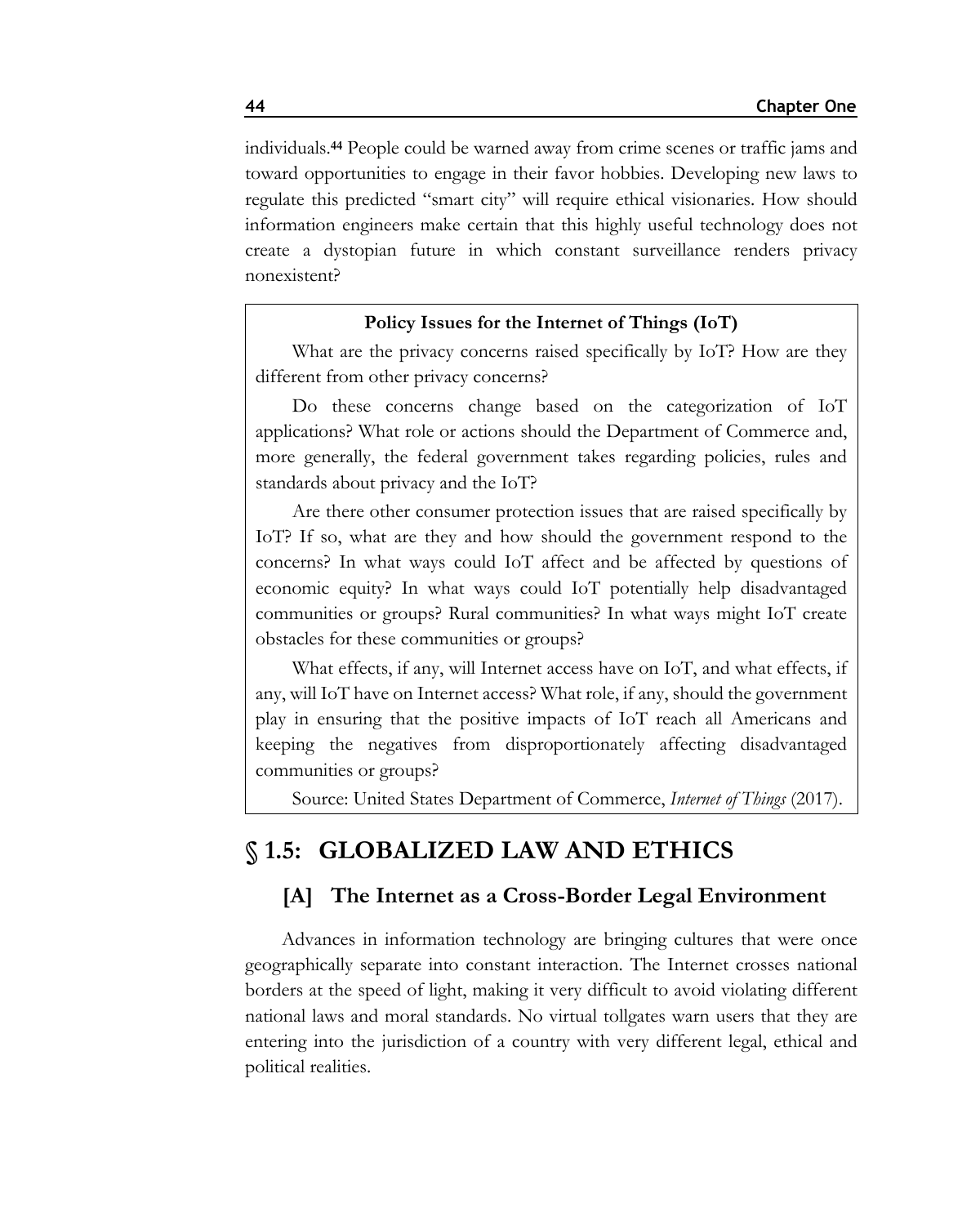individuals.**<sup>44</sup>** People could be warned away from crime scenes or traffic jams and toward opportunities to engage in their favor hobbies. Developing new laws to regulate this predicted "smart city" will require ethical visionaries. How should information engineers make certain that this highly useful technology does not create a dystopian future in which constant surveillance renders privacy nonexistent?

#### **Policy Issues for the Internet of Things (IoT)**

What are the privacy concerns raised specifically by IoT? How are they different from other privacy concerns?

Do these concerns change based on the categorization of IoT applications? What role or actions should the Department of Commerce and, more generally, the federal government takes regarding policies, rules and standards about privacy and the IoT?

Are there other consumer protection issues that are raised specifically by IoT? If so, what are they and how should the government respond to the concerns? In what ways could IoT affect and be affected by questions of economic equity? In what ways could IoT potentially help disadvantaged communities or groups? Rural communities? In what ways might IoT create obstacles for these communities or groups?

What effects, if any, will Internet access have on IoT, and what effects, if any, will IoT have on Internet access? What role, if any, should the government play in ensuring that the positive impacts of IoT reach all Americans and keeping the negatives from disproportionately affecting disadvantaged communities or groups?

Source: United States Department of Commerce, *Internet of Things* (2017).

## **§ 1.5: GLOBALIZED LAW AND ETHICS**

### **[A] The Internet as a Cross-Border Legal Environment**

Advances in information technology are bringing cultures that were once geographically separate into constant interaction. The Internet crosses national borders at the speed of light, making it very difficult to avoid violating different national laws and moral standards. No virtual tollgates warn users that they are entering into the jurisdiction of a country with very different legal, ethical and political realities.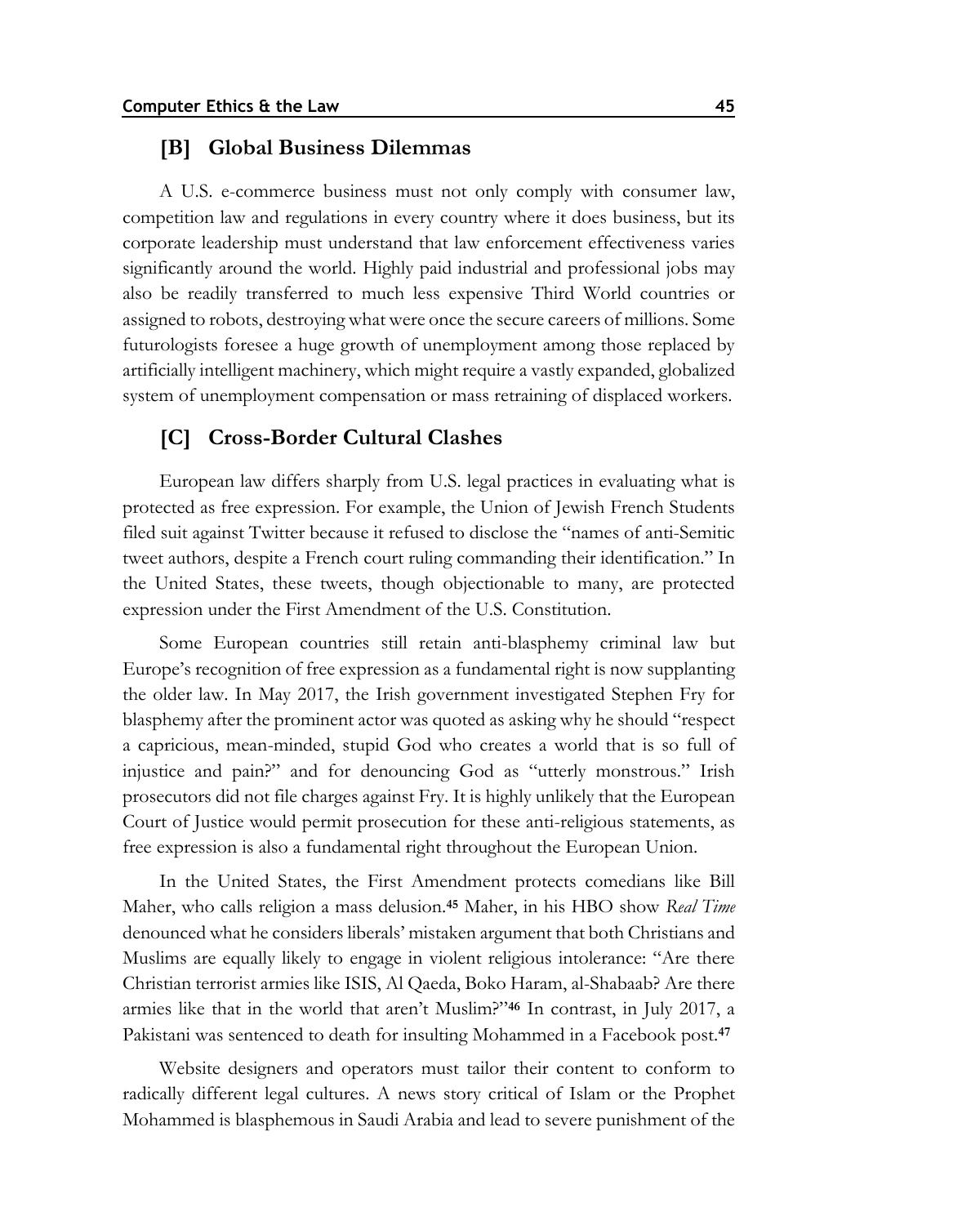#### **[B] Global Business Dilemmas**

A U.S. e-commerce business must not only comply with consumer law, competition law and regulations in every country where it does business, but its corporate leadership must understand that law enforcement effectiveness varies significantly around the world. Highly paid industrial and professional jobs may also be readily transferred to much less expensive Third World countries or assigned to robots, destroying what were once the secure careers of millions. Some futurologists foresee a huge growth of unemployment among those replaced by artificially intelligent machinery, which might require a vastly expanded, globalized system of unemployment compensation or mass retraining of displaced workers.

### **[C] Cross-Border Cultural Clashes**

European law differs sharply from U.S. legal practices in evaluating what is protected as free expression. For example, the Union of Jewish French Students filed suit against Twitter because it refused to disclose the "names of anti-Semitic tweet authors, despite a French court ruling commanding their identification." In the United States, these tweets, though objectionable to many, are protected expression under the First Amendment of the U.S. Constitution.

Some European countries still retain anti-blasphemy criminal law but Europe's recognition of free expression as a fundamental right is now supplanting the older law. In May 2017, the Irish government investigated Stephen Fry for blasphemy after the prominent actor was quoted as asking why he should "respect a capricious, mean-minded, stupid God who creates a world that is so full of injustice and pain?" and for denouncing God as "utterly monstrous." Irish prosecutors did not file charges against Fry. It is highly unlikely that the European Court of Justice would permit prosecution for these anti-religious statements, as free expression is also a fundamental right throughout the European Union.

In the United States, the First Amendment protects comedians like Bill Maher, who calls religion a mass delusion.**<sup>45</sup>** Maher, in his HBO show *Real Time* denounced what he considers liberals' mistaken argument that both Christians and Muslims are equally likely to engage in violent religious intolerance: "Are there Christian terrorist armies like ISIS, Al Qaeda, Boko Haram, al-Shabaab? Are there armies like that in the world that aren't Muslim?"**<sup>46</sup>** In contrast, in July 2017, a Pakistani was sentenced to death for insulting Mohammed in a Facebook post.**<sup>47</sup>**

Website designers and operators must tailor their content to conform to radically different legal cultures. A news story critical of Islam or the Prophet Mohammed is blasphemous in Saudi Arabia and lead to severe punishment of the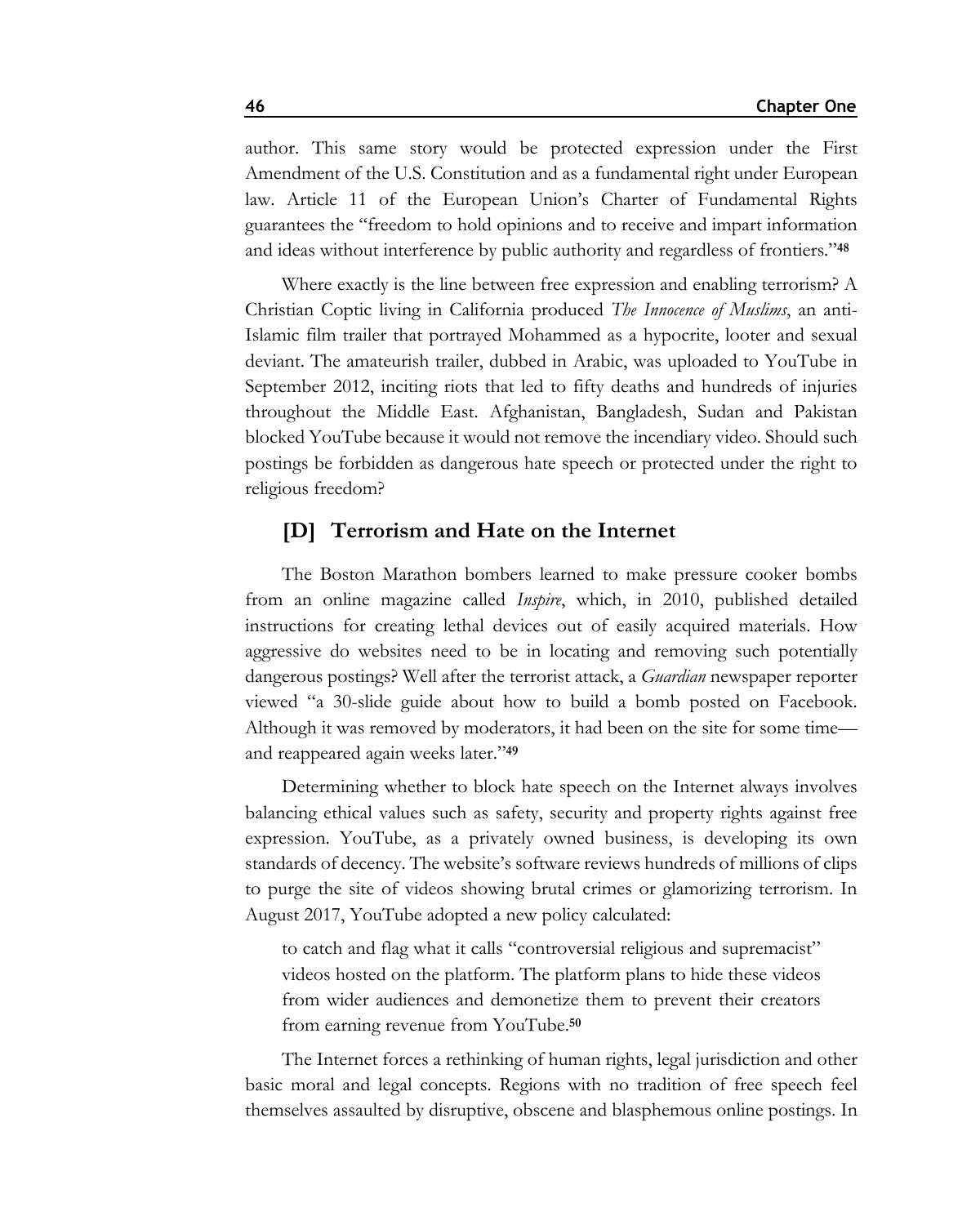author. This same story would be protected expression under the First Amendment of the U.S. Constitution and as a fundamental right under European law. Article 11 of the European Union's Charter of Fundamental Rights guarantees the "freedom to hold opinions and to receive and impart information and ideas without interference by public authority and regardless of frontiers."**<sup>48</sup>**

Where exactly is the line between free expression and enabling terrorism? A Christian Coptic living in California produced *The Innocence of Muslims*, an anti-Islamic film trailer that portrayed Mohammed as a hypocrite, looter and sexual deviant. The amateurish trailer, dubbed in Arabic, was uploaded to YouTube in September 2012, inciting riots that led to fifty deaths and hundreds of injuries throughout the Middle East. Afghanistan, Bangladesh, Sudan and Pakistan blocked YouTube because it would not remove the incendiary video. Should such postings be forbidden as dangerous hate speech or protected under the right to religious freedom?

## **[D] Terrorism and Hate on the Internet**

The Boston Marathon bombers learned to make pressure cooker bombs from an online magazine called *Inspire*, which, in 2010, published detailed instructions for creating lethal devices out of easily acquired materials. How aggressive do websites need to be in locating and removing such potentially dangerous postings? Well after the terrorist attack, a *Guardian* newspaper reporter viewed "a 30-slide guide about how to build a bomb posted on Facebook. Although it was removed by moderators, it had been on the site for some time and reappeared again weeks later."**<sup>49</sup>**

Determining whether to block hate speech on the Internet always involves balancing ethical values such as safety, security and property rights against free expression. YouTube, as a privately owned business, is developing its own standards of decency. The website's software reviews hundreds of millions of clips to purge the site of videos showing brutal crimes or glamorizing terrorism. In August 2017, YouTube adopted a new policy calculated:

to catch and flag what it calls "controversial religious and supremacist" videos hosted on the platform. The platform plans to hide these videos from wider audiences and demonetize them to prevent their creators from earning revenue from YouTube.**<sup>50</sup>**

The Internet forces a rethinking of human rights, legal jurisdiction and other basic moral and legal concepts. Regions with no tradition of free speech feel themselves assaulted by disruptive, obscene and blasphemous online postings. In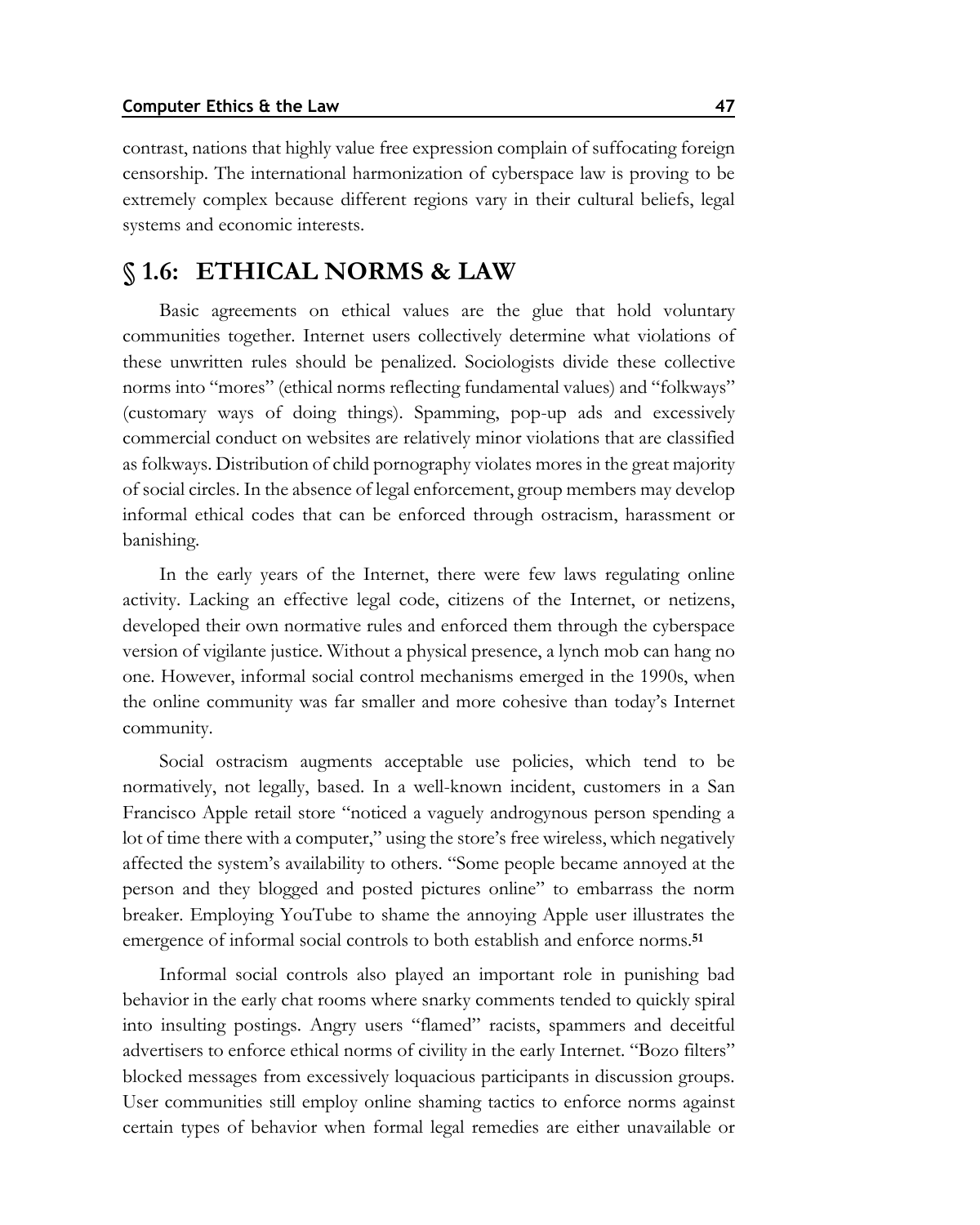contrast, nations that highly value free expression complain of suffocating foreign censorship. The international harmonization of cyberspace law is proving to be extremely complex because different regions vary in their cultural beliefs, legal systems and economic interests.

## **§ 1.6: ETHICAL NORMS & LAW**

Basic agreements on ethical values are the glue that hold voluntary communities together. Internet users collectively determine what violations of these unwritten rules should be penalized. Sociologists divide these collective norms into "mores" (ethical norms reflecting fundamental values) and "folkways" (customary ways of doing things). Spamming, pop-up ads and excessively commercial conduct on websites are relatively minor violations that are classified as folkways. Distribution of child pornography violates mores in the great majority of social circles. In the absence of legal enforcement, group members may develop informal ethical codes that can be enforced through ostracism, harassment or banishing.

In the early years of the Internet, there were few laws regulating online activity. Lacking an effective legal code, citizens of the Internet, or netizens, developed their own normative rules and enforced them through the cyberspace version of vigilante justice. Without a physical presence, a lynch mob can hang no one. However, informal social control mechanisms emerged in the 1990s, when the online community was far smaller and more cohesive than today's Internet community.

Social ostracism augments acceptable use policies, which tend to be normatively, not legally, based. In a well-known incident, customers in a San Francisco Apple retail store "noticed a vaguely androgynous person spending a lot of time there with a computer," using the store's free wireless, which negatively affected the system's availability to others. "Some people became annoyed at the person and they blogged and posted pictures online" to embarrass the norm breaker. Employing YouTube to shame the annoying Apple user illustrates the emergence of informal social controls to both establish and enforce norms.**<sup>51</sup>**

Informal social controls also played an important role in punishing bad behavior in the early chat rooms where snarky comments tended to quickly spiral into insulting postings. Angry users "flamed" racists, spammers and deceitful advertisers to enforce ethical norms of civility in the early Internet. "Bozo filters" blocked messages from excessively loquacious participants in discussion groups. User communities still employ online shaming tactics to enforce norms against certain types of behavior when formal legal remedies are either unavailable or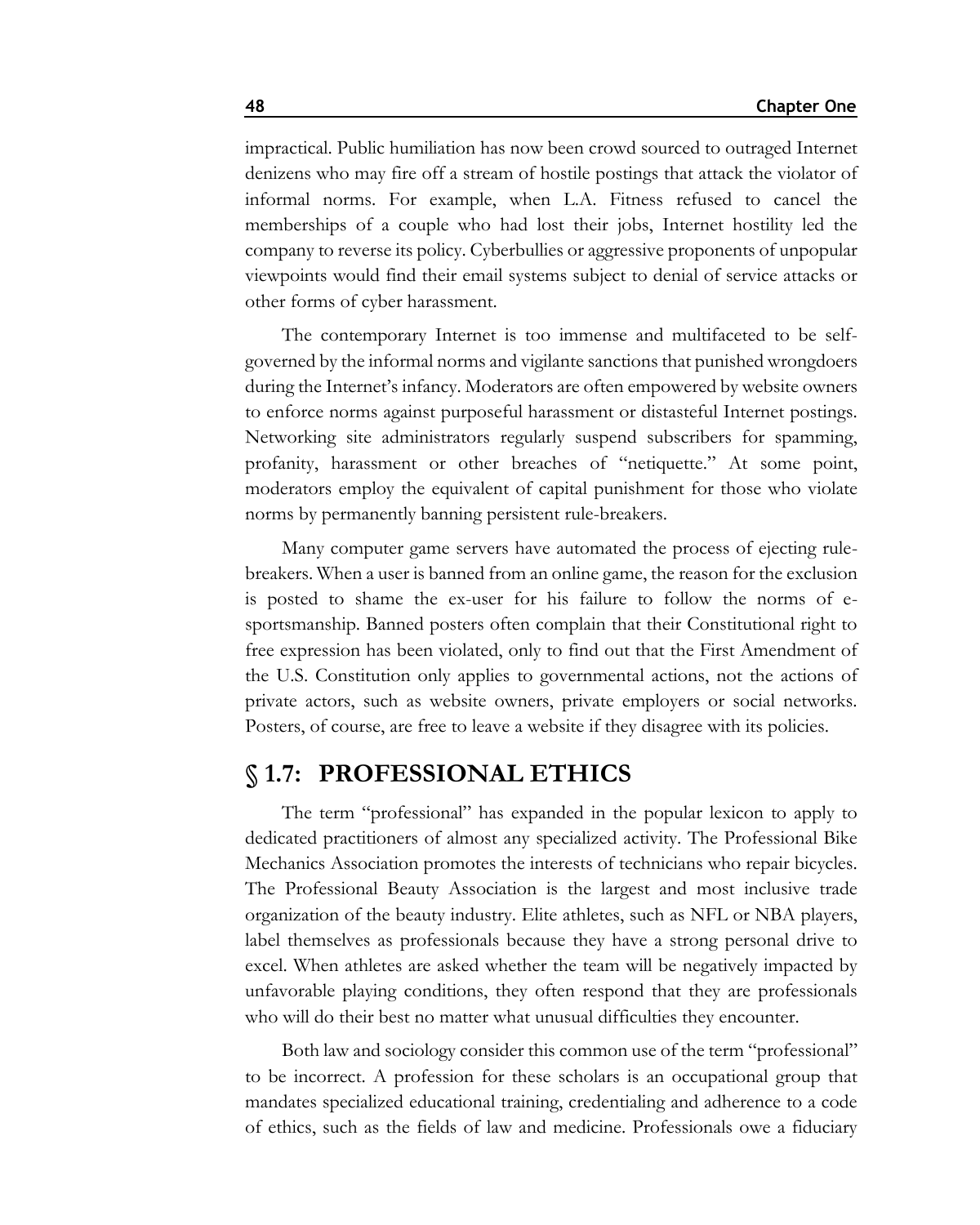impractical. Public humiliation has now been crowd sourced to outraged Internet denizens who may fire off a stream of hostile postings that attack the violator of informal norms. For example, when L.A. Fitness refused to cancel the memberships of a couple who had lost their jobs, Internet hostility led the company to reverse its policy. Cyberbullies or aggressive proponents of unpopular viewpoints would find their email systems subject to denial of service attacks or other forms of cyber harassment.

The contemporary Internet is too immense and multifaceted to be selfgoverned by the informal norms and vigilante sanctions that punished wrongdoers during the Internet's infancy. Moderators are often empowered by website owners to enforce norms against purposeful harassment or distasteful Internet postings. Networking site administrators regularly suspend subscribers for spamming, profanity, harassment or other breaches of "netiquette." At some point, moderators employ the equivalent of capital punishment for those who violate norms by permanently banning persistent rule-breakers.

Many computer game servers have automated the process of ejecting rulebreakers. When a user is banned from an online game, the reason for the exclusion is posted to shame the ex-user for his failure to follow the norms of esportsmanship. Banned posters often complain that their Constitutional right to free expression has been violated, only to find out that the First Amendment of the U.S. Constitution only applies to governmental actions, not the actions of private actors, such as website owners, private employers or social networks. Posters, of course, are free to leave a website if they disagree with its policies.

## **§ 1.7: PROFESSIONAL ETHICS**

The term "professional" has expanded in the popular lexicon to apply to dedicated practitioners of almost any specialized activity. The Professional Bike Mechanics Association promotes the interests of technicians who repair bicycles. The Professional Beauty Association is the largest and most inclusive trade organization of the beauty industry. Elite athletes, such as NFL or NBA players, label themselves as professionals because they have a strong personal drive to excel. When athletes are asked whether the team will be negatively impacted by unfavorable playing conditions, they often respond that they are professionals who will do their best no matter what unusual difficulties they encounter.

Both law and sociology consider this common use of the term "professional" to be incorrect. A profession for these scholars is an occupational group that mandates specialized educational training, credentialing and adherence to a code of ethics, such as the fields of law and medicine. Professionals owe a fiduciary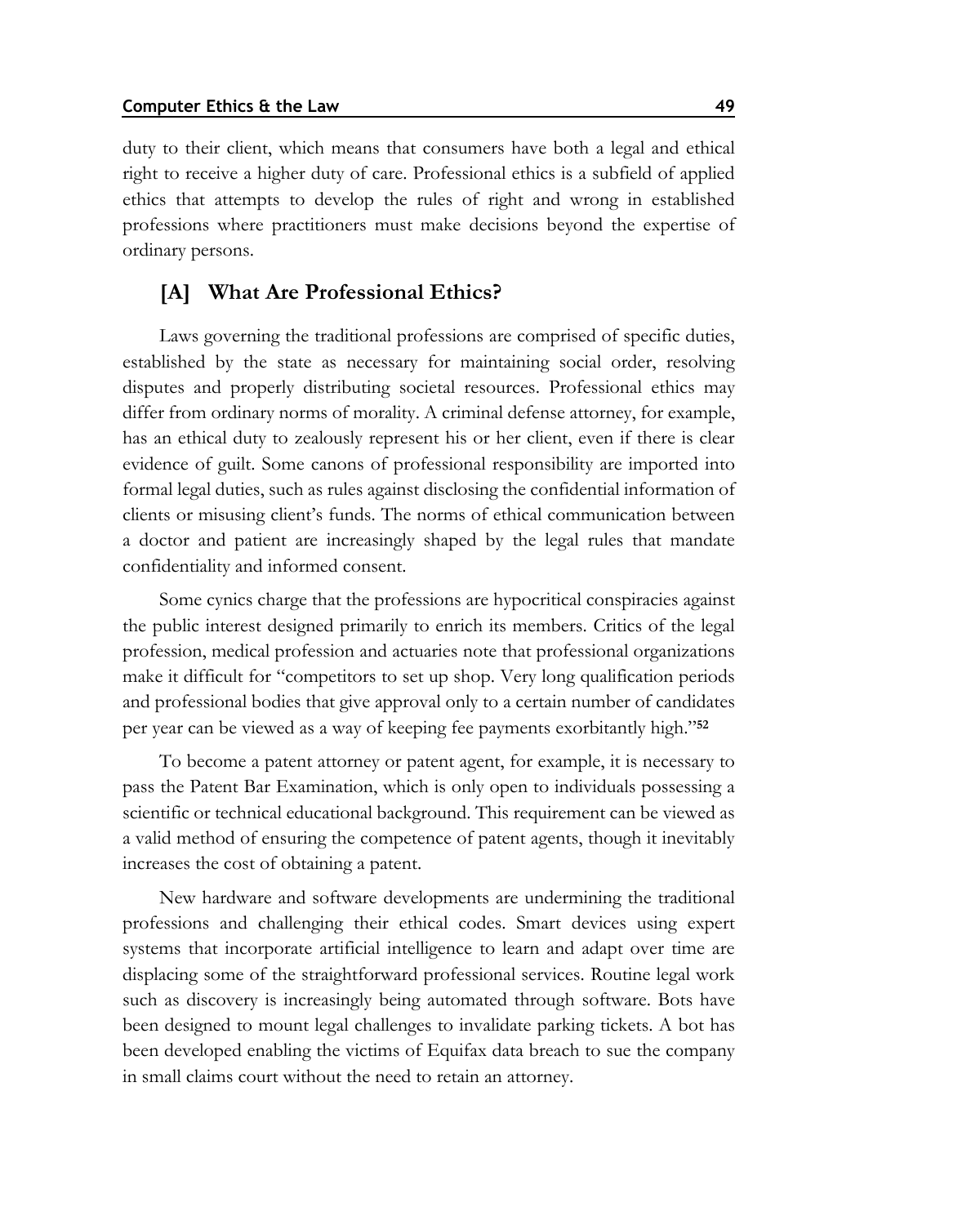duty to their client, which means that consumers have both a legal and ethical right to receive a higher duty of care. Professional ethics is a subfield of applied ethics that attempts to develop the rules of right and wrong in established professions where practitioners must make decisions beyond the expertise of ordinary persons.

### **[A] What Are Professional Ethics?**

Laws governing the traditional professions are comprised of specific duties, established by the state as necessary for maintaining social order, resolving disputes and properly distributing societal resources. Professional ethics may differ from ordinary norms of morality. A criminal defense attorney, for example, has an ethical duty to zealously represent his or her client, even if there is clear evidence of guilt. Some canons of professional responsibility are imported into formal legal duties, such as rules against disclosing the confidential information of clients or misusing client's funds. The norms of ethical communication between a doctor and patient are increasingly shaped by the legal rules that mandate confidentiality and informed consent.

Some cynics charge that the professions are hypocritical conspiracies against the public interest designed primarily to enrich its members. Critics of the legal profession, medical profession and actuaries note that professional organizations make it difficult for "competitors to set up shop. Very long qualification periods and professional bodies that give approval only to a certain number of candidates per year can be viewed as a way of keeping fee payments exorbitantly high."**<sup>52</sup>**

To become a patent attorney or patent agent, for example, it is necessary to pass the Patent Bar Examination, which is only open to individuals possessing a scientific or technical educational background. This requirement can be viewed as a valid method of ensuring the competence of patent agents, though it inevitably increases the cost of obtaining a patent.

New hardware and software developments are undermining the traditional professions and challenging their ethical codes. Smart devices using expert systems that incorporate artificial intelligence to learn and adapt over time are displacing some of the straightforward professional services. Routine legal work such as discovery is increasingly being automated through software. Bots have been designed to mount legal challenges to invalidate parking tickets. A bot has been developed enabling the victims of Equifax data breach to sue the company in small claims court without the need to retain an attorney.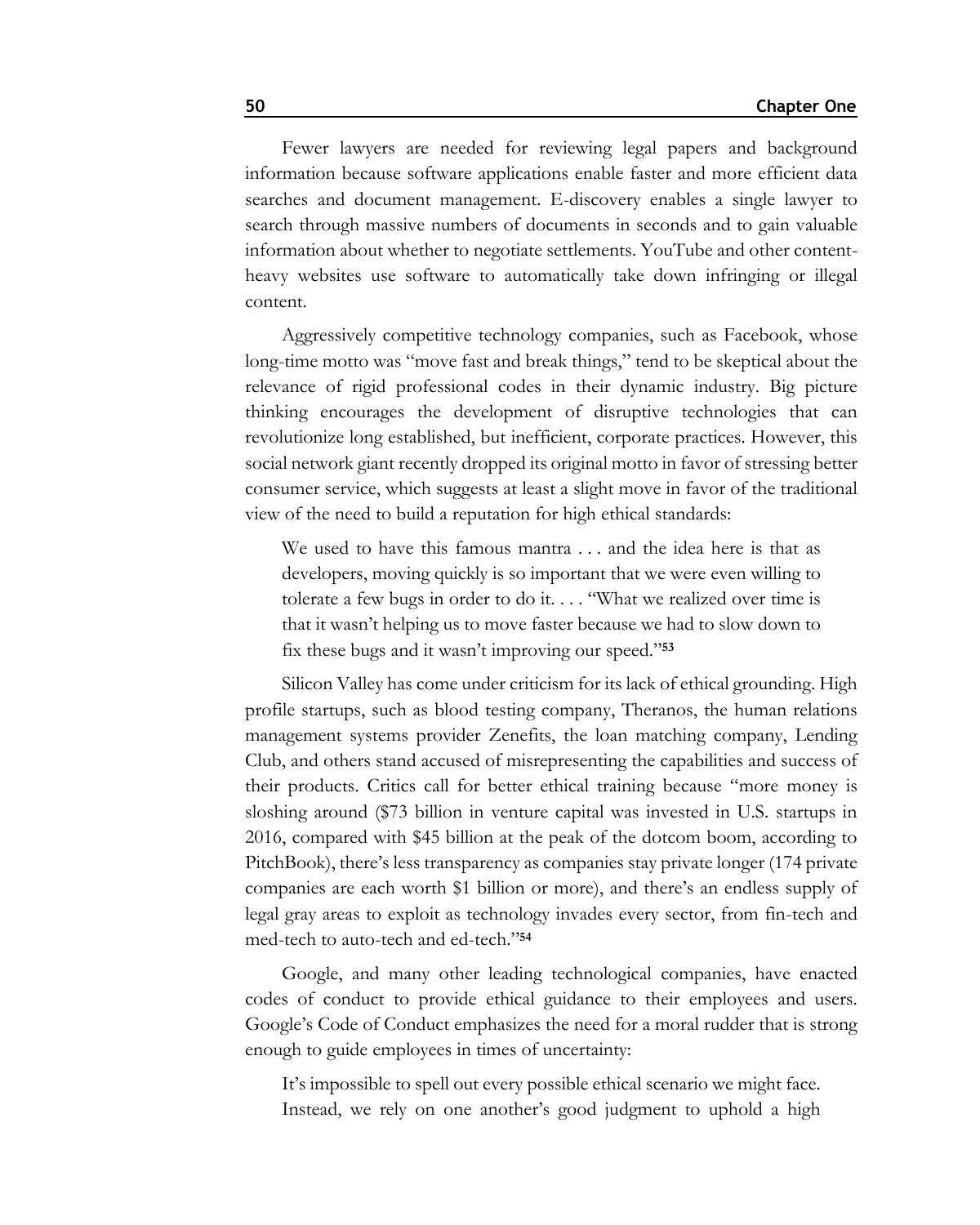Fewer lawyers are needed for reviewing legal papers and background information because software applications enable faster and more efficient data searches and document management. E-discovery enables a single lawyer to search through massive numbers of documents in seconds and to gain valuable information about whether to negotiate settlements. YouTube and other contentheavy websites use software to automatically take down infringing or illegal content.

Aggressively competitive technology companies, such as Facebook, whose long-time motto was "move fast and break things," tend to be skeptical about the relevance of rigid professional codes in their dynamic industry. Big picture thinking encourages the development of disruptive technologies that can revolutionize long established, but inefficient, corporate practices. However, this social network giant recently dropped its original motto in favor of stressing better consumer service, which suggests at least a slight move in favor of the traditional view of the need to build a reputation for high ethical standards:

We used to have this famous mantra . . . and the idea here is that as developers, moving quickly is so important that we were even willing to tolerate a few bugs in order to do it. . . . "What we realized over time is that it wasn't helping us to move faster because we had to slow down to fix these bugs and it wasn't improving our speed."**<sup>53</sup>**

Silicon Valley has come under criticism for its lack of ethical grounding. High profile startups, such as blood testing company, Theranos, the human relations management systems provider Zenefits, the loan matching company, Lending Club, and others stand accused of misrepresenting the capabilities and success of their products. Critics call for better ethical training because "more money is sloshing around (\$73 billion in venture capital was invested in U.S. startups in 2016, compared with \$45 billion at the peak of the dotcom boom, according to PitchBook), there's less transparency as companies stay private longer (174 private companies are each worth \$1 billion or more), and there's an endless supply of legal gray areas to exploit as technology invades every sector, from fin-tech and med-tech to auto-tech and ed-tech."**<sup>54</sup>**

Google, and many other leading technological companies, have enacted codes of conduct to provide ethical guidance to their employees and users. Google's Code of Conduct emphasizes the need for a moral rudder that is strong enough to guide employees in times of uncertainty:

It's impossible to spell out every possible ethical scenario we might face. Instead, we rely on one another's good judgment to uphold a high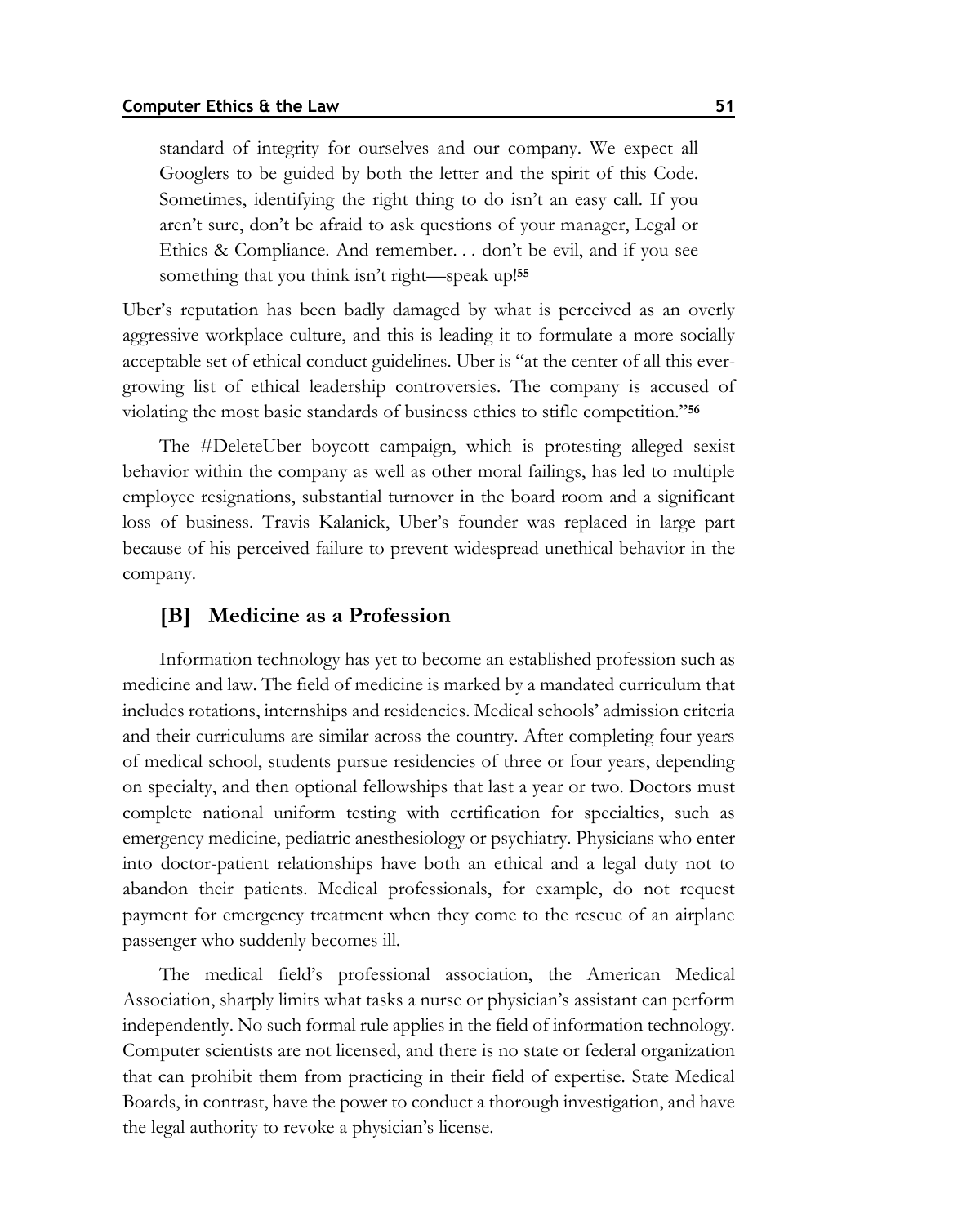standard of integrity for ourselves and our company. We expect all Googlers to be guided by both the letter and the spirit of this Code. Sometimes, identifying the right thing to do isn't an easy call. If you aren't sure, don't be afraid to ask questions of your manager, Legal or Ethics & Compliance. And remember. . . don't be evil, and if you see something that you think isn't right—speak up!**<sup>55</sup>**

Uber's reputation has been badly damaged by what is perceived as an overly aggressive workplace culture, and this is leading it to formulate a more socially acceptable set of ethical conduct guidelines. Uber is "at the center of all this evergrowing list of ethical leadership controversies. The company is accused of violating the most basic standards of business ethics to stifle competition."**<sup>56</sup>**

The #DeleteUber boycott campaign, which is protesting alleged sexist behavior within the company as well as other moral failings, has led to multiple employee resignations, substantial turnover in the board room and a significant loss of business. Travis Kalanick, Uber's founder was replaced in large part because of his perceived failure to prevent widespread unethical behavior in the company.

## **[B] Medicine as a Profession**

Information technology has yet to become an established profession such as medicine and law. The field of medicine is marked by a mandated curriculum that includes rotations, internships and residencies. Medical schools' admission criteria and their curriculums are similar across the country. After completing four years of medical school, students pursue residencies of three or four years, depending on specialty, and then optional fellowships that last a year or two. Doctors must complete national uniform testing with certification for specialties, such as emergency medicine, pediatric anesthesiology or psychiatry. Physicians who enter into doctor-patient relationships have both an ethical and a legal duty not to abandon their patients. Medical professionals, for example, do not request payment for emergency treatment when they come to the rescue of an airplane passenger who suddenly becomes ill.

The medical field's professional association, the American Medical Association, sharply limits what tasks a nurse or physician's assistant can perform independently. No such formal rule applies in the field of information technology. Computer scientists are not licensed, and there is no state or federal organization that can prohibit them from practicing in their field of expertise. State Medical Boards, in contrast, have the power to conduct a thorough investigation, and have the legal authority to revoke a physician's license.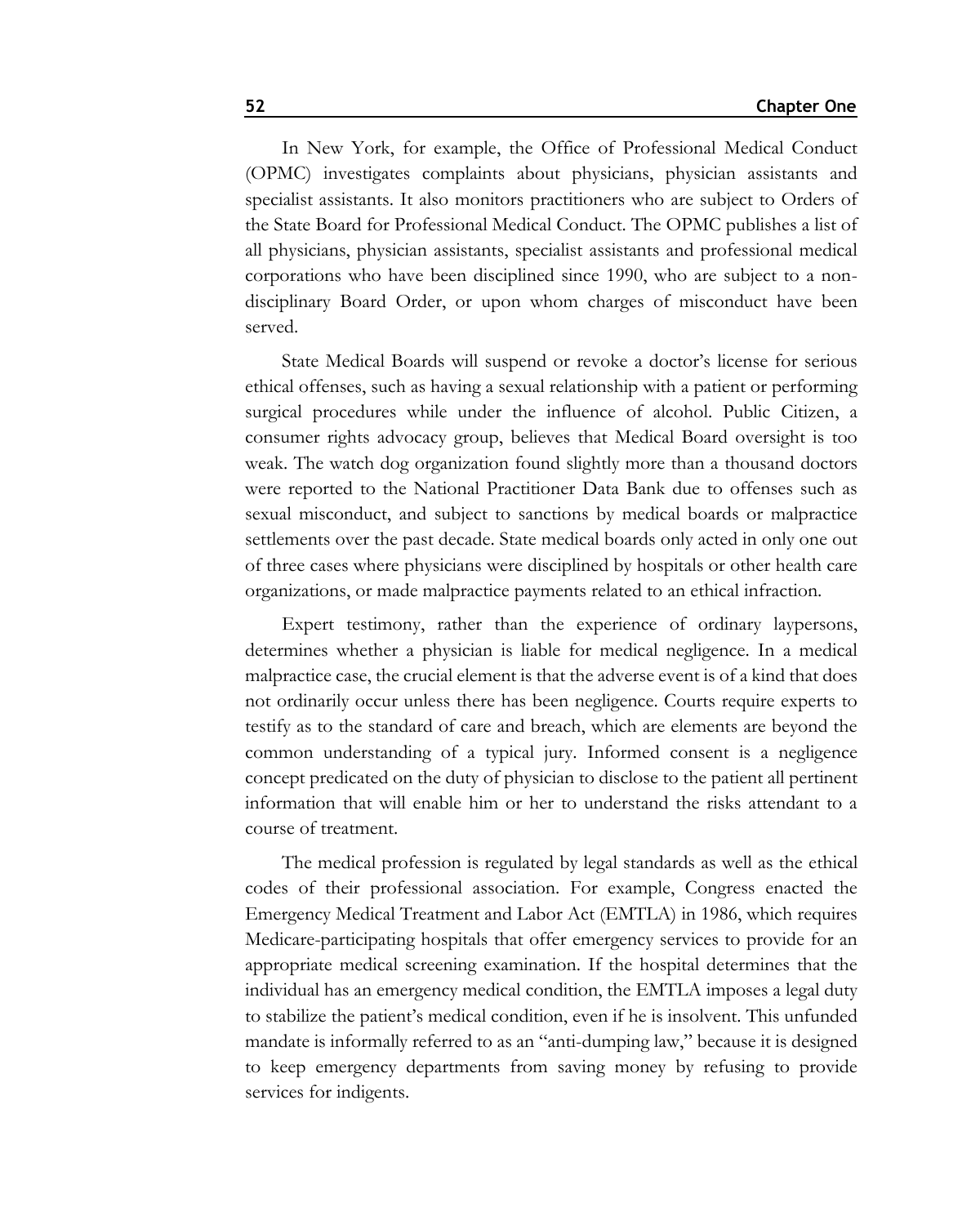In New York, for example, the Office of Professional Medical Conduct (OPMC) investigates complaints about physicians, physician assistants and specialist assistants. It also monitors practitioners who are subject to Orders of the State Board for Professional Medical Conduct. The OPMC publishes a list of all physicians, physician assistants, specialist assistants and professional medical corporations who have been disciplined since 1990, who are subject to a nondisciplinary Board Order, or upon whom charges of misconduct have been served.

State Medical Boards will suspend or revoke a doctor's license for serious ethical offenses, such as having a sexual relationship with a patient or performing surgical procedures while under the influence of alcohol. Public Citizen, a consumer rights advocacy group, believes that Medical Board oversight is too weak. The watch dog organization found slightly more than a thousand doctors were reported to the National Practitioner Data Bank due to offenses such as sexual misconduct, and subject to sanctions by medical boards or malpractice settlements over the past decade. State medical boards only acted in only one out of three cases where physicians were disciplined by hospitals or other health care organizations, or made malpractice payments related to an ethical infraction.

Expert testimony, rather than the experience of ordinary laypersons, determines whether a physician is liable for medical negligence. In a medical malpractice case, the crucial element is that the adverse event is of a kind that does not ordinarily occur unless there has been negligence. Courts require experts to testify as to the standard of care and breach, which are elements are beyond the common understanding of a typical jury. Informed consent is a negligence concept predicated on the duty of physician to disclose to the patient all pertinent information that will enable him or her to understand the risks attendant to a course of treatment.

The medical profession is regulated by legal standards as well as the ethical codes of their professional association. For example, Congress enacted the Emergency Medical Treatment and Labor Act (EMTLA) in 1986, which requires Medicare-participating hospitals that offer emergency services to provide for an appropriate medical screening examination. If the hospital determines that the individual has an emergency medical condition, the EMTLA imposes a legal duty to stabilize the patient's medical condition, even if he is insolvent. This unfunded mandate is informally referred to as an "anti-dumping law," because it is designed to keep emergency departments from saving money by refusing to provide services for indigents.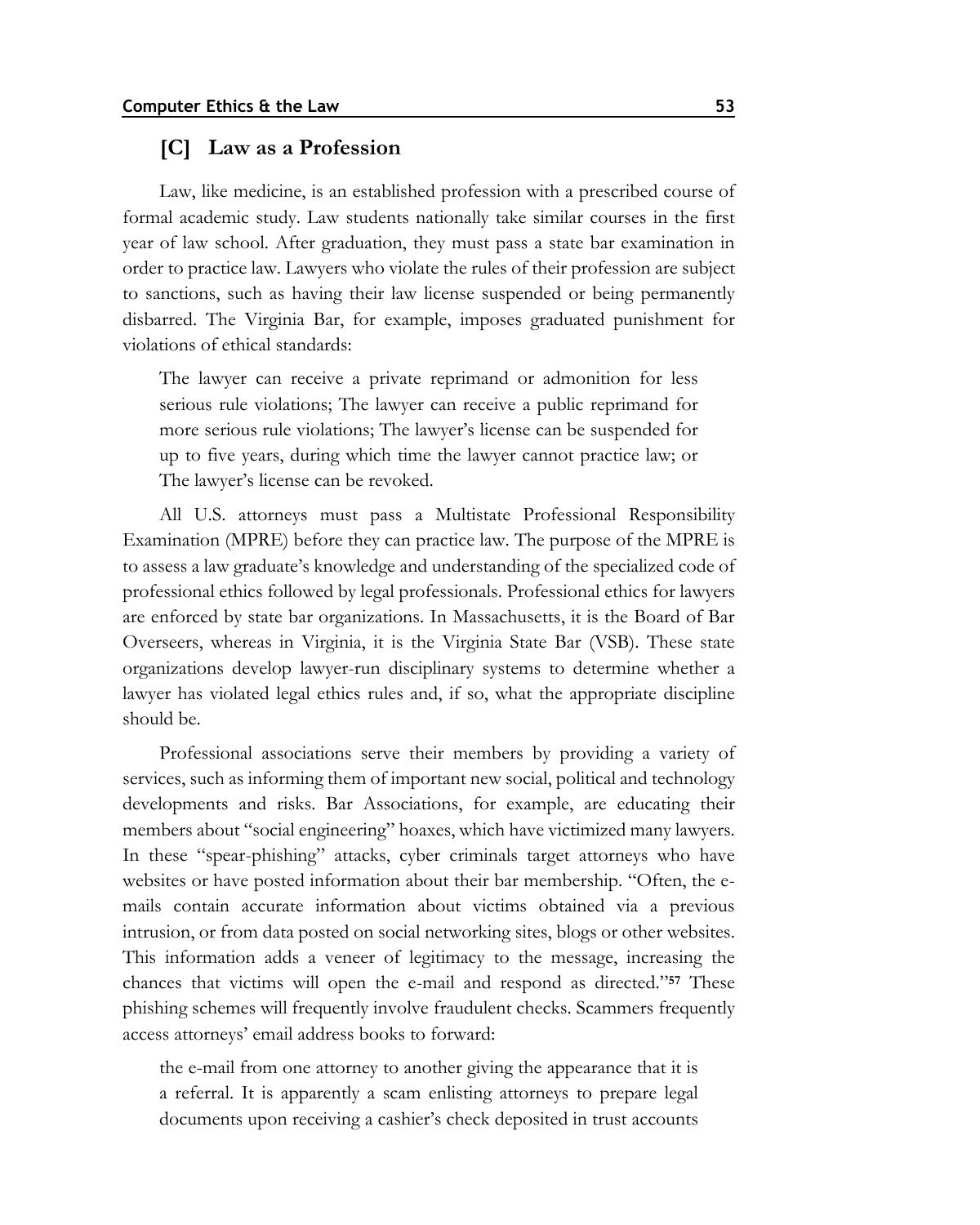#### **[C] Law as a Profession**

Law, like medicine, is an established profession with a prescribed course of formal academic study. Law students nationally take similar courses in the first year of law school. After graduation, they must pass a state bar examination in order to practice law. Lawyers who violate the rules of their profession are subject to sanctions, such as having their law license suspended or being permanently disbarred. The Virginia Bar, for example, imposes graduated punishment for violations of ethical standards:

The lawyer can receive a private reprimand or admonition for less serious rule violations; The lawyer can receive a public reprimand for more serious rule violations; The lawyer's license can be suspended for up to five years, during which time the lawyer cannot practice law; or The lawyer's license can be revoked.

All U.S. attorneys must pass a Multistate Professional Responsibility Examination (MPRE) before they can practice law. The purpose of the MPRE is to assess a law graduate's knowledge and understanding of the specialized code of professional ethics followed by legal professionals. Professional ethics for lawyers are enforced by state bar organizations. In Massachusetts, it is the Board of Bar Overseers, whereas in Virginia, it is the Virginia State Bar (VSB). These state organizations develop lawyer-run disciplinary systems to determine whether a lawyer has violated legal ethics rules and, if so, what the appropriate discipline should be.

Professional associations serve their members by providing a variety of services, such as informing them of important new social, political and technology developments and risks. Bar Associations, for example, are educating their members about "social engineering" hoaxes, which have victimized many lawyers. In these "spear-phishing" attacks, cyber criminals target attorneys who have websites or have posted information about their bar membership. "Often, the emails contain accurate information about victims obtained via a previous intrusion, or from data posted on social networking sites, blogs or other websites. This information adds a veneer of legitimacy to the message, increasing the chances that victims will open the e-mail and respond as directed."**<sup>57</sup>** These phishing schemes will frequently involve fraudulent checks. Scammers frequently access attorneys' email address books to forward:

the e-mail from one attorney to another giving the appearance that it is a referral. It is apparently a scam enlisting attorneys to prepare legal documents upon receiving a cashier's check deposited in trust accounts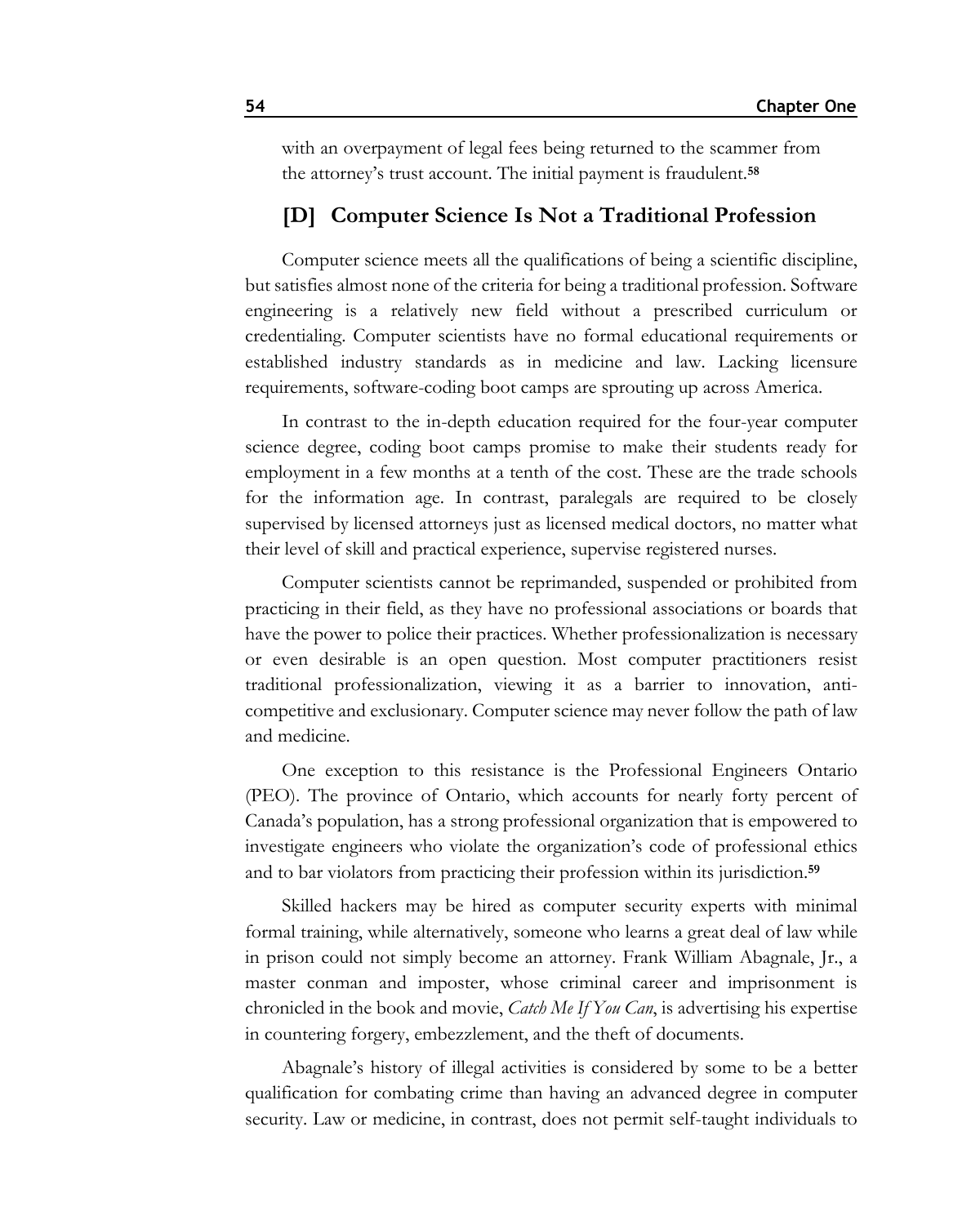with an overpayment of legal fees being returned to the scammer from the attorney's trust account. The initial payment is fraudulent.**<sup>58</sup>**

#### **[D] Computer Science Is Not a Traditional Profession**

Computer science meets all the qualifications of being a scientific discipline, but satisfies almost none of the criteria for being a traditional profession. Software engineering is a relatively new field without a prescribed curriculum or credentialing. Computer scientists have no formal educational requirements or established industry standards as in medicine and law. Lacking licensure requirements, software-coding boot camps are sprouting up across America.

In contrast to the in-depth education required for the four-year computer science degree, coding boot camps promise to make their students ready for employment in a few months at a tenth of the cost. These are the trade schools for the information age. In contrast, paralegals are required to be closely supervised by licensed attorneys just as licensed medical doctors, no matter what their level of skill and practical experience, supervise registered nurses.

Computer scientists cannot be reprimanded, suspended or prohibited from practicing in their field, as they have no professional associations or boards that have the power to police their practices. Whether professionalization is necessary or even desirable is an open question. Most computer practitioners resist traditional professionalization, viewing it as a barrier to innovation, anticompetitive and exclusionary. Computer science may never follow the path of law and medicine.

One exception to this resistance is the Professional Engineers Ontario (PEO). The province of Ontario, which accounts for nearly forty percent of Canada's population, has a strong professional organization that is empowered to investigate engineers who violate the organization's code of professional ethics and to bar violators from practicing their profession within its jurisdiction.**<sup>59</sup>**

Skilled hackers may be hired as computer security experts with minimal formal training, while alternatively, someone who learns a great deal of law while in prison could not simply become an attorney. Frank William Abagnale, Jr., a master conman and imposter, whose criminal career and imprisonment is chronicled in the book and movie, *Catch Me If You Can*, is advertising his expertise in countering forgery, embezzlement, and the theft of documents.

Abagnale's history of illegal activities is considered by some to be a better qualification for combating crime than having an advanced degree in computer security. Law or medicine, in contrast, does not permit self-taught individuals to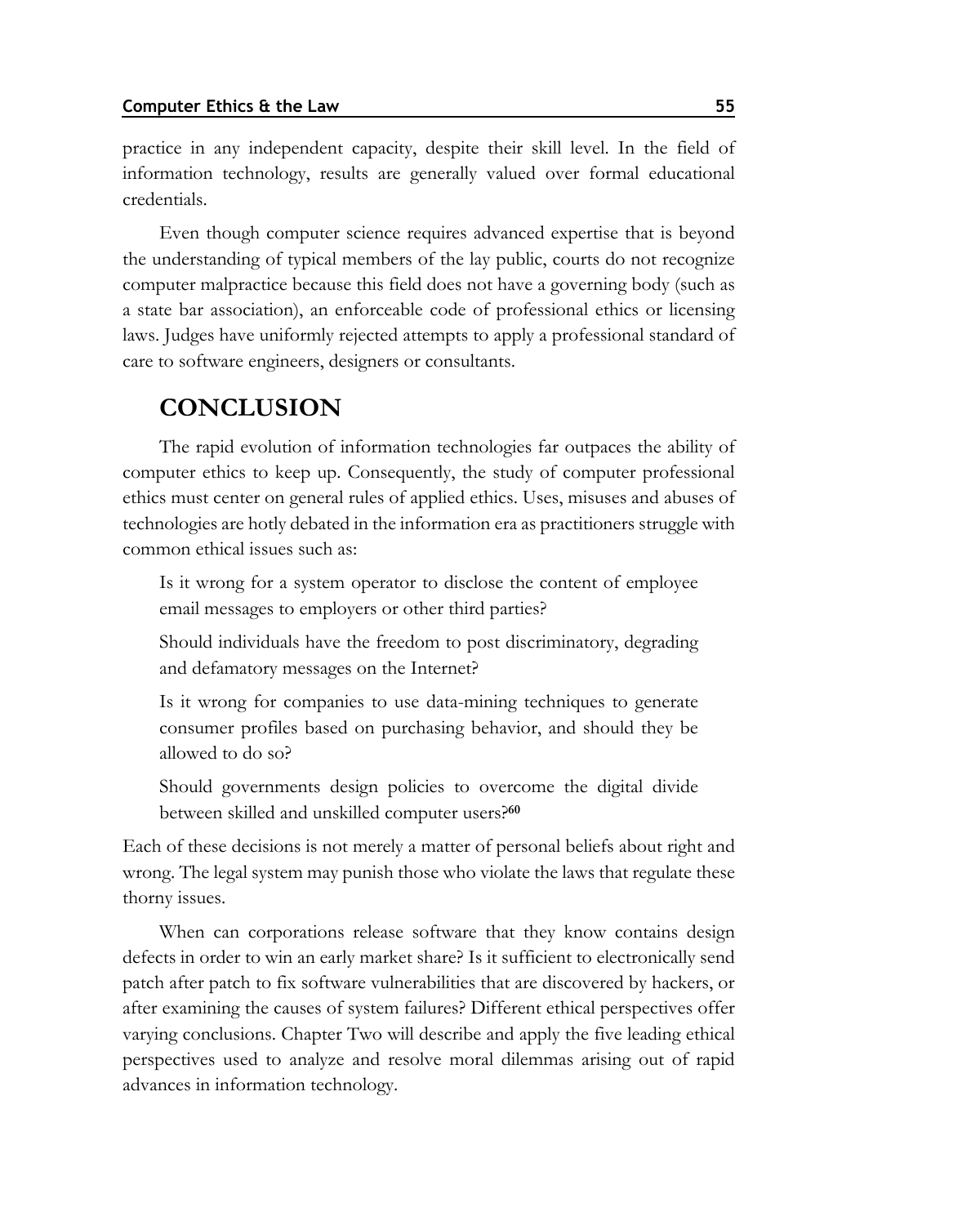practice in any independent capacity, despite their skill level. In the field of information technology, results are generally valued over formal educational credentials.

Even though computer science requires advanced expertise that is beyond the understanding of typical members of the lay public, courts do not recognize computer malpractice because this field does not have a governing body (such as a state bar association), an enforceable code of professional ethics or licensing laws. Judges have uniformly rejected attempts to apply a professional standard of care to software engineers, designers or consultants.

## **CONCLUSION**

The rapid evolution of information technologies far outpaces the ability of computer ethics to keep up. Consequently, the study of computer professional ethics must center on general rules of applied ethics. Uses, misuses and abuses of technologies are hotly debated in the information era as practitioners struggle with common ethical issues such as:

Is it wrong for a system operator to disclose the content of employee email messages to employers or other third parties?

Should individuals have the freedom to post discriminatory, degrading and defamatory messages on the Internet?

Is it wrong for companies to use data-mining techniques to generate consumer profiles based on purchasing behavior, and should they be allowed to do so?

Should governments design policies to overcome the digital divide between skilled and unskilled computer users?**<sup>60</sup>**

Each of these decisions is not merely a matter of personal beliefs about right and wrong. The legal system may punish those who violate the laws that regulate these thorny issues.

When can corporations release software that they know contains design defects in order to win an early market share? Is it sufficient to electronically send patch after patch to fix software vulnerabilities that are discovered by hackers, or after examining the causes of system failures? Different ethical perspectives offer varying conclusions. Chapter Two will describe and apply the five leading ethical perspectives used to analyze and resolve moral dilemmas arising out of rapid advances in information technology.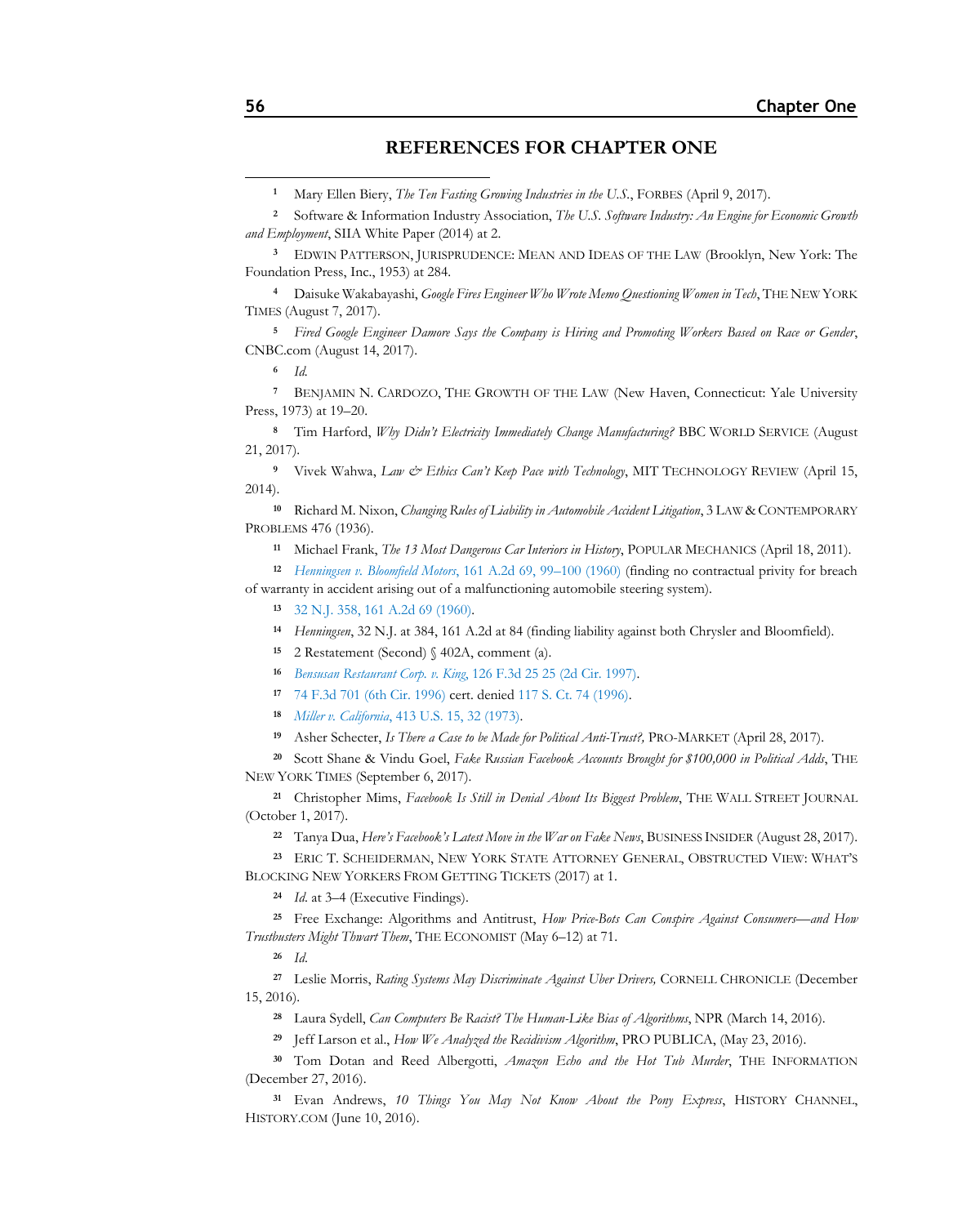#### **REFERENCES FOR CHAPTER ONE**

 EDWIN PATTERSON, JURISPRUDENCE: MEAN AND IDEAS OF THE LAW (Brooklyn, New York: The Foundation Press, Inc., 1953) at 284.

 Daisuke Wakabayashi, *Google Fires Engineer Who Wrote Memo Questioning Women in Tech*, THE NEW YORK TIMES (August 7, 2017).

 *Fired Google Engineer Damore Says the Company is Hiring and Promoting Workers Based on Race or Gender*, CNBC.com (August 14, 2017).

*Id.*

 BENJAMIN N. CARDOZO, THE GROWTH OF THE LAW (New Haven, Connecticut: Yale University Press, 1973) at 19–20.

 Tim Harford, *Why Didn't Electricity Immediately Change Manufacturing?* BBC WORLD SERVICE (August 21, 2017).

 Vivek Wahwa, *Law & Ethics Can't Keep Pace with Technology*, MIT TECHNOLOGY REVIEW (April 15, 2014).

 Richard M. Nixon, *Changing Rules of Liability in Automobile Accident Litigation*, 3 LAW & CONTEMPORARY PROBLEMS 476 (1936).

Michael Frank, *The 13 Most Dangerous Car Interiors in History*, POPULAR MECHANICS (April 18, 2011).

 *[Henningsen v. Bloomfield Motors](https://www.westlaw.com/Document/Ib6b722d833db11d98b61a35269fc5f88/View/FullText.html?transitionType=Default&contextData=(sc.Default)&VR=3.0&RS=da3.0&fragmentIdentifier=co_pp_sp_162_99)*, 161 A.2d 69, 99–100 (1960) (finding no contractual privity for breach of warranty in accident arising out of a malfunctioning automobile steering system).

[32 N.J. 358, 161 A.2d 69 \(1960\).](http://lawschool.westlaw.com/shared/westlawRedirect.aspx?task=find&cite=32+N.J.+358&appflag=67.12)

*Henningsen*, 32 N.J. at 384, 161 A.2d at 84 (finding liability against both Chrysler and Bloomfield).

2 Restatement (Second) § 402A, comment (a).

*Bensusan Restaurant Corp. v. King*[, 126 F.3d 25 25 \(2d Cir. 1997\).](https://www.westlaw.com/Document/I654aabb8942a11d993e6d35cc61aab4a/View/FullText.html?transitionType=Default&contextData=(sc.Default)&VR=3.0&RS=da3.0&fragmentIdentifier=co_pp_sp_506_25)

[74 F.3d 701 \(6th Cir. 1996\)](https://www.westlaw.com/Document/Iad57636591d411d9bc61beebb95be672/View/FullText.html?transitionType=Default&contextData=(sc.Default)&VR=3.0&RS=da3.0) cert. denie[d 117 S. Ct. 74 \(1996\).](https://www.westlaw.com/Link/Document/FullText?cite=117SCT74&VR=3.0&RS=da3.0)

*Miller v. California*[, 413 U.S. 15, 32 \(1973\).](http://lawschool.westlaw.com/shared/westlawRedirect.aspx?task=find&cite=413+U.S.+15&appflag=67.12)

Asher Schecter, *Is There a Case to be Made for Political Anti-Trust?,* PRO-MARKET (April 28, 2017).

 Scott Shane & Vindu Goel, *Fake Russian Facebook Accounts Brought for \$100,000 in Political Adds*, THE NEW YORK TIMES (September 6, 2017).

 Christopher Mims, *Facebook Is Still in Denial About Its Biggest Problem*, THE WALL STREET JOURNAL (October 1, 2017).

Tanya Dua, *Here's Facebook's Latest Move in the War on Fake News*, BUSINESS INSIDER (August 28, 2017).

 ERIC T. SCHEIDERMAN, NEW YORK STATE ATTORNEY GENERAL, OBSTRUCTED VIEW: WHAT'S BLOCKING NEW YORKERS FROM GETTING TICKETS (2017) at 1.

*Id*. at 3–4 (Executive Findings).

 Free Exchange: Algorithms and Antitrust, *How Price-Bots Can Conspire Against Consumers—and How Trustbusters Might Thwart Them*, THE ECONOMIST (May 6–12) at 71.

*Id*.

 Leslie Morris, *Rating Systems May Discriminate Against Uber Drivers,* CORNELL CHRONICLE (December 15, 2016).

Laura Sydell, *Can Computers Be Racist? The Human-Like Bias of Algorithms*, NPR (March 14, 2016).

Jeff Larson et al., *How We Analyzed the Recidivism Algorithm*, PRO PUBLICA, (May 23, 2016).

 Tom Dotan and Reed Albergotti, *Amazon Echo and the Hot Tub Murder*, THE INFORMATION (December 27, 2016).

 Evan Andrews, *10 Things You May Not Know About the Pony Express*, HISTORY CHANNEL, HISTORY.COM (June 10, 2016).

Mary Ellen Biery, *The Ten Fasting Growing Industries in the U.S.*, FORBES (April 9, 2017).

 Software & Information Industry Association, *The U.S. Software Industry: An Engine for Economic Growth and Employment*, SIIA White Paper (2014) at 2.